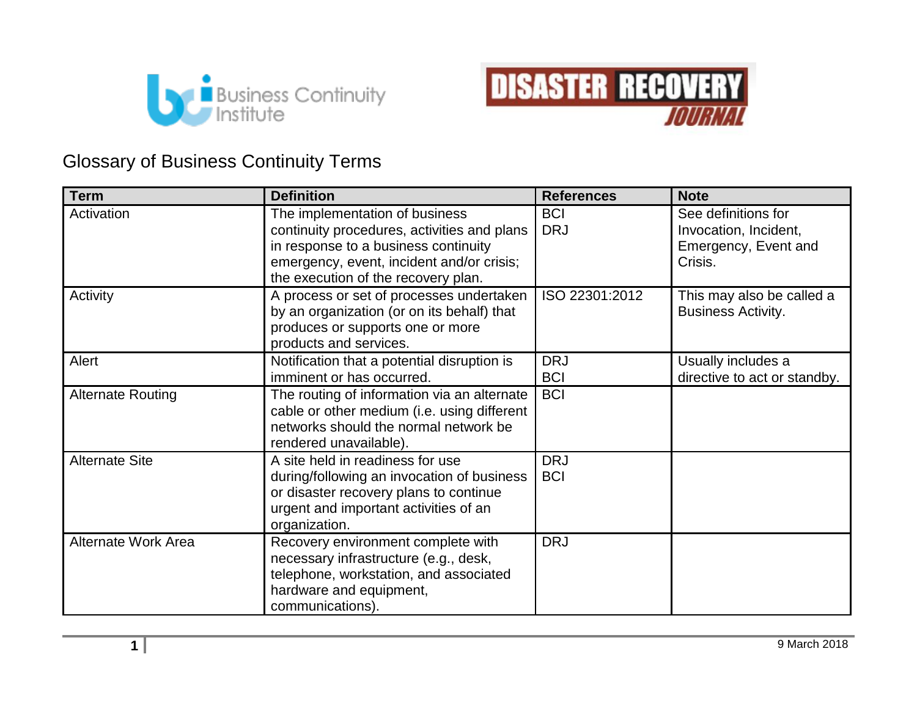



## Glossary of Business Continuity Terms

| <b>Term</b>                | <b>Definition</b>                                                                                                                                                                                         | <b>References</b>        | <b>Note</b>                                                                     |
|----------------------------|-----------------------------------------------------------------------------------------------------------------------------------------------------------------------------------------------------------|--------------------------|---------------------------------------------------------------------------------|
| Activation                 | The implementation of business<br>continuity procedures, activities and plans<br>in response to a business continuity<br>emergency, event, incident and/or crisis;<br>the execution of the recovery plan. | <b>BCI</b><br><b>DRJ</b> | See definitions for<br>Invocation, Incident,<br>Emergency, Event and<br>Crisis. |
| Activity                   | A process or set of processes undertaken<br>by an organization (or on its behalf) that<br>produces or supports one or more<br>products and services.                                                      | ISO 22301:2012           | This may also be called a<br><b>Business Activity.</b>                          |
| Alert                      | Notification that a potential disruption is<br>imminent or has occurred.                                                                                                                                  | <b>DRJ</b><br><b>BCI</b> | Usually includes a<br>directive to act or standby.                              |
| <b>Alternate Routing</b>   | The routing of information via an alternate<br>cable or other medium (i.e. using different<br>networks should the normal network be<br>rendered unavailable).                                             | <b>BCI</b>               |                                                                                 |
| <b>Alternate Site</b>      | A site held in readiness for use<br>during/following an invocation of business<br>or disaster recovery plans to continue<br>urgent and important activities of an<br>organization.                        | <b>DRJ</b><br><b>BCI</b> |                                                                                 |
| <b>Alternate Work Area</b> | Recovery environment complete with<br>necessary infrastructure (e.g., desk,<br>telephone, workstation, and associated<br>hardware and equipment,<br>communications).                                      | <b>DRJ</b>               |                                                                                 |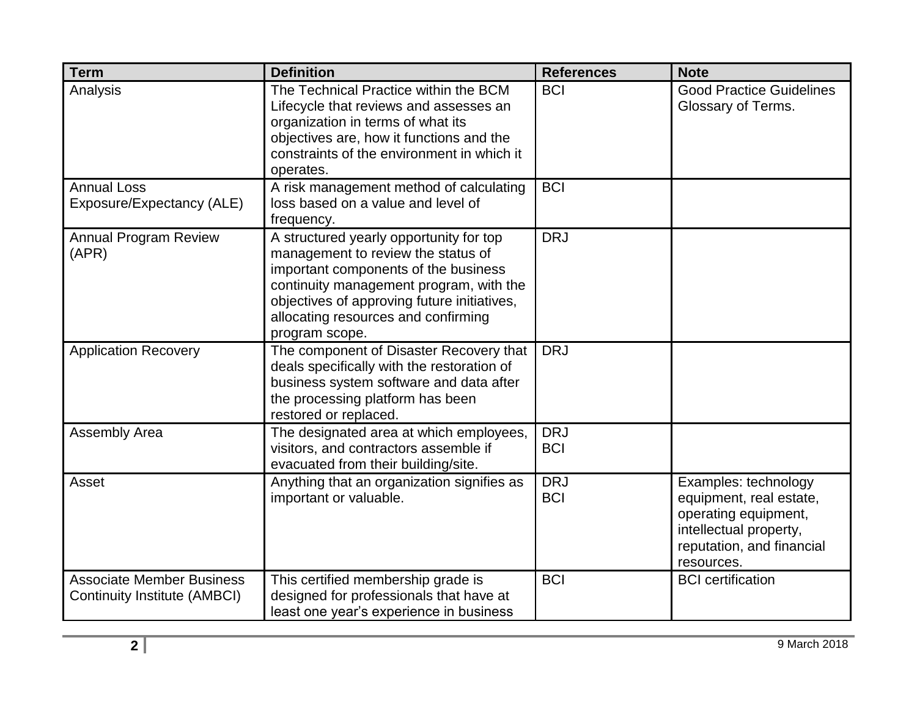| <b>Term</b>                                                             | <b>Definition</b>                                                                                                                                                                                                                                                        | <b>References</b>        | <b>Note</b>                                                                                                                                  |
|-------------------------------------------------------------------------|--------------------------------------------------------------------------------------------------------------------------------------------------------------------------------------------------------------------------------------------------------------------------|--------------------------|----------------------------------------------------------------------------------------------------------------------------------------------|
| Analysis                                                                | The Technical Practice within the BCM<br>Lifecycle that reviews and assesses an<br>organization in terms of what its<br>objectives are, how it functions and the<br>constraints of the environment in which it<br>operates.                                              | <b>BCI</b>               | <b>Good Practice Guidelines</b><br>Glossary of Terms.                                                                                        |
| <b>Annual Loss</b><br>Exposure/Expectancy (ALE)                         | A risk management method of calculating<br>loss based on a value and level of<br>frequency.                                                                                                                                                                              | <b>BCI</b>               |                                                                                                                                              |
| <b>Annual Program Review</b><br>(APR)                                   | A structured yearly opportunity for top<br>management to review the status of<br>important components of the business<br>continuity management program, with the<br>objectives of approving future initiatives,<br>allocating resources and confirming<br>program scope. | <b>DRJ</b>               |                                                                                                                                              |
| <b>Application Recovery</b>                                             | The component of Disaster Recovery that<br>deals specifically with the restoration of<br>business system software and data after<br>the processing platform has been<br>restored or replaced.                                                                            | <b>DRJ</b>               |                                                                                                                                              |
| Assembly Area                                                           | The designated area at which employees,<br>visitors, and contractors assemble if<br>evacuated from their building/site.                                                                                                                                                  | <b>DRJ</b><br><b>BCI</b> |                                                                                                                                              |
| Asset                                                                   | Anything that an organization signifies as<br>important or valuable.                                                                                                                                                                                                     | <b>DRJ</b><br><b>BCI</b> | Examples: technology<br>equipment, real estate,<br>operating equipment,<br>intellectual property,<br>reputation, and financial<br>resources. |
| <b>Associate Member Business</b><br><b>Continuity Institute (AMBCI)</b> | This certified membership grade is<br>designed for professionals that have at<br>least one year's experience in business                                                                                                                                                 | <b>BCI</b>               | <b>BCI</b> certification                                                                                                                     |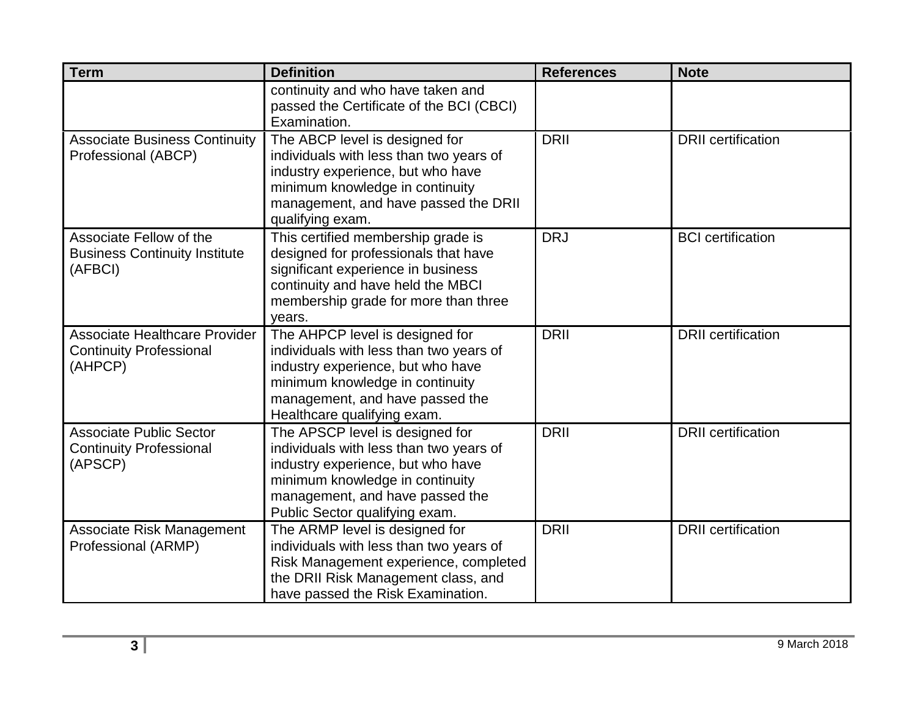| <b>Term</b>                                                                       | <b>Definition</b>                                                                                                                                                                                                       | <b>References</b> | <b>Note</b>               |
|-----------------------------------------------------------------------------------|-------------------------------------------------------------------------------------------------------------------------------------------------------------------------------------------------------------------------|-------------------|---------------------------|
|                                                                                   | continuity and who have taken and<br>passed the Certificate of the BCI (CBCI)<br>Examination.                                                                                                                           |                   |                           |
| <b>Associate Business Continuity</b><br>Professional (ABCP)                       | The ABCP level is designed for<br>individuals with less than two years of<br>industry experience, but who have<br>minimum knowledge in continuity<br>management, and have passed the DRII<br>qualifying exam.           | <b>DRII</b>       | <b>DRII</b> certification |
| Associate Fellow of the<br><b>Business Continuity Institute</b><br>(AFBCI)        | This certified membership grade is<br>designed for professionals that have<br>significant experience in business<br>continuity and have held the MBCI<br>membership grade for more than three<br>years.                 | <b>DRJ</b>        | <b>BCI</b> certification  |
| <b>Associate Healthcare Provider</b><br><b>Continuity Professional</b><br>(AHPCP) | The AHPCP level is designed for<br>individuals with less than two years of<br>industry experience, but who have<br>minimum knowledge in continuity<br>management, and have passed the<br>Healthcare qualifying exam.    | <b>DRII</b>       | <b>DRII</b> certification |
| <b>Associate Public Sector</b><br><b>Continuity Professional</b><br>(APSCP)       | The APSCP level is designed for<br>individuals with less than two years of<br>industry experience, but who have<br>minimum knowledge in continuity<br>management, and have passed the<br>Public Sector qualifying exam. | <b>DRII</b>       | <b>DRII</b> certification |
| <b>Associate Risk Management</b><br>Professional (ARMP)                           | The ARMP level is designed for<br>individuals with less than two years of<br>Risk Management experience, completed<br>the DRII Risk Management class, and<br>have passed the Risk Examination.                          | <b>DRII</b>       | <b>DRII</b> certification |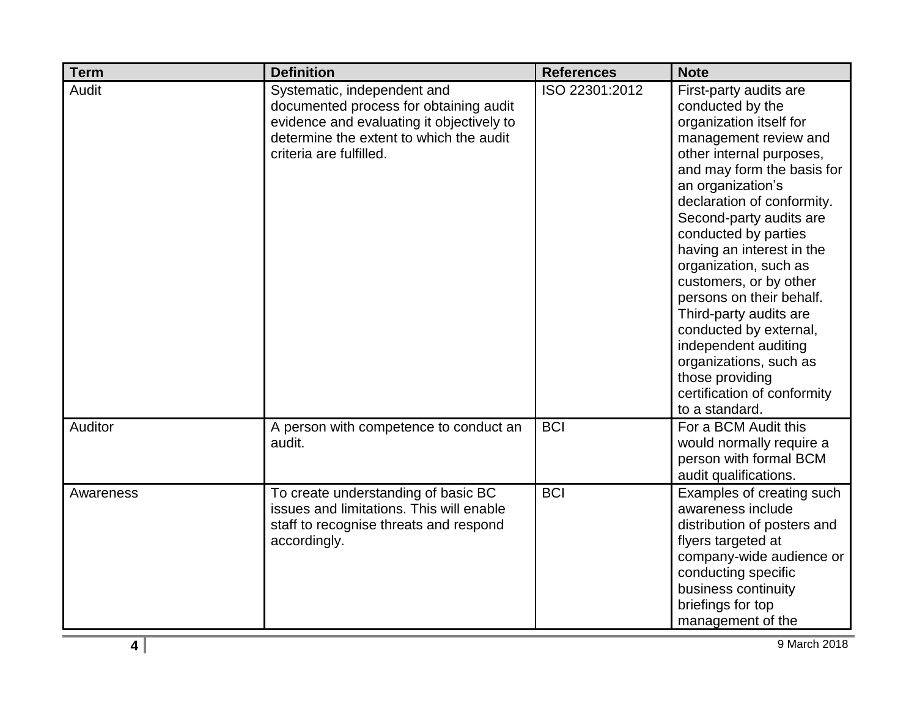| <b>Term</b> | <b>Definition</b>                                                                                                                                                                        | <b>References</b> | <b>Note</b>                                                                                                                                                                                                                                                                                                                                                                                                                                                                                                                                          |
|-------------|------------------------------------------------------------------------------------------------------------------------------------------------------------------------------------------|-------------------|------------------------------------------------------------------------------------------------------------------------------------------------------------------------------------------------------------------------------------------------------------------------------------------------------------------------------------------------------------------------------------------------------------------------------------------------------------------------------------------------------------------------------------------------------|
| Audit       | Systematic, independent and<br>documented process for obtaining audit<br>evidence and evaluating it objectively to<br>determine the extent to which the audit<br>criteria are fulfilled. | ISO 22301:2012    | First-party audits are<br>conducted by the<br>organization itself for<br>management review and<br>other internal purposes,<br>and may form the basis for<br>an organization's<br>declaration of conformity.<br>Second-party audits are<br>conducted by parties<br>having an interest in the<br>organization, such as<br>customers, or by other<br>persons on their behalf.<br>Third-party audits are<br>conducted by external,<br>independent auditing<br>organizations, such as<br>those providing<br>certification of conformity<br>to a standard. |
| Auditor     | A person with competence to conduct an<br>audit.                                                                                                                                         | <b>BCI</b>        | For a BCM Audit this<br>would normally require a<br>person with formal BCM<br>audit qualifications.                                                                                                                                                                                                                                                                                                                                                                                                                                                  |
| Awareness   | To create understanding of basic BC<br>issues and limitations. This will enable<br>staff to recognise threats and respond<br>accordingly.                                                | <b>BCI</b>        | Examples of creating such<br>awareness include<br>distribution of posters and<br>flyers targeted at<br>company-wide audience or<br>conducting specific<br>business continuity<br>briefings for top<br>management of the                                                                                                                                                                                                                                                                                                                              |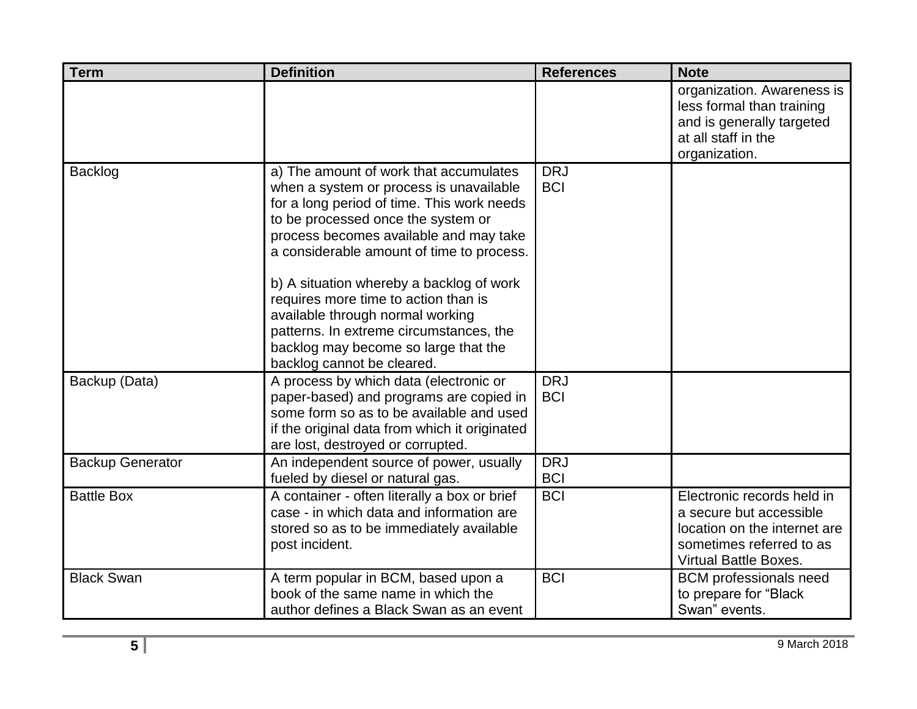| <b>Term</b>             | <b>Definition</b>                                                                                                                                                                                                                                                                                                                                                                                                                                                                                     | <b>References</b>        | <b>Note</b>                                                                                                                                       |
|-------------------------|-------------------------------------------------------------------------------------------------------------------------------------------------------------------------------------------------------------------------------------------------------------------------------------------------------------------------------------------------------------------------------------------------------------------------------------------------------------------------------------------------------|--------------------------|---------------------------------------------------------------------------------------------------------------------------------------------------|
|                         |                                                                                                                                                                                                                                                                                                                                                                                                                                                                                                       |                          | organization. Awareness is<br>less formal than training<br>and is generally targeted<br>at all staff in the<br>organization.                      |
| Backlog                 | a) The amount of work that accumulates<br>when a system or process is unavailable<br>for a long period of time. This work needs<br>to be processed once the system or<br>process becomes available and may take<br>a considerable amount of time to process.<br>b) A situation whereby a backlog of work<br>requires more time to action than is<br>available through normal working<br>patterns. In extreme circumstances, the<br>backlog may become so large that the<br>backlog cannot be cleared. | <b>DRJ</b><br><b>BCI</b> |                                                                                                                                                   |
| Backup (Data)           | A process by which data (electronic or<br>paper-based) and programs are copied in<br>some form so as to be available and used<br>if the original data from which it originated<br>are lost, destroyed or corrupted.                                                                                                                                                                                                                                                                                   | <b>DRJ</b><br><b>BCI</b> |                                                                                                                                                   |
| <b>Backup Generator</b> | An independent source of power, usually<br>fueled by diesel or natural gas.                                                                                                                                                                                                                                                                                                                                                                                                                           | <b>DRJ</b><br><b>BCI</b> |                                                                                                                                                   |
| <b>Battle Box</b>       | A container - often literally a box or brief<br>case - in which data and information are<br>stored so as to be immediately available<br>post incident.                                                                                                                                                                                                                                                                                                                                                | <b>BCI</b>               | Electronic records held in<br>a secure but accessible<br>location on the internet are<br>sometimes referred to as<br><b>Virtual Battle Boxes.</b> |
| <b>Black Swan</b>       | A term popular in BCM, based upon a<br>book of the same name in which the<br>author defines a Black Swan as an event                                                                                                                                                                                                                                                                                                                                                                                  | <b>BCI</b>               | <b>BCM</b> professionals need<br>to prepare for "Black<br>Swan" events.                                                                           |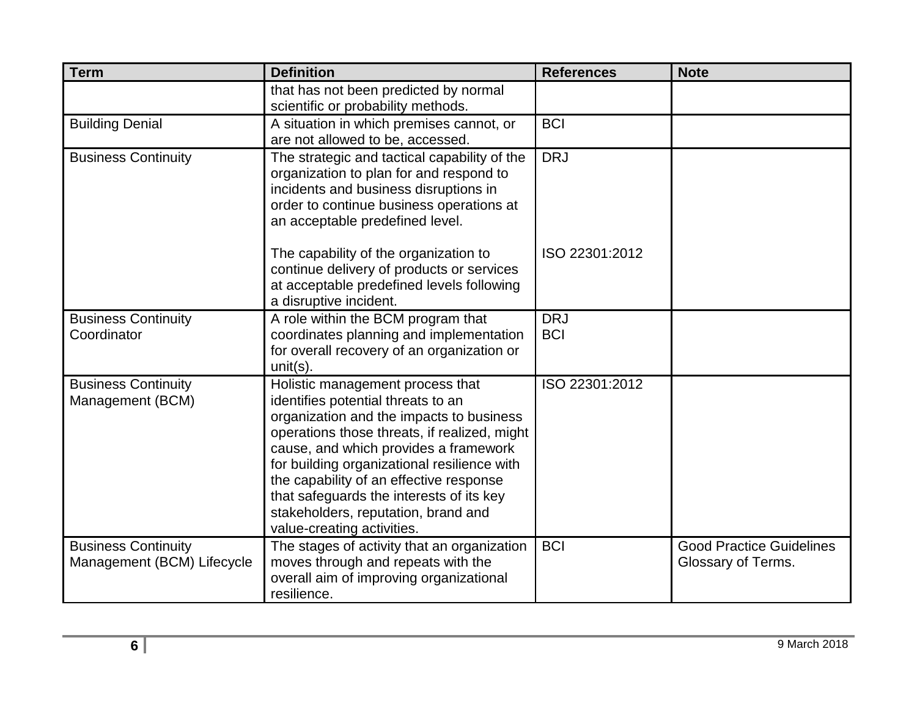| <b>Term</b>                                              | <b>Definition</b>                                                                                                                                                                                                                                                                                                                                                                                                      | <b>References</b>        | <b>Note</b>                                           |
|----------------------------------------------------------|------------------------------------------------------------------------------------------------------------------------------------------------------------------------------------------------------------------------------------------------------------------------------------------------------------------------------------------------------------------------------------------------------------------------|--------------------------|-------------------------------------------------------|
|                                                          | that has not been predicted by normal<br>scientific or probability methods.                                                                                                                                                                                                                                                                                                                                            |                          |                                                       |
| <b>Building Denial</b>                                   | A situation in which premises cannot, or<br>are not allowed to be, accessed.                                                                                                                                                                                                                                                                                                                                           | <b>BCI</b>               |                                                       |
| <b>Business Continuity</b>                               | The strategic and tactical capability of the<br>organization to plan for and respond to<br>incidents and business disruptions in<br>order to continue business operations at<br>an acceptable predefined level.                                                                                                                                                                                                        | <b>DRJ</b>               |                                                       |
|                                                          | The capability of the organization to<br>continue delivery of products or services<br>at acceptable predefined levels following<br>a disruptive incident.                                                                                                                                                                                                                                                              | ISO 22301:2012           |                                                       |
| <b>Business Continuity</b><br>Coordinator                | A role within the BCM program that<br>coordinates planning and implementation<br>for overall recovery of an organization or<br>$unit(s)$ .                                                                                                                                                                                                                                                                             | <b>DRJ</b><br><b>BCI</b> |                                                       |
| <b>Business Continuity</b><br>Management (BCM)           | Holistic management process that<br>identifies potential threats to an<br>organization and the impacts to business<br>operations those threats, if realized, might<br>cause, and which provides a framework<br>for building organizational resilience with<br>the capability of an effective response<br>that safeguards the interests of its key<br>stakeholders, reputation, brand and<br>value-creating activities. | ISO 22301:2012           |                                                       |
| <b>Business Continuity</b><br>Management (BCM) Lifecycle | The stages of activity that an organization<br>moves through and repeats with the<br>overall aim of improving organizational<br>resilience.                                                                                                                                                                                                                                                                            | <b>BCI</b>               | <b>Good Practice Guidelines</b><br>Glossary of Terms. |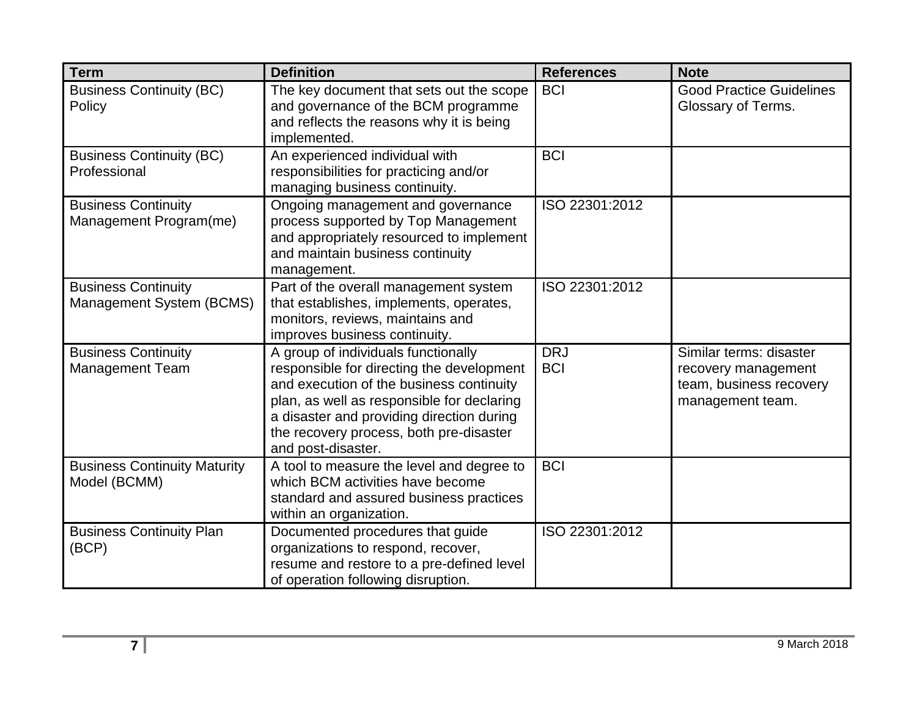| <b>Term</b>                                            | <b>Definition</b>                                                                                                                                                                                                                                                                        | <b>References</b>        | <b>Note</b>                                                                                   |
|--------------------------------------------------------|------------------------------------------------------------------------------------------------------------------------------------------------------------------------------------------------------------------------------------------------------------------------------------------|--------------------------|-----------------------------------------------------------------------------------------------|
| <b>Business Continuity (BC)</b><br>Policy              | The key document that sets out the scope<br>and governance of the BCM programme<br>and reflects the reasons why it is being<br>implemented.                                                                                                                                              | <b>BCI</b>               | <b>Good Practice Guidelines</b><br>Glossary of Terms.                                         |
| <b>Business Continuity (BC)</b><br>Professional        | An experienced individual with<br>responsibilities for practicing and/or<br>managing business continuity.                                                                                                                                                                                | <b>BCI</b>               |                                                                                               |
| <b>Business Continuity</b><br>Management Program(me)   | Ongoing management and governance<br>process supported by Top Management<br>and appropriately resourced to implement<br>and maintain business continuity<br>management.                                                                                                                  | ISO 22301:2012           |                                                                                               |
| <b>Business Continuity</b><br>Management System (BCMS) | Part of the overall management system<br>that establishes, implements, operates,<br>monitors, reviews, maintains and<br>improves business continuity.                                                                                                                                    | ISO 22301:2012           |                                                                                               |
| <b>Business Continuity</b><br><b>Management Team</b>   | A group of individuals functionally<br>responsible for directing the development<br>and execution of the business continuity<br>plan, as well as responsible for declaring<br>a disaster and providing direction during<br>the recovery process, both pre-disaster<br>and post-disaster. | <b>DRJ</b><br><b>BCI</b> | Similar terms: disaster<br>recovery management<br>team, business recovery<br>management team. |
| <b>Business Continuity Maturity</b><br>Model (BCMM)    | A tool to measure the level and degree to<br>which BCM activities have become<br>standard and assured business practices<br>within an organization.                                                                                                                                      | <b>BCI</b>               |                                                                                               |
| <b>Business Continuity Plan</b><br>(BCP)               | Documented procedures that guide<br>organizations to respond, recover,<br>resume and restore to a pre-defined level<br>of operation following disruption.                                                                                                                                | ISO 22301:2012           |                                                                                               |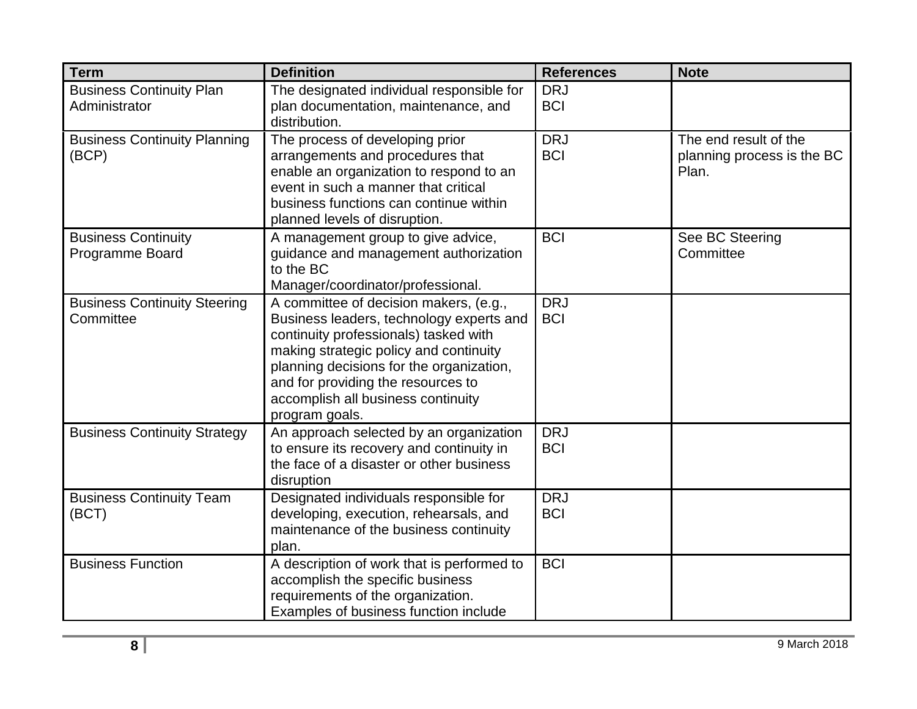| <b>Term</b>                                      | <b>Definition</b>                                                                                                                                                                                                                                                                                               | <b>References</b>        | <b>Note</b>                                                  |
|--------------------------------------------------|-----------------------------------------------------------------------------------------------------------------------------------------------------------------------------------------------------------------------------------------------------------------------------------------------------------------|--------------------------|--------------------------------------------------------------|
| <b>Business Continuity Plan</b><br>Administrator | The designated individual responsible for<br>plan documentation, maintenance, and<br>distribution.                                                                                                                                                                                                              | <b>DRJ</b><br><b>BCI</b> |                                                              |
| <b>Business Continuity Planning</b><br>(BCP)     | The process of developing prior<br>arrangements and procedures that<br>enable an organization to respond to an<br>event in such a manner that critical<br>business functions can continue within<br>planned levels of disruption.                                                                               | <b>DRJ</b><br><b>BCI</b> | The end result of the<br>planning process is the BC<br>Plan. |
| <b>Business Continuity</b><br>Programme Board    | A management group to give advice,<br>guidance and management authorization<br>to the BC<br>Manager/coordinator/professional.                                                                                                                                                                                   | <b>BCI</b>               | See BC Steering<br>Committee                                 |
| <b>Business Continuity Steering</b><br>Committee | A committee of decision makers, (e.g.,<br>Business leaders, technology experts and<br>continuity professionals) tasked with<br>making strategic policy and continuity<br>planning decisions for the organization,<br>and for providing the resources to<br>accomplish all business continuity<br>program goals. | <b>DRJ</b><br><b>BCI</b> |                                                              |
| <b>Business Continuity Strategy</b>              | An approach selected by an organization<br>to ensure its recovery and continuity in<br>the face of a disaster or other business<br>disruption                                                                                                                                                                   | <b>DRJ</b><br><b>BCI</b> |                                                              |
| <b>Business Continuity Team</b><br>(BCT)         | Designated individuals responsible for<br>developing, execution, rehearsals, and<br>maintenance of the business continuity<br>plan.                                                                                                                                                                             | <b>DRJ</b><br><b>BCI</b> |                                                              |
| <b>Business Function</b>                         | A description of work that is performed to<br>accomplish the specific business<br>requirements of the organization.<br>Examples of business function include                                                                                                                                                    | <b>BCI</b>               |                                                              |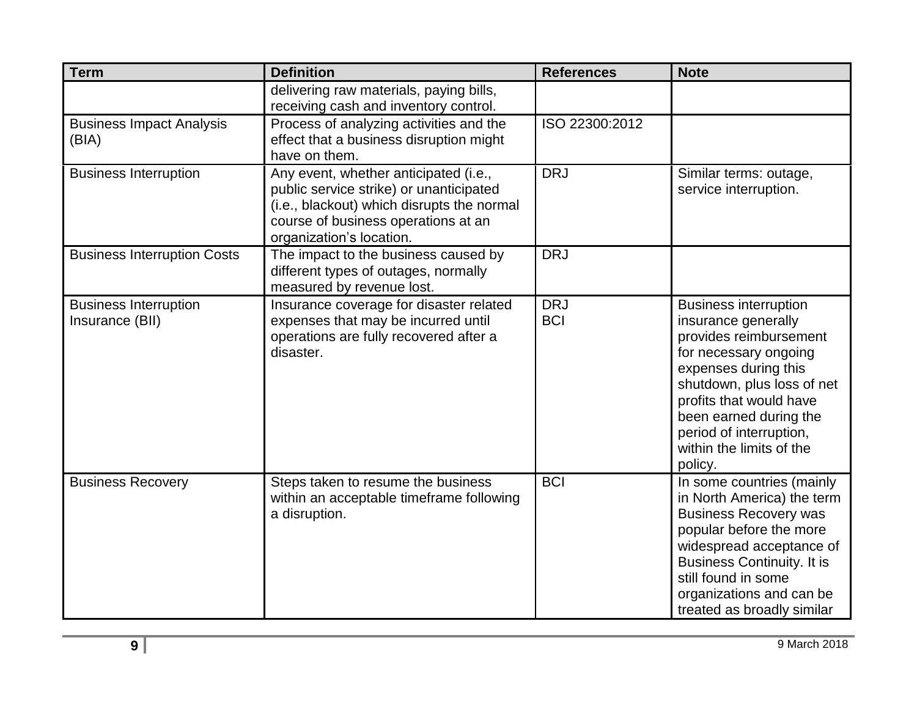| <b>Term</b>                                     | <b>Definition</b>                                                                                                                                                                                 | <b>References</b>        | <b>Note</b>                                                                                                                                                                                                                                                                         |
|-------------------------------------------------|---------------------------------------------------------------------------------------------------------------------------------------------------------------------------------------------------|--------------------------|-------------------------------------------------------------------------------------------------------------------------------------------------------------------------------------------------------------------------------------------------------------------------------------|
|                                                 | delivering raw materials, paying bills,<br>receiving cash and inventory control.                                                                                                                  |                          |                                                                                                                                                                                                                                                                                     |
| <b>Business Impact Analysis</b><br>(BIA)        | Process of analyzing activities and the<br>effect that a business disruption might<br>have on them.                                                                                               | ISO 22300:2012           |                                                                                                                                                                                                                                                                                     |
| <b>Business Interruption</b>                    | Any event, whether anticipated (i.e.,<br>public service strike) or unanticipated<br>(i.e., blackout) which disrupts the normal<br>course of business operations at an<br>organization's location. | <b>DRJ</b>               | Similar terms: outage,<br>service interruption.                                                                                                                                                                                                                                     |
| <b>Business Interruption Costs</b>              | The impact to the business caused by<br>different types of outages, normally<br>measured by revenue lost.                                                                                         | <b>DRJ</b>               |                                                                                                                                                                                                                                                                                     |
| <b>Business Interruption</b><br>Insurance (BII) | Insurance coverage for disaster related<br>expenses that may be incurred until<br>operations are fully recovered after a<br>disaster.                                                             | <b>DRJ</b><br><b>BCI</b> | <b>Business interruption</b><br>insurance generally<br>provides reimbursement<br>for necessary ongoing<br>expenses during this<br>shutdown, plus loss of net<br>profits that would have<br>been earned during the<br>period of interruption,<br>within the limits of the<br>policy. |
| <b>Business Recovery</b>                        | Steps taken to resume the business<br>within an acceptable timeframe following<br>a disruption.                                                                                                   | <b>BCI</b>               | In some countries (mainly<br>in North America) the term<br><b>Business Recovery was</b><br>popular before the more<br>widespread acceptance of<br><b>Business Continuity. It is</b><br>still found in some<br>organizations and can be<br>treated as broadly similar                |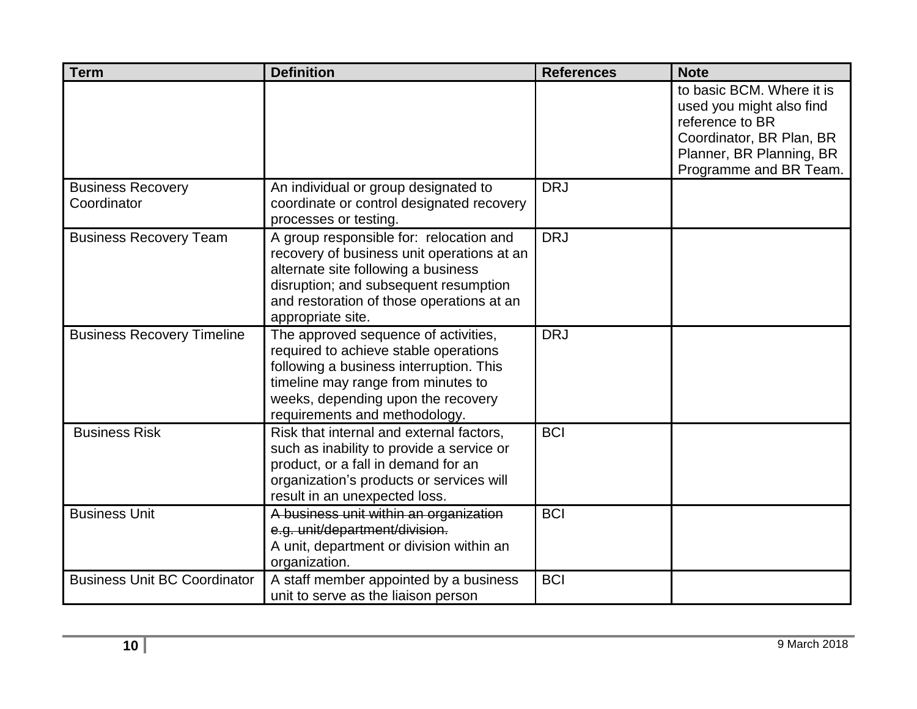| <b>Term</b>                             | <b>Definition</b>                                                                                                                                                                                                                       | <b>References</b> | <b>Note</b>                                                                                                                                                |
|-----------------------------------------|-----------------------------------------------------------------------------------------------------------------------------------------------------------------------------------------------------------------------------------------|-------------------|------------------------------------------------------------------------------------------------------------------------------------------------------------|
|                                         |                                                                                                                                                                                                                                         |                   | to basic BCM. Where it is<br>used you might also find<br>reference to BR<br>Coordinator, BR Plan, BR<br>Planner, BR Planning, BR<br>Programme and BR Team. |
| <b>Business Recovery</b><br>Coordinator | An individual or group designated to<br>coordinate or control designated recovery<br>processes or testing.                                                                                                                              | <b>DRJ</b>        |                                                                                                                                                            |
| <b>Business Recovery Team</b>           | A group responsible for: relocation and<br>recovery of business unit operations at an<br>alternate site following a business<br>disruption; and subsequent resumption<br>and restoration of those operations at an<br>appropriate site. | <b>DRJ</b>        |                                                                                                                                                            |
| <b>Business Recovery Timeline</b>       | The approved sequence of activities,<br>required to achieve stable operations<br>following a business interruption. This<br>timeline may range from minutes to<br>weeks, depending upon the recovery<br>requirements and methodology.   | <b>DRJ</b>        |                                                                                                                                                            |
| <b>Business Risk</b>                    | Risk that internal and external factors,<br>such as inability to provide a service or<br>product, or a fall in demand for an<br>organization's products or services will<br>result in an unexpected loss.                               | <b>BCI</b>        |                                                                                                                                                            |
| <b>Business Unit</b>                    | A business unit within an organization<br>e.g. unit/department/division.<br>A unit, department or division within an<br>organization.                                                                                                   | <b>BCI</b>        |                                                                                                                                                            |
| <b>Business Unit BC Coordinator</b>     | A staff member appointed by a business<br>unit to serve as the liaison person                                                                                                                                                           | <b>BCI</b>        |                                                                                                                                                            |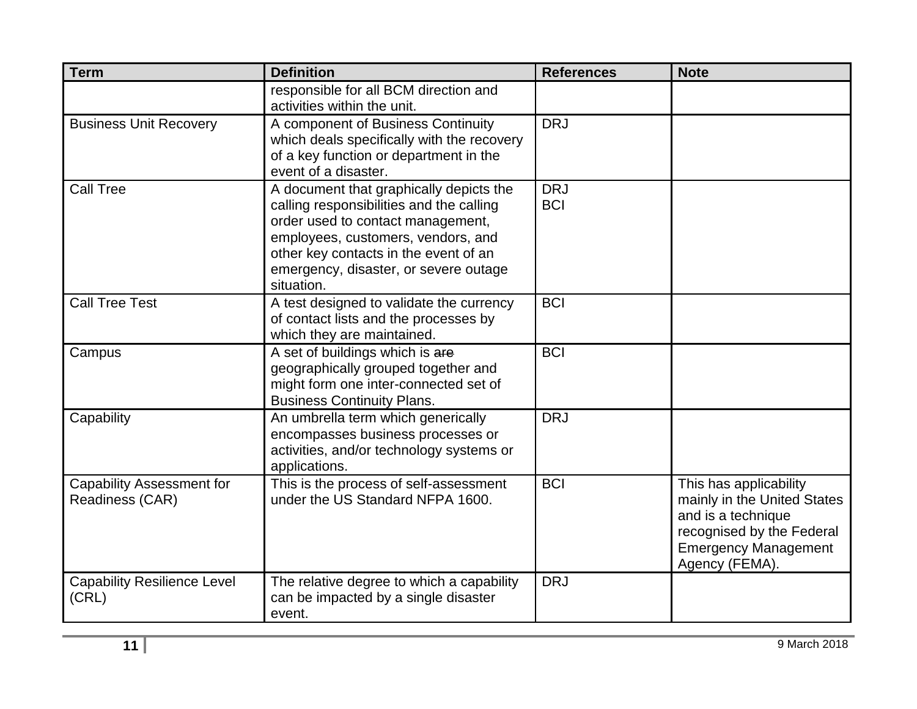| <b>Term</b>                                         | <b>Definition</b>                                                                                                                                                                                                                                              | <b>References</b>        | <b>Note</b>                                                                                                                                               |
|-----------------------------------------------------|----------------------------------------------------------------------------------------------------------------------------------------------------------------------------------------------------------------------------------------------------------------|--------------------------|-----------------------------------------------------------------------------------------------------------------------------------------------------------|
|                                                     | responsible for all BCM direction and<br>activities within the unit.                                                                                                                                                                                           |                          |                                                                                                                                                           |
| <b>Business Unit Recovery</b>                       | A component of Business Continuity<br>which deals specifically with the recovery<br>of a key function or department in the<br>event of a disaster.                                                                                                             | <b>DRJ</b>               |                                                                                                                                                           |
| <b>Call Tree</b>                                    | A document that graphically depicts the<br>calling responsibilities and the calling<br>order used to contact management,<br>employees, customers, vendors, and<br>other key contacts in the event of an<br>emergency, disaster, or severe outage<br>situation. | <b>DRJ</b><br><b>BCI</b> |                                                                                                                                                           |
| <b>Call Tree Test</b>                               | A test designed to validate the currency<br>of contact lists and the processes by<br>which they are maintained.                                                                                                                                                | <b>BCI</b>               |                                                                                                                                                           |
| Campus                                              | A set of buildings which is are<br>geographically grouped together and<br>might form one inter-connected set of<br><b>Business Continuity Plans.</b>                                                                                                           | <b>BCI</b>               |                                                                                                                                                           |
| Capability                                          | An umbrella term which generically<br>encompasses business processes or<br>activities, and/or technology systems or<br>applications.                                                                                                                           | <b>DRJ</b>               |                                                                                                                                                           |
| <b>Capability Assessment for</b><br>Readiness (CAR) | This is the process of self-assessment<br>under the US Standard NFPA 1600.                                                                                                                                                                                     | <b>BCI</b>               | This has applicability<br>mainly in the United States<br>and is a technique<br>recognised by the Federal<br><b>Emergency Management</b><br>Agency (FEMA). |
| <b>Capability Resilience Level</b><br>(CRL)         | The relative degree to which a capability<br>can be impacted by a single disaster<br>event.                                                                                                                                                                    | <b>DRJ</b>               |                                                                                                                                                           |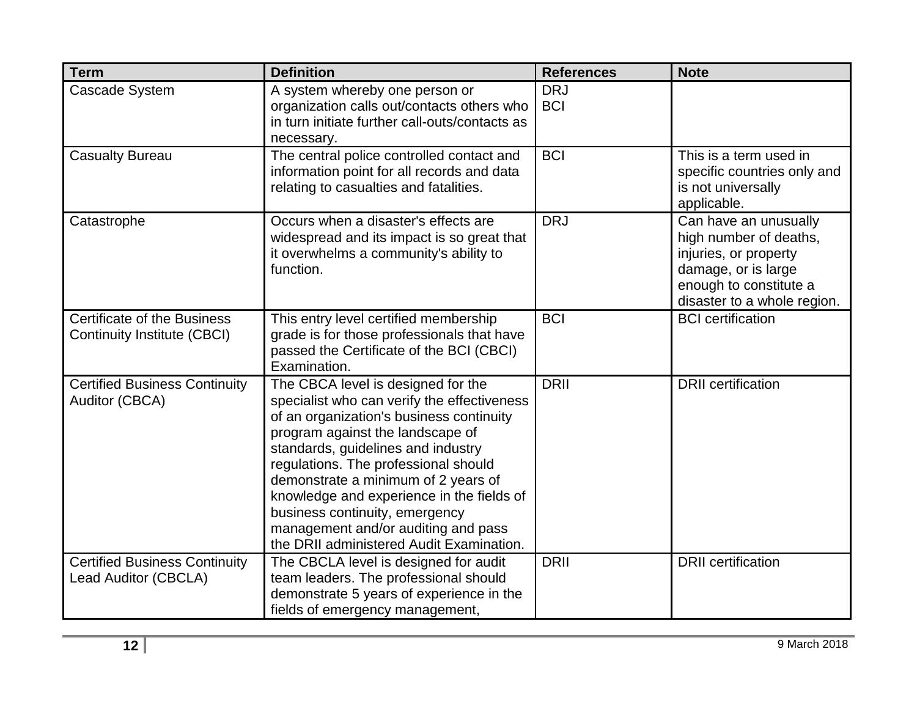| <b>Term</b>                                                  | <b>Definition</b>                                                                                                                                                                                                                                                                                                                                                                                                                                        | <b>References</b>        | <b>Note</b>                                                                                                                                              |
|--------------------------------------------------------------|----------------------------------------------------------------------------------------------------------------------------------------------------------------------------------------------------------------------------------------------------------------------------------------------------------------------------------------------------------------------------------------------------------------------------------------------------------|--------------------------|----------------------------------------------------------------------------------------------------------------------------------------------------------|
| <b>Cascade System</b>                                        | A system whereby one person or<br>organization calls out/contacts others who<br>in turn initiate further call-outs/contacts as<br>necessary.                                                                                                                                                                                                                                                                                                             | <b>DRJ</b><br><b>BCI</b> |                                                                                                                                                          |
| <b>Casualty Bureau</b>                                       | The central police controlled contact and<br>information point for all records and data<br>relating to casualties and fatalities.                                                                                                                                                                                                                                                                                                                        | <b>BCI</b>               | This is a term used in<br>specific countries only and<br>is not universally<br>applicable.                                                               |
| Catastrophe                                                  | Occurs when a disaster's effects are<br>widespread and its impact is so great that<br>it overwhelms a community's ability to<br>function.                                                                                                                                                                                                                                                                                                                | <b>DRJ</b>               | Can have an unusually<br>high number of deaths,<br>injuries, or property<br>damage, or is large<br>enough to constitute a<br>disaster to a whole region. |
| Certificate of the Business<br>Continuity Institute (CBCI)   | This entry level certified membership<br>grade is for those professionals that have<br>passed the Certificate of the BCI (CBCI)<br>Examination.                                                                                                                                                                                                                                                                                                          | <b>BCI</b>               | <b>BCI</b> certification                                                                                                                                 |
| <b>Certified Business Continuity</b><br>Auditor (CBCA)       | The CBCA level is designed for the<br>specialist who can verify the effectiveness<br>of an organization's business continuity<br>program against the landscape of<br>standards, guidelines and industry<br>regulations. The professional should<br>demonstrate a minimum of 2 years of<br>knowledge and experience in the fields of<br>business continuity, emergency<br>management and/or auditing and pass<br>the DRII administered Audit Examination. | <b>DRII</b>              | <b>DRII</b> certification                                                                                                                                |
| <b>Certified Business Continuity</b><br>Lead Auditor (CBCLA) | The CBCLA level is designed for audit<br>team leaders. The professional should<br>demonstrate 5 years of experience in the<br>fields of emergency management,                                                                                                                                                                                                                                                                                            | <b>DRII</b>              | <b>DRII</b> certification                                                                                                                                |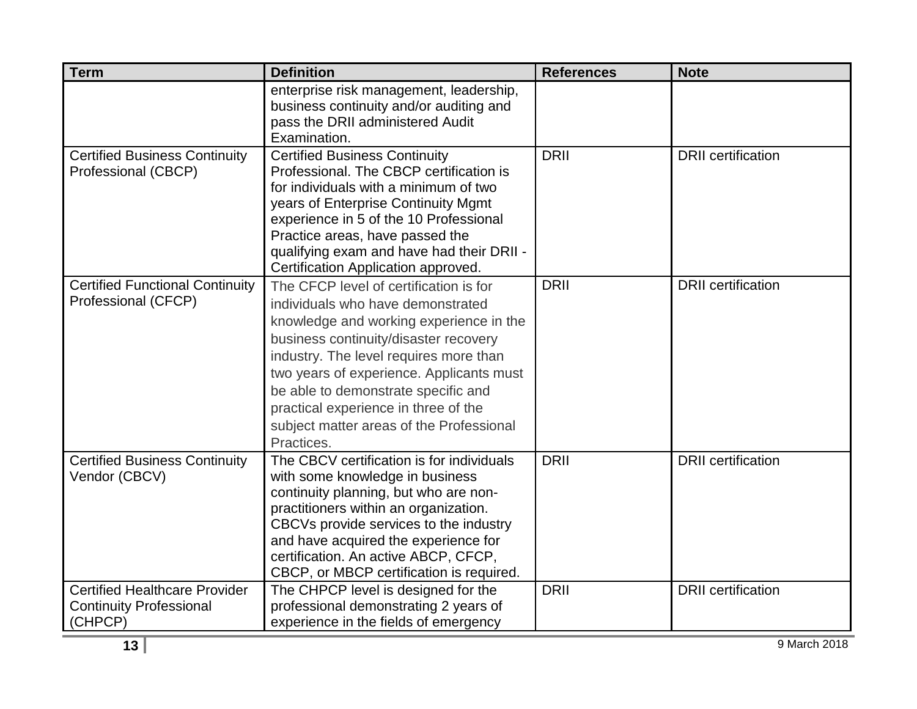| <b>Term</b>                            | <b>Definition</b>                                                                  | <b>References</b> | <b>Note</b>               |
|----------------------------------------|------------------------------------------------------------------------------------|-------------------|---------------------------|
|                                        | enterprise risk management, leadership,<br>business continuity and/or auditing and |                   |                           |
|                                        | pass the DRII administered Audit                                                   |                   |                           |
|                                        | Examination.                                                                       |                   |                           |
| <b>Certified Business Continuity</b>   | <b>Certified Business Continuity</b>                                               | <b>DRII</b>       | <b>DRII</b> certification |
| Professional (CBCP)                    | Professional. The CBCP certification is                                            |                   |                           |
|                                        | for individuals with a minimum of two                                              |                   |                           |
|                                        | years of Enterprise Continuity Mgmt                                                |                   |                           |
|                                        | experience in 5 of the 10 Professional                                             |                   |                           |
|                                        | Practice areas, have passed the                                                    |                   |                           |
|                                        | qualifying exam and have had their DRII -                                          |                   |                           |
|                                        | Certification Application approved.                                                |                   |                           |
| <b>Certified Functional Continuity</b> | The CFCP level of certification is for                                             | <b>DRII</b>       | <b>DRII</b> certification |
| Professional (CFCP)                    | individuals who have demonstrated                                                  |                   |                           |
|                                        | knowledge and working experience in the                                            |                   |                           |
|                                        | business continuity/disaster recovery                                              |                   |                           |
|                                        | industry. The level requires more than                                             |                   |                           |
|                                        | two years of experience. Applicants must                                           |                   |                           |
|                                        | be able to demonstrate specific and                                                |                   |                           |
|                                        | practical experience in three of the                                               |                   |                           |
|                                        | subject matter areas of the Professional                                           |                   |                           |
|                                        | Practices.                                                                         |                   |                           |
| <b>Certified Business Continuity</b>   | The CBCV certification is for individuals                                          | <b>DRII</b>       | <b>DRII</b> certification |
| Vendor (CBCV)                          | with some knowledge in business                                                    |                   |                           |
|                                        | continuity planning, but who are non-                                              |                   |                           |
|                                        | practitioners within an organization.                                              |                   |                           |
|                                        | CBCVs provide services to the industry<br>and have acquired the experience for     |                   |                           |
|                                        | certification. An active ABCP, CFCP,                                               |                   |                           |
|                                        | CBCP, or MBCP certification is required.                                           |                   |                           |
| <b>Certified Healthcare Provider</b>   | The CHPCP level is designed for the                                                | <b>DRII</b>       | <b>DRII</b> certification |
| <b>Continuity Professional</b>         | professional demonstrating 2 years of                                              |                   |                           |
| (CHPCP)                                | experience in the fields of emergency                                              |                   |                           |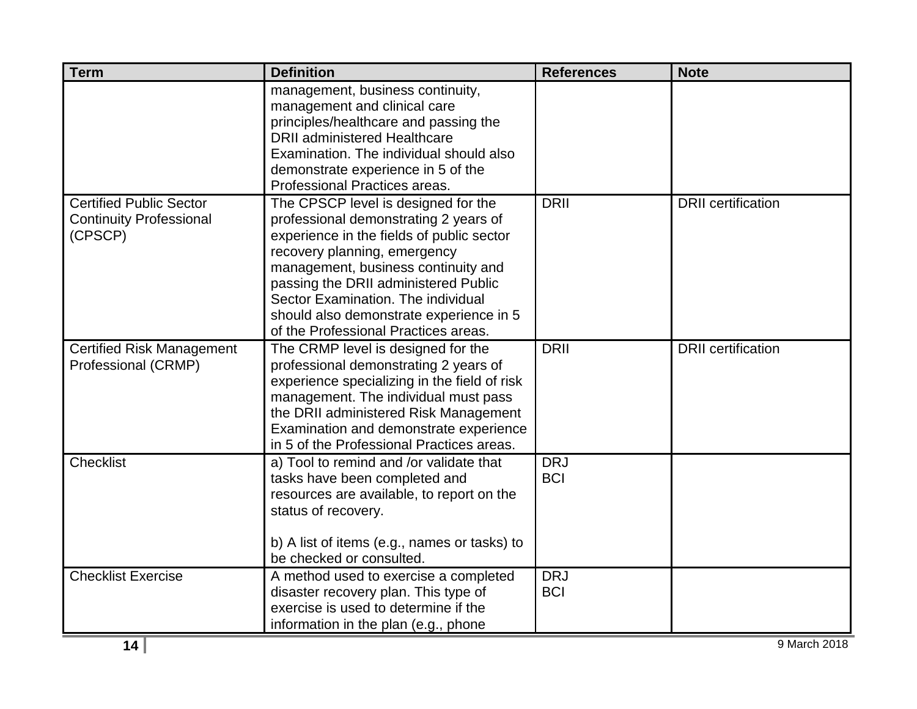| <b>Term</b>                      | <b>Definition</b>                                                        | <b>References</b> | <b>Note</b>               |
|----------------------------------|--------------------------------------------------------------------------|-------------------|---------------------------|
|                                  | management, business continuity,                                         |                   |                           |
|                                  | management and clinical care                                             |                   |                           |
|                                  | principles/healthcare and passing the                                    |                   |                           |
|                                  | <b>DRII</b> administered Healthcare                                      |                   |                           |
|                                  | Examination. The individual should also                                  |                   |                           |
|                                  | demonstrate experience in 5 of the                                       |                   |                           |
|                                  | Professional Practices areas.                                            |                   |                           |
| <b>Certified Public Sector</b>   | The CPSCP level is designed for the                                      | <b>DRII</b>       | <b>DRII</b> certification |
| <b>Continuity Professional</b>   | professional demonstrating 2 years of                                    |                   |                           |
| (CPSCP)                          | experience in the fields of public sector                                |                   |                           |
|                                  | recovery planning, emergency                                             |                   |                           |
|                                  | management, business continuity and                                      |                   |                           |
|                                  | passing the DRII administered Public                                     |                   |                           |
|                                  | Sector Examination. The individual                                       |                   |                           |
|                                  | should also demonstrate experience in 5                                  |                   |                           |
|                                  | of the Professional Practices areas.                                     |                   |                           |
| <b>Certified Risk Management</b> | The CRMP level is designed for the                                       | <b>DRII</b>       | <b>DRII</b> certification |
| Professional (CRMP)              | professional demonstrating 2 years of                                    |                   |                           |
|                                  | experience specializing in the field of risk                             |                   |                           |
|                                  | management. The individual must pass                                     |                   |                           |
|                                  | the DRII administered Risk Management                                    |                   |                           |
|                                  | Examination and demonstrate experience                                   |                   |                           |
|                                  | in 5 of the Professional Practices areas.                                |                   |                           |
| <b>Checklist</b>                 | a) Tool to remind and /or validate that                                  | <b>DRJ</b>        |                           |
|                                  | tasks have been completed and                                            | <b>BCI</b>        |                           |
|                                  | resources are available, to report on the                                |                   |                           |
|                                  | status of recovery.                                                      |                   |                           |
|                                  |                                                                          |                   |                           |
|                                  | b) A list of items (e.g., names or tasks) to<br>be checked or consulted. |                   |                           |
|                                  |                                                                          |                   |                           |
| <b>Checklist Exercise</b>        | A method used to exercise a completed                                    | <b>DRJ</b>        |                           |
|                                  | disaster recovery plan. This type of                                     | <b>BCI</b>        |                           |
|                                  | exercise is used to determine if the                                     |                   |                           |
|                                  | information in the plan (e.g., phone                                     |                   |                           |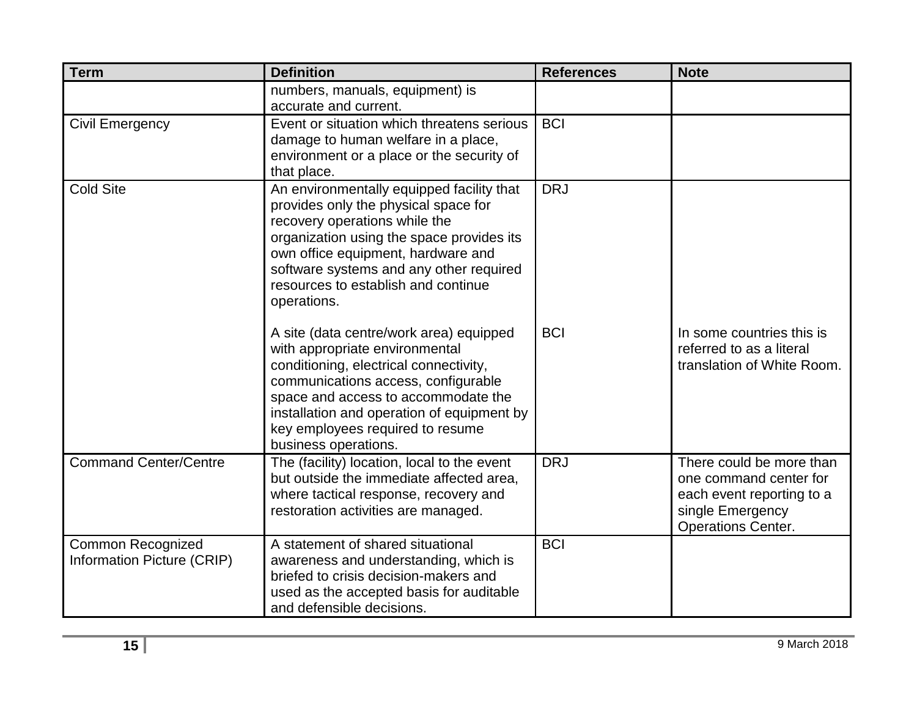| <b>Term</b>                                            | <b>Definition</b>                                                                                                                                                                                                                                                                                           | <b>References</b> | <b>Note</b>                                                                                                                      |
|--------------------------------------------------------|-------------------------------------------------------------------------------------------------------------------------------------------------------------------------------------------------------------------------------------------------------------------------------------------------------------|-------------------|----------------------------------------------------------------------------------------------------------------------------------|
|                                                        | numbers, manuals, equipment) is<br>accurate and current.                                                                                                                                                                                                                                                    |                   |                                                                                                                                  |
| <b>Civil Emergency</b>                                 | Event or situation which threatens serious<br>damage to human welfare in a place,<br>environment or a place or the security of<br>that place.                                                                                                                                                               | <b>BCI</b>        |                                                                                                                                  |
| <b>Cold Site</b>                                       | An environmentally equipped facility that<br>provides only the physical space for<br>recovery operations while the<br>organization using the space provides its<br>own office equipment, hardware and<br>software systems and any other required<br>resources to establish and continue<br>operations.      | <b>DRJ</b>        |                                                                                                                                  |
|                                                        | A site (data centre/work area) equipped<br>with appropriate environmental<br>conditioning, electrical connectivity,<br>communications access, configurable<br>space and access to accommodate the<br>installation and operation of equipment by<br>key employees required to resume<br>business operations. | <b>BCI</b>        | In some countries this is<br>referred to as a literal<br>translation of White Room.                                              |
| <b>Command Center/Centre</b>                           | The (facility) location, local to the event<br>but outside the immediate affected area,<br>where tactical response, recovery and<br>restoration activities are managed.                                                                                                                                     | <b>DRJ</b>        | There could be more than<br>one command center for<br>each event reporting to a<br>single Emergency<br><b>Operations Center.</b> |
| <b>Common Recognized</b><br>Information Picture (CRIP) | A statement of shared situational<br>awareness and understanding, which is<br>briefed to crisis decision-makers and<br>used as the accepted basis for auditable<br>and defensible decisions.                                                                                                                | <b>BCI</b>        |                                                                                                                                  |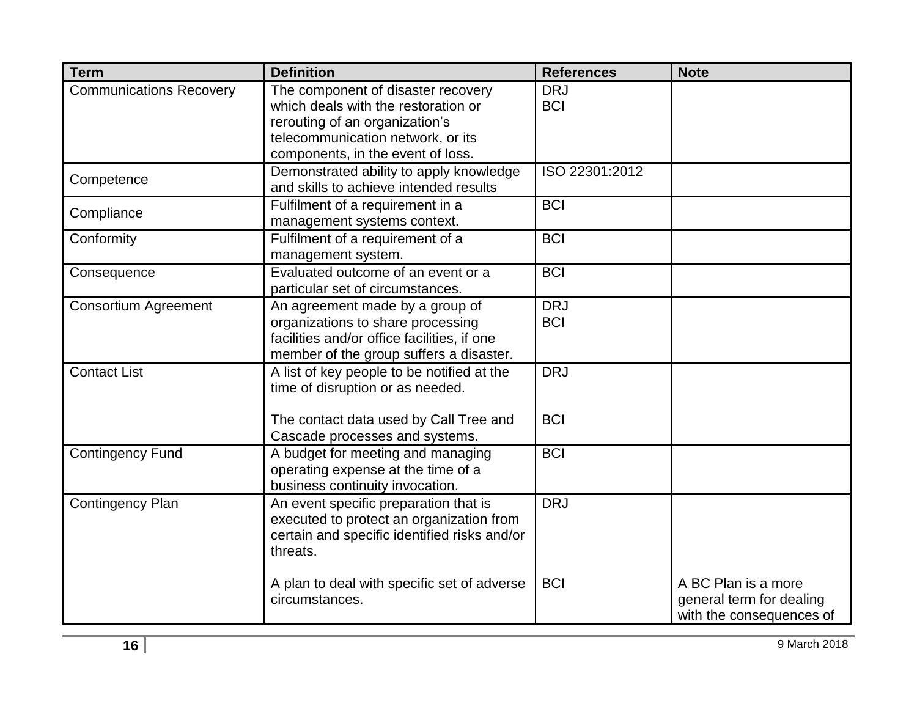| <b>Term</b>                    | <b>Definition</b>                                                                                                                                                                     | <b>References</b>        | <b>Note</b>                                                                 |
|--------------------------------|---------------------------------------------------------------------------------------------------------------------------------------------------------------------------------------|--------------------------|-----------------------------------------------------------------------------|
| <b>Communications Recovery</b> | The component of disaster recovery<br>which deals with the restoration or<br>rerouting of an organization's<br>telecommunication network, or its<br>components, in the event of loss. | <b>DRJ</b><br><b>BCI</b> |                                                                             |
| Competence                     | Demonstrated ability to apply knowledge<br>and skills to achieve intended results                                                                                                     | ISO 22301:2012           |                                                                             |
| Compliance                     | Fulfilment of a requirement in a<br>management systems context.                                                                                                                       | <b>BCI</b>               |                                                                             |
| Conformity                     | Fulfilment of a requirement of a<br>management system.                                                                                                                                | <b>BCI</b>               |                                                                             |
| Consequence                    | Evaluated outcome of an event or a<br>particular set of circumstances.                                                                                                                | <b>BCI</b>               |                                                                             |
| <b>Consortium Agreement</b>    | An agreement made by a group of<br>organizations to share processing<br>facilities and/or office facilities, if one<br>member of the group suffers a disaster.                        | <b>DRJ</b><br><b>BCI</b> |                                                                             |
| <b>Contact List</b>            | A list of key people to be notified at the<br>time of disruption or as needed.                                                                                                        | <b>DRJ</b>               |                                                                             |
|                                | The contact data used by Call Tree and<br>Cascade processes and systems.                                                                                                              | <b>BCI</b>               |                                                                             |
| <b>Contingency Fund</b>        | A budget for meeting and managing<br>operating expense at the time of a<br>business continuity invocation.                                                                            | <b>BCI</b>               |                                                                             |
| <b>Contingency Plan</b>        | An event specific preparation that is<br>executed to protect an organization from<br>certain and specific identified risks and/or<br>threats.                                         | <b>DRJ</b>               |                                                                             |
|                                | A plan to deal with specific set of adverse<br>circumstances.                                                                                                                         | <b>BCI</b>               | A BC Plan is a more<br>general term for dealing<br>with the consequences of |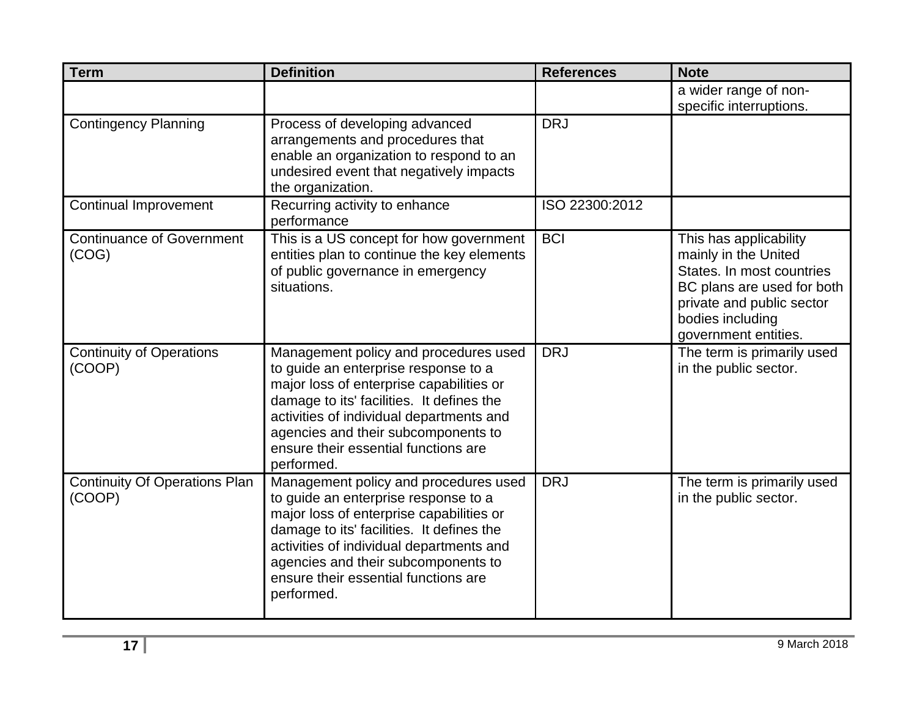| <b>Term</b>                                    | <b>Definition</b>                                                                                                                                                                                                                                                                                               | <b>References</b> | <b>Note</b>                                                                                                                                                                        |
|------------------------------------------------|-----------------------------------------------------------------------------------------------------------------------------------------------------------------------------------------------------------------------------------------------------------------------------------------------------------------|-------------------|------------------------------------------------------------------------------------------------------------------------------------------------------------------------------------|
|                                                |                                                                                                                                                                                                                                                                                                                 |                   | a wider range of non-<br>specific interruptions.                                                                                                                                   |
| <b>Contingency Planning</b>                    | Process of developing advanced<br>arrangements and procedures that<br>enable an organization to respond to an<br>undesired event that negatively impacts<br>the organization.                                                                                                                                   | <b>DRJ</b>        |                                                                                                                                                                                    |
| <b>Continual Improvement</b>                   | Recurring activity to enhance<br>performance                                                                                                                                                                                                                                                                    | ISO 22300:2012    |                                                                                                                                                                                    |
| <b>Continuance of Government</b><br>(COG)      | This is a US concept for how government<br>entities plan to continue the key elements<br>of public governance in emergency<br>situations.                                                                                                                                                                       | <b>BCI</b>        | This has applicability<br>mainly in the United<br>States. In most countries<br>BC plans are used for both<br>private and public sector<br>bodies including<br>government entities. |
| <b>Continuity of Operations</b><br>(COOP)      | Management policy and procedures used<br>to guide an enterprise response to a<br>major loss of enterprise capabilities or<br>damage to its' facilities. It defines the<br>activities of individual departments and<br>agencies and their subcomponents to<br>ensure their essential functions are<br>performed. | <b>DRJ</b>        | The term is primarily used<br>in the public sector.                                                                                                                                |
| <b>Continuity Of Operations Plan</b><br>(COOP) | Management policy and procedures used<br>to guide an enterprise response to a<br>major loss of enterprise capabilities or<br>damage to its' facilities. It defines the<br>activities of individual departments and<br>agencies and their subcomponents to<br>ensure their essential functions are<br>performed. | <b>DRJ</b>        | The term is primarily used<br>in the public sector.                                                                                                                                |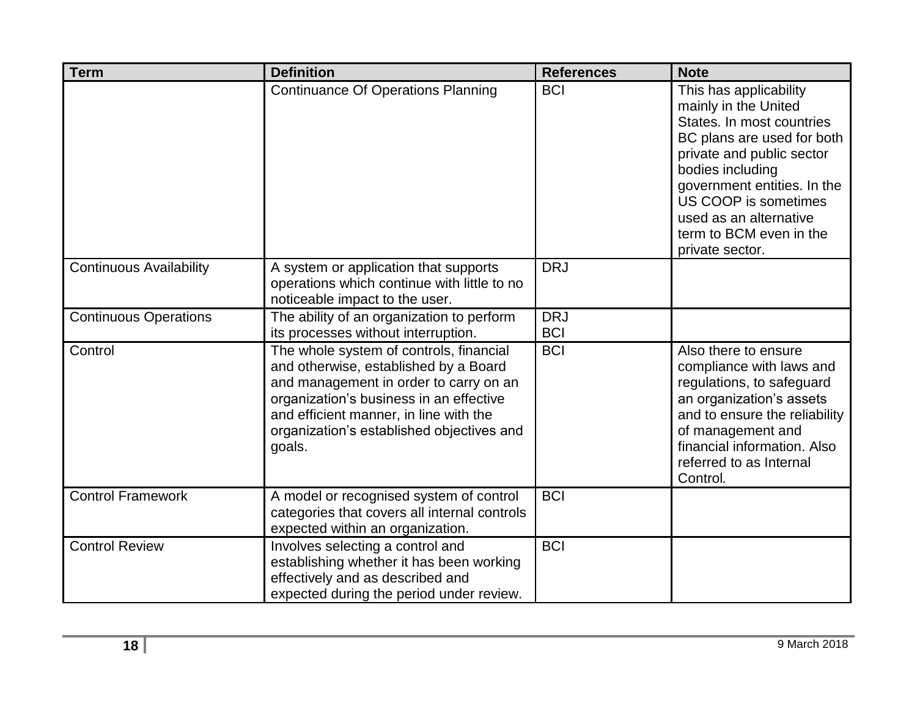| <b>Term</b>                    | <b>Definition</b>                                                                                                                                                                                                                                                      | <b>References</b>        | <b>Note</b>                                                                                                                                                                                                                                                                               |
|--------------------------------|------------------------------------------------------------------------------------------------------------------------------------------------------------------------------------------------------------------------------------------------------------------------|--------------------------|-------------------------------------------------------------------------------------------------------------------------------------------------------------------------------------------------------------------------------------------------------------------------------------------|
|                                | <b>Continuance Of Operations Planning</b>                                                                                                                                                                                                                              | <b>BCI</b>               | This has applicability<br>mainly in the United<br>States. In most countries<br>BC plans are used for both<br>private and public sector<br>bodies including<br>government entities. In the<br>US COOP is sometimes<br>used as an alternative<br>term to BCM even in the<br>private sector. |
| <b>Continuous Availability</b> | A system or application that supports<br>operations which continue with little to no<br>noticeable impact to the user.                                                                                                                                                 | <b>DRJ</b>               |                                                                                                                                                                                                                                                                                           |
| <b>Continuous Operations</b>   | The ability of an organization to perform<br>its processes without interruption.                                                                                                                                                                                       | <b>DRJ</b><br><b>BCI</b> |                                                                                                                                                                                                                                                                                           |
| Control                        | The whole system of controls, financial<br>and otherwise, established by a Board<br>and management in order to carry on an<br>organization's business in an effective<br>and efficient manner, in line with the<br>organization's established objectives and<br>goals. | <b>BCI</b>               | Also there to ensure<br>compliance with laws and<br>regulations, to safeguard<br>an organization's assets<br>and to ensure the reliability<br>of management and<br>financial information. Also<br>referred to as Internal<br>Control.                                                     |
| Control Framework              | A model or recognised system of control<br>categories that covers all internal controls<br>expected within an organization.                                                                                                                                            | <b>BCI</b>               |                                                                                                                                                                                                                                                                                           |
| <b>Control Review</b>          | Involves selecting a control and<br>establishing whether it has been working<br>effectively and as described and<br>expected during the period under review.                                                                                                           | <b>BCI</b>               |                                                                                                                                                                                                                                                                                           |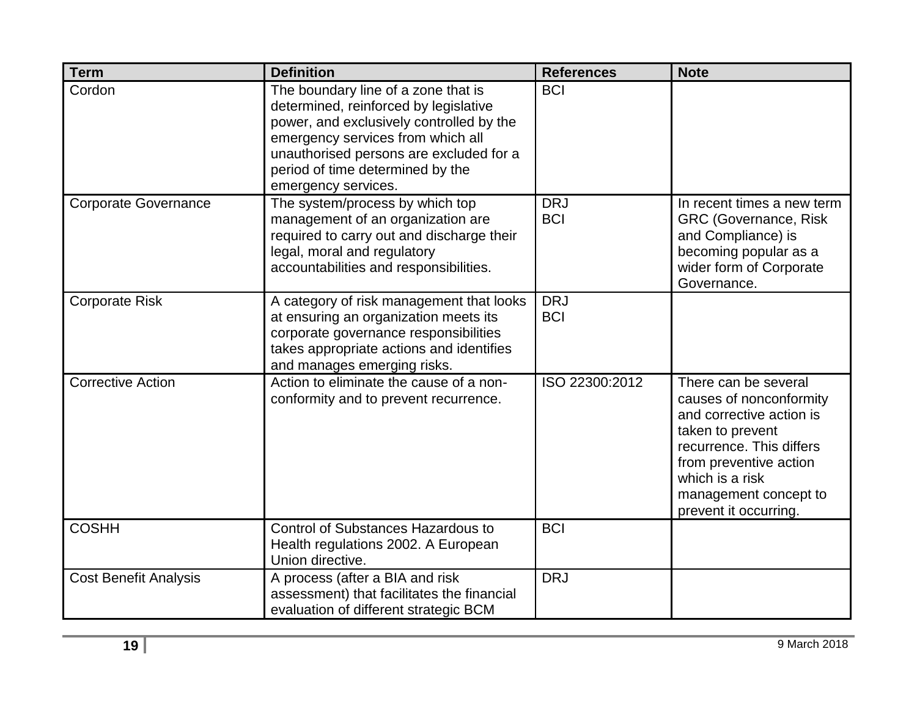| <b>Term</b>                  | <b>Definition</b>                                                                                                                                                                                                                                                   | <b>References</b>        | <b>Note</b>                                                                                                                                                                                                                |
|------------------------------|---------------------------------------------------------------------------------------------------------------------------------------------------------------------------------------------------------------------------------------------------------------------|--------------------------|----------------------------------------------------------------------------------------------------------------------------------------------------------------------------------------------------------------------------|
| Cordon                       | The boundary line of a zone that is<br>determined, reinforced by legislative<br>power, and exclusively controlled by the<br>emergency services from which all<br>unauthorised persons are excluded for a<br>period of time determined by the<br>emergency services. | <b>BCI</b>               |                                                                                                                                                                                                                            |
| <b>Corporate Governance</b>  | The system/process by which top<br>management of an organization are<br>required to carry out and discharge their<br>legal, moral and regulatory<br>accountabilities and responsibilities.                                                                          | <b>DRJ</b><br><b>BCI</b> | In recent times a new term<br><b>GRC (Governance, Risk</b><br>and Compliance) is<br>becoming popular as a<br>wider form of Corporate<br>Governance.                                                                        |
| <b>Corporate Risk</b>        | A category of risk management that looks<br>at ensuring an organization meets its<br>corporate governance responsibilities<br>takes appropriate actions and identifies<br>and manages emerging risks.                                                               | <b>DRJ</b><br><b>BCI</b> |                                                                                                                                                                                                                            |
| <b>Corrective Action</b>     | Action to eliminate the cause of a non-<br>conformity and to prevent recurrence.                                                                                                                                                                                    | ISO 22300:2012           | There can be several<br>causes of nonconformity<br>and corrective action is<br>taken to prevent<br>recurrence. This differs<br>from preventive action<br>which is a risk<br>management concept to<br>prevent it occurring. |
| <b>COSHH</b>                 | <b>Control of Substances Hazardous to</b><br>Health regulations 2002. A European<br>Union directive.                                                                                                                                                                | <b>BCI</b>               |                                                                                                                                                                                                                            |
| <b>Cost Benefit Analysis</b> | A process (after a BIA and risk<br>assessment) that facilitates the financial<br>evaluation of different strategic BCM                                                                                                                                              | <b>DRJ</b>               |                                                                                                                                                                                                                            |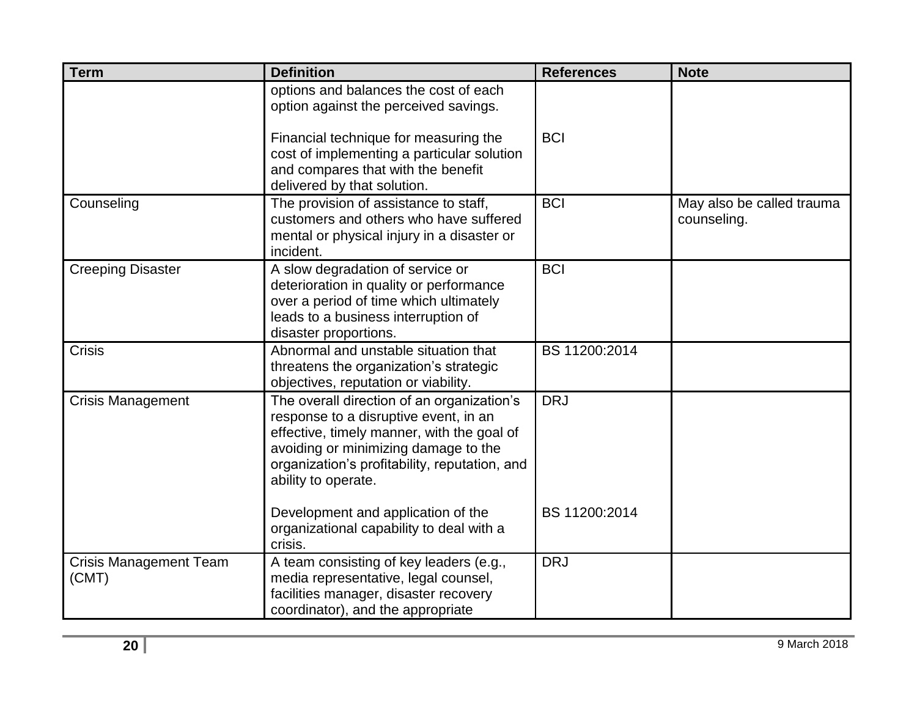| <b>Term</b>                            | <b>Definition</b>                                                                                                                                                                                                                                 | <b>References</b> | <b>Note</b>                              |
|----------------------------------------|---------------------------------------------------------------------------------------------------------------------------------------------------------------------------------------------------------------------------------------------------|-------------------|------------------------------------------|
|                                        | options and balances the cost of each<br>option against the perceived savings.<br>Financial technique for measuring the<br>cost of implementing a particular solution<br>and compares that with the benefit<br>delivered by that solution.        | <b>BCI</b>        |                                          |
| Counseling                             | The provision of assistance to staff,<br>customers and others who have suffered<br>mental or physical injury in a disaster or<br>incident.                                                                                                        | <b>BCI</b>        | May also be called trauma<br>counseling. |
| <b>Creeping Disaster</b>               | A slow degradation of service or<br>deterioration in quality or performance<br>over a period of time which ultimately<br>leads to a business interruption of<br>disaster proportions.                                                             | <b>BCI</b>        |                                          |
| <b>Crisis</b>                          | Abnormal and unstable situation that<br>threatens the organization's strategic<br>objectives, reputation or viability.                                                                                                                            | BS 11200:2014     |                                          |
| <b>Crisis Management</b>               | The overall direction of an organization's<br>response to a disruptive event, in an<br>effective, timely manner, with the goal of<br>avoiding or minimizing damage to the<br>organization's profitability, reputation, and<br>ability to operate. | <b>DRJ</b>        |                                          |
|                                        | Development and application of the<br>organizational capability to deal with a<br>crisis.                                                                                                                                                         | BS 11200:2014     |                                          |
| <b>Crisis Management Team</b><br>(CMT) | A team consisting of key leaders (e.g.,<br>media representative, legal counsel,<br>facilities manager, disaster recovery<br>coordinator), and the appropriate                                                                                     | <b>DRJ</b>        |                                          |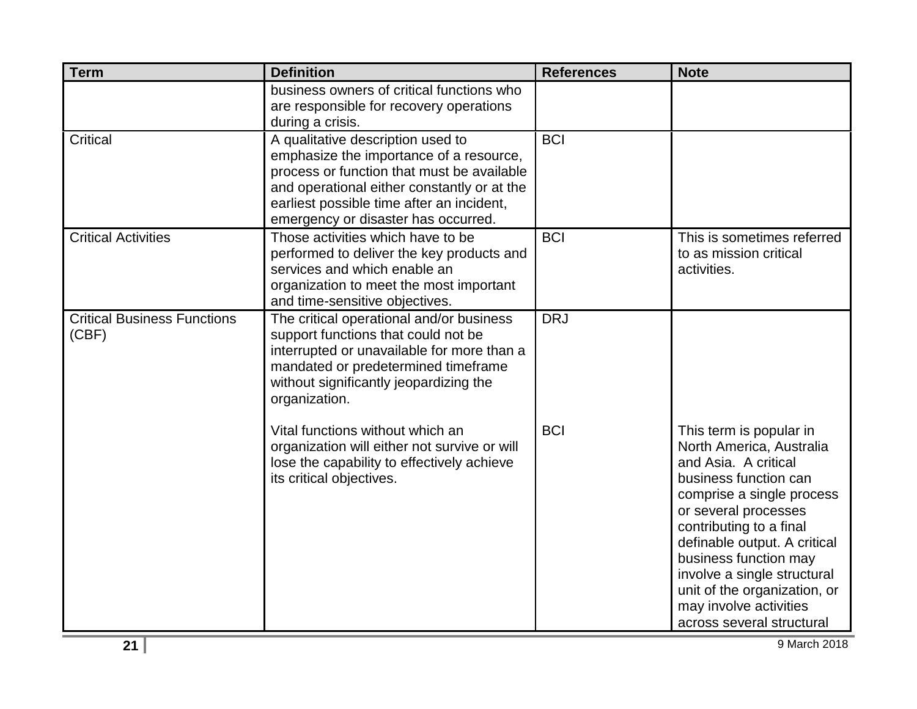| <b>Term</b>                                 | <b>Definition</b>                                                                                                                                                                                                                                             | <b>References</b> | <b>Note</b>                                                                                                                                                                                                                                                                                                                                                         |
|---------------------------------------------|---------------------------------------------------------------------------------------------------------------------------------------------------------------------------------------------------------------------------------------------------------------|-------------------|---------------------------------------------------------------------------------------------------------------------------------------------------------------------------------------------------------------------------------------------------------------------------------------------------------------------------------------------------------------------|
|                                             | business owners of critical functions who<br>are responsible for recovery operations<br>during a crisis.                                                                                                                                                      |                   |                                                                                                                                                                                                                                                                                                                                                                     |
| <b>Critical</b>                             | A qualitative description used to<br>emphasize the importance of a resource,<br>process or function that must be available<br>and operational either constantly or at the<br>earliest possible time after an incident,<br>emergency or disaster has occurred. | <b>BCI</b>        |                                                                                                                                                                                                                                                                                                                                                                     |
| <b>Critical Activities</b>                  | Those activities which have to be<br>performed to deliver the key products and<br>services and which enable an<br>organization to meet the most important<br>and time-sensitive objectives.                                                                   | <b>BCI</b>        | This is sometimes referred<br>to as mission critical<br>activities.                                                                                                                                                                                                                                                                                                 |
| <b>Critical Business Functions</b><br>(CBF) | The critical operational and/or business<br>support functions that could not be<br>interrupted or unavailable for more than a<br>mandated or predetermined timeframe<br>without significantly jeopardizing the<br>organization.                               | <b>DRJ</b>        |                                                                                                                                                                                                                                                                                                                                                                     |
|                                             | Vital functions without which an<br>organization will either not survive or will<br>lose the capability to effectively achieve<br>its critical objectives.                                                                                                    | <b>BCI</b>        | This term is popular in<br>North America, Australia<br>and Asia. A critical<br>business function can<br>comprise a single process<br>or several processes<br>contributing to a final<br>definable output. A critical<br>business function may<br>involve a single structural<br>unit of the organization, or<br>may involve activities<br>across several structural |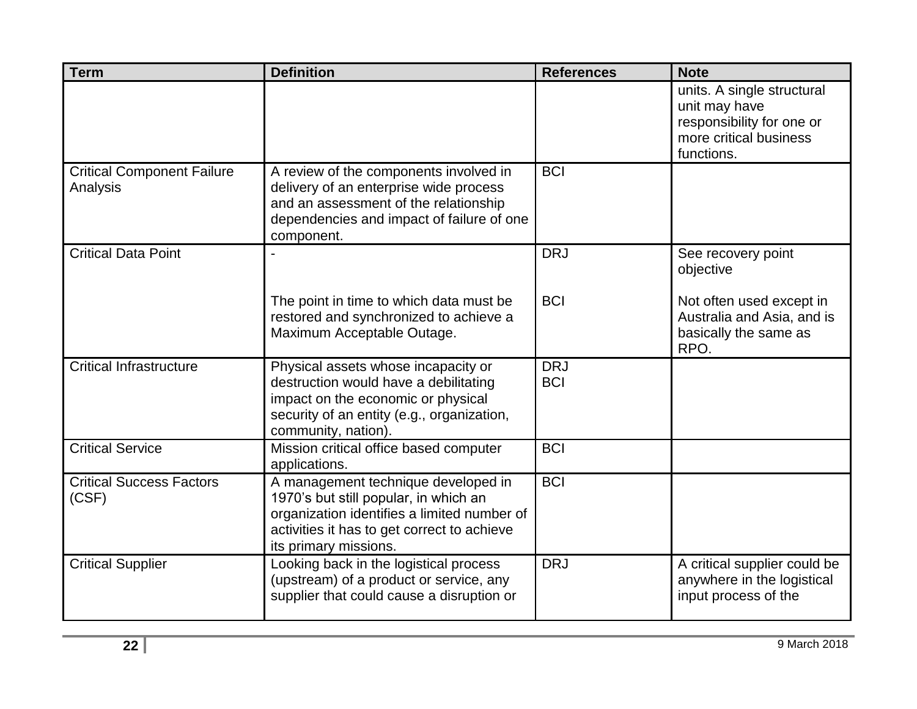| <b>Term</b>                                   | <b>Definition</b>                                                                                                                                                                                   | <b>References</b>        | <b>Note</b>                                                                                                      |
|-----------------------------------------------|-----------------------------------------------------------------------------------------------------------------------------------------------------------------------------------------------------|--------------------------|------------------------------------------------------------------------------------------------------------------|
|                                               |                                                                                                                                                                                                     |                          | units. A single structural<br>unit may have<br>responsibility for one or<br>more critical business<br>functions. |
| <b>Critical Component Failure</b><br>Analysis | A review of the components involved in<br>delivery of an enterprise wide process<br>and an assessment of the relationship<br>dependencies and impact of failure of one<br>component.                | <b>BCI</b>               |                                                                                                                  |
| <b>Critical Data Point</b>                    |                                                                                                                                                                                                     | <b>DRJ</b>               | See recovery point<br>objective                                                                                  |
|                                               | The point in time to which data must be<br>restored and synchronized to achieve a<br>Maximum Acceptable Outage.                                                                                     | <b>BCI</b>               | Not often used except in<br>Australia and Asia, and is<br>basically the same as<br>RPO.                          |
| <b>Critical Infrastructure</b>                | Physical assets whose incapacity or<br>destruction would have a debilitating<br>impact on the economic or physical<br>security of an entity (e.g., organization,<br>community, nation).             | <b>DRJ</b><br><b>BCI</b> |                                                                                                                  |
| <b>Critical Service</b>                       | Mission critical office based computer<br>applications.                                                                                                                                             | <b>BCI</b>               |                                                                                                                  |
| <b>Critical Success Factors</b><br>(CSF)      | A management technique developed in<br>1970's but still popular, in which an<br>organization identifies a limited number of<br>activities it has to get correct to achieve<br>its primary missions. | <b>BCI</b>               |                                                                                                                  |
| <b>Critical Supplier</b>                      | Looking back in the logistical process<br>(upstream) of a product or service, any<br>supplier that could cause a disruption or                                                                      | <b>DRJ</b>               | A critical supplier could be<br>anywhere in the logistical<br>input process of the                               |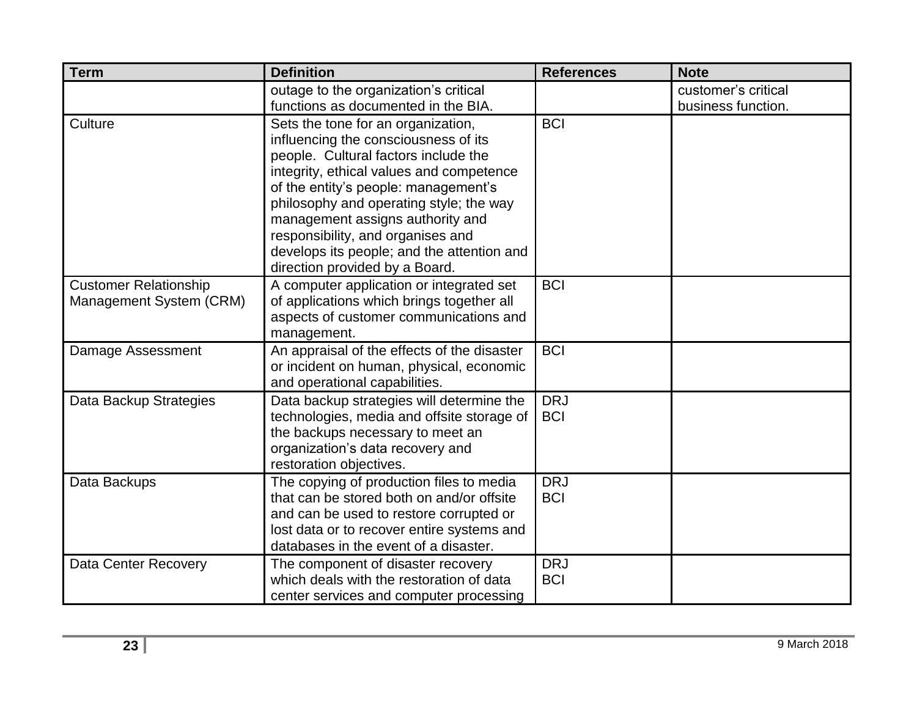| <b>Term</b>                  | <b>Definition</b>                                                                | <b>References</b> | <b>Note</b>         |
|------------------------------|----------------------------------------------------------------------------------|-------------------|---------------------|
|                              | outage to the organization's critical                                            |                   | customer's critical |
|                              | functions as documented in the BIA.                                              |                   | business function.  |
| Culture                      | Sets the tone for an organization,<br>influencing the consciousness of its       | <b>BCI</b>        |                     |
|                              | people. Cultural factors include the                                             |                   |                     |
|                              | integrity, ethical values and competence<br>of the entity's people: management's |                   |                     |
|                              | philosophy and operating style; the way                                          |                   |                     |
|                              | management assigns authority and                                                 |                   |                     |
|                              | responsibility, and organises and                                                |                   |                     |
|                              | develops its people; and the attention and                                       |                   |                     |
|                              | direction provided by a Board.                                                   |                   |                     |
| <b>Customer Relationship</b> | A computer application or integrated set                                         | <b>BCI</b>        |                     |
| Management System (CRM)      | of applications which brings together all                                        |                   |                     |
|                              | aspects of customer communications and<br>management.                            |                   |                     |
| Damage Assessment            | An appraisal of the effects of the disaster                                      | <b>BCI</b>        |                     |
|                              | or incident on human, physical, economic                                         |                   |                     |
|                              | and operational capabilities.                                                    |                   |                     |
| Data Backup Strategies       | Data backup strategies will determine the                                        | <b>DRJ</b>        |                     |
|                              | technologies, media and offsite storage of                                       | <b>BCI</b>        |                     |
|                              | the backups necessary to meet an<br>organization's data recovery and             |                   |                     |
|                              | restoration objectives.                                                          |                   |                     |
| Data Backups                 | The copying of production files to media                                         | <b>DRJ</b>        |                     |
|                              | that can be stored both on and/or offsite                                        | <b>BCI</b>        |                     |
|                              | and can be used to restore corrupted or                                          |                   |                     |
|                              | lost data or to recover entire systems and                                       |                   |                     |
|                              | databases in the event of a disaster.                                            |                   |                     |
| <b>Data Center Recovery</b>  | The component of disaster recovery                                               | <b>DRJ</b>        |                     |
|                              | which deals with the restoration of data                                         | <b>BCI</b>        |                     |
|                              | center services and computer processing                                          |                   |                     |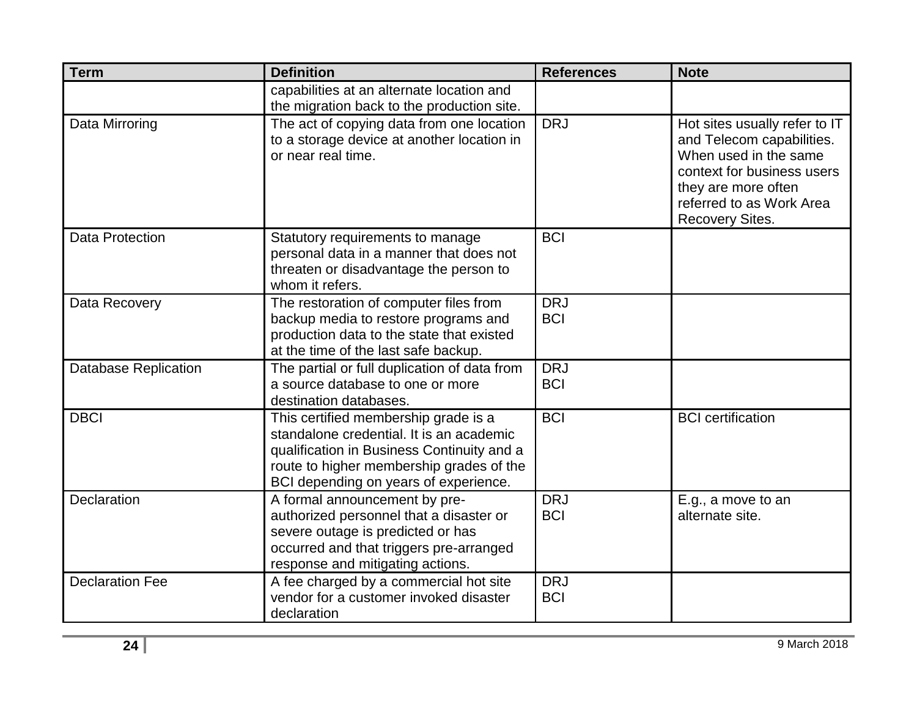| <b>Term</b>                 | <b>Definition</b>                                                                                                                                                                                                   | <b>References</b>        | <b>Note</b>                                                                                                                                                                                    |
|-----------------------------|---------------------------------------------------------------------------------------------------------------------------------------------------------------------------------------------------------------------|--------------------------|------------------------------------------------------------------------------------------------------------------------------------------------------------------------------------------------|
|                             | capabilities at an alternate location and<br>the migration back to the production site.                                                                                                                             |                          |                                                                                                                                                                                                |
| Data Mirroring              | The act of copying data from one location<br>to a storage device at another location in<br>or near real time.                                                                                                       | <b>DRJ</b>               | Hot sites usually refer to IT<br>and Telecom capabilities.<br>When used in the same<br>context for business users<br>they are more often<br>referred to as Work Area<br><b>Recovery Sites.</b> |
| <b>Data Protection</b>      | Statutory requirements to manage<br>personal data in a manner that does not<br>threaten or disadvantage the person to<br>whom it refers.                                                                            | <b>BCI</b>               |                                                                                                                                                                                                |
| Data Recovery               | The restoration of computer files from<br>backup media to restore programs and<br>production data to the state that existed<br>at the time of the last safe backup.                                                 | <b>DRJ</b><br><b>BCI</b> |                                                                                                                                                                                                |
| <b>Database Replication</b> | The partial or full duplication of data from<br>a source database to one or more<br>destination databases.                                                                                                          | <b>DRJ</b><br><b>BCI</b> |                                                                                                                                                                                                |
| <b>DBCI</b>                 | This certified membership grade is a<br>standalone credential. It is an academic<br>qualification in Business Continuity and a<br>route to higher membership grades of the<br>BCI depending on years of experience. | <b>BCI</b>               | <b>BCI</b> certification                                                                                                                                                                       |
| Declaration                 | A formal announcement by pre-<br>authorized personnel that a disaster or<br>severe outage is predicted or has<br>occurred and that triggers pre-arranged<br>response and mitigating actions.                        | <b>DRJ</b><br><b>BCI</b> | E.g., a move to an<br>alternate site.                                                                                                                                                          |
| <b>Declaration Fee</b>      | A fee charged by a commercial hot site<br>vendor for a customer invoked disaster<br>declaration                                                                                                                     | <b>DRJ</b><br><b>BCI</b> |                                                                                                                                                                                                |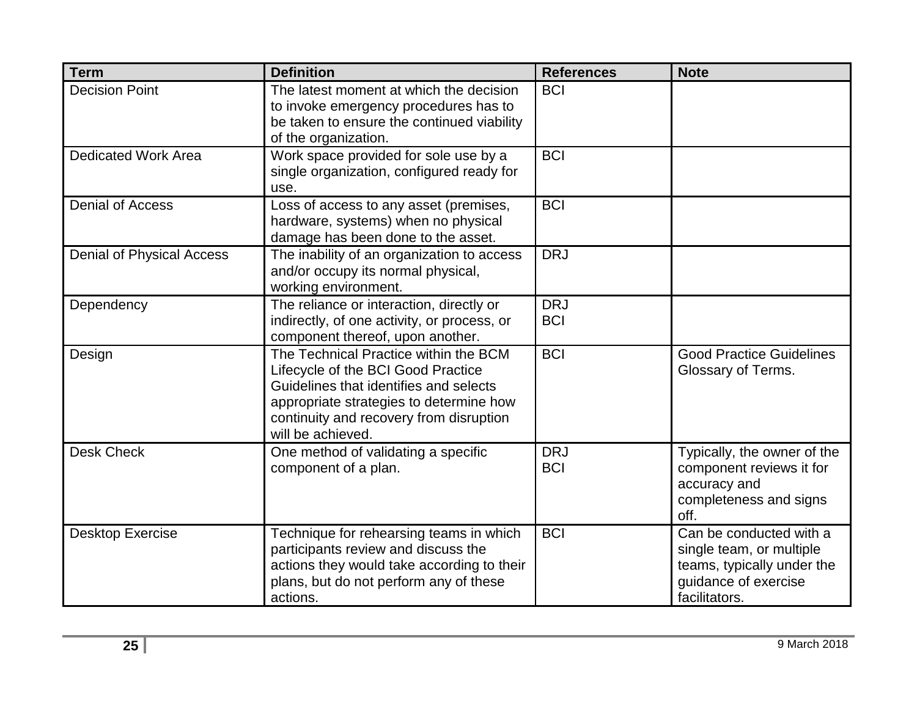| <b>Term</b>                      | <b>Definition</b>                                                                                                                                                                                                                | <b>References</b>        | <b>Note</b>                                                                                                                |
|----------------------------------|----------------------------------------------------------------------------------------------------------------------------------------------------------------------------------------------------------------------------------|--------------------------|----------------------------------------------------------------------------------------------------------------------------|
| <b>Decision Point</b>            | The latest moment at which the decision<br>to invoke emergency procedures has to<br>be taken to ensure the continued viability<br>of the organization.                                                                           | <b>BCI</b>               |                                                                                                                            |
| <b>Dedicated Work Area</b>       | Work space provided for sole use by a<br>single organization, configured ready for<br>use.                                                                                                                                       | <b>BCI</b>               |                                                                                                                            |
| <b>Denial of Access</b>          | Loss of access to any asset (premises,<br>hardware, systems) when no physical<br>damage has been done to the asset.                                                                                                              | <b>BCI</b>               |                                                                                                                            |
| <b>Denial of Physical Access</b> | The inability of an organization to access<br>and/or occupy its normal physical,<br>working environment.                                                                                                                         | <b>DRJ</b>               |                                                                                                                            |
| Dependency                       | The reliance or interaction, directly or<br>indirectly, of one activity, or process, or<br>component thereof, upon another.                                                                                                      | <b>DRJ</b><br><b>BCI</b> |                                                                                                                            |
| Design                           | The Technical Practice within the BCM<br>Lifecycle of the BCI Good Practice<br>Guidelines that identifies and selects<br>appropriate strategies to determine how<br>continuity and recovery from disruption<br>will be achieved. | <b>BCI</b>               | <b>Good Practice Guidelines</b><br>Glossary of Terms.                                                                      |
| <b>Desk Check</b>                | One method of validating a specific<br>component of a plan.                                                                                                                                                                      | <b>DRJ</b><br><b>BCI</b> | Typically, the owner of the<br>component reviews it for<br>accuracy and<br>completeness and signs<br>off.                  |
| <b>Desktop Exercise</b>          | Technique for rehearsing teams in which<br>participants review and discuss the<br>actions they would take according to their<br>plans, but do not perform any of these<br>actions.                                               | <b>BCI</b>               | Can be conducted with a<br>single team, or multiple<br>teams, typically under the<br>guidance of exercise<br>facilitators. |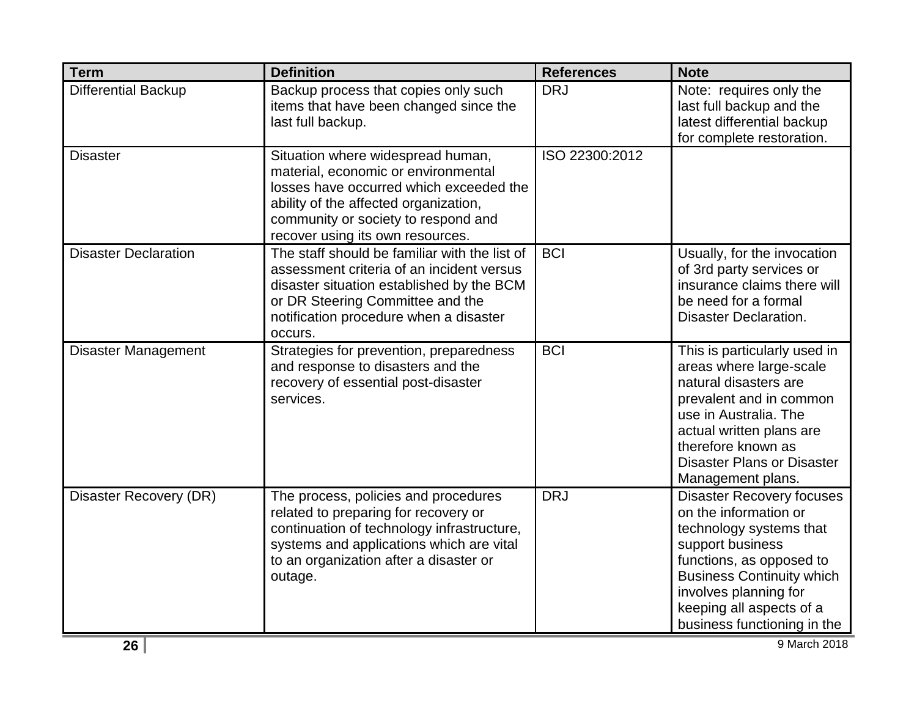| <b>Term</b>                 | <b>Definition</b>                                                                                                                                                                                                                       | <b>References</b> | <b>Note</b>                                                                                                                                                                                                                                                  |
|-----------------------------|-----------------------------------------------------------------------------------------------------------------------------------------------------------------------------------------------------------------------------------------|-------------------|--------------------------------------------------------------------------------------------------------------------------------------------------------------------------------------------------------------------------------------------------------------|
| <b>Differential Backup</b>  | Backup process that copies only such<br>items that have been changed since the<br>last full backup.                                                                                                                                     | <b>DRJ</b>        | Note: requires only the<br>last full backup and the<br>latest differential backup<br>for complete restoration.                                                                                                                                               |
| <b>Disaster</b>             | Situation where widespread human,<br>material, economic or environmental<br>losses have occurred which exceeded the<br>ability of the affected organization,<br>community or society to respond and<br>recover using its own resources. | ISO 22300:2012    |                                                                                                                                                                                                                                                              |
| <b>Disaster Declaration</b> | The staff should be familiar with the list of<br>assessment criteria of an incident versus<br>disaster situation established by the BCM<br>or DR Steering Committee and the<br>notification procedure when a disaster<br>occurs.        | <b>BCI</b>        | Usually, for the invocation<br>of 3rd party services or<br>insurance claims there will<br>be need for a formal<br><b>Disaster Declaration.</b>                                                                                                               |
| <b>Disaster Management</b>  | Strategies for prevention, preparedness<br>and response to disasters and the<br>recovery of essential post-disaster<br>services.                                                                                                        | <b>BCI</b>        | This is particularly used in<br>areas where large-scale<br>natural disasters are<br>prevalent and in common<br>use in Australia. The<br>actual written plans are<br>therefore known as<br><b>Disaster Plans or Disaster</b><br>Management plans.             |
| Disaster Recovery (DR)      | The process, policies and procedures<br>related to preparing for recovery or<br>continuation of technology infrastructure,<br>systems and applications which are vital<br>to an organization after a disaster or<br>outage.             | <b>DRJ</b>        | <b>Disaster Recovery focuses</b><br>on the information or<br>technology systems that<br>support business<br>functions, as opposed to<br><b>Business Continuity which</b><br>involves planning for<br>keeping all aspects of a<br>business functioning in the |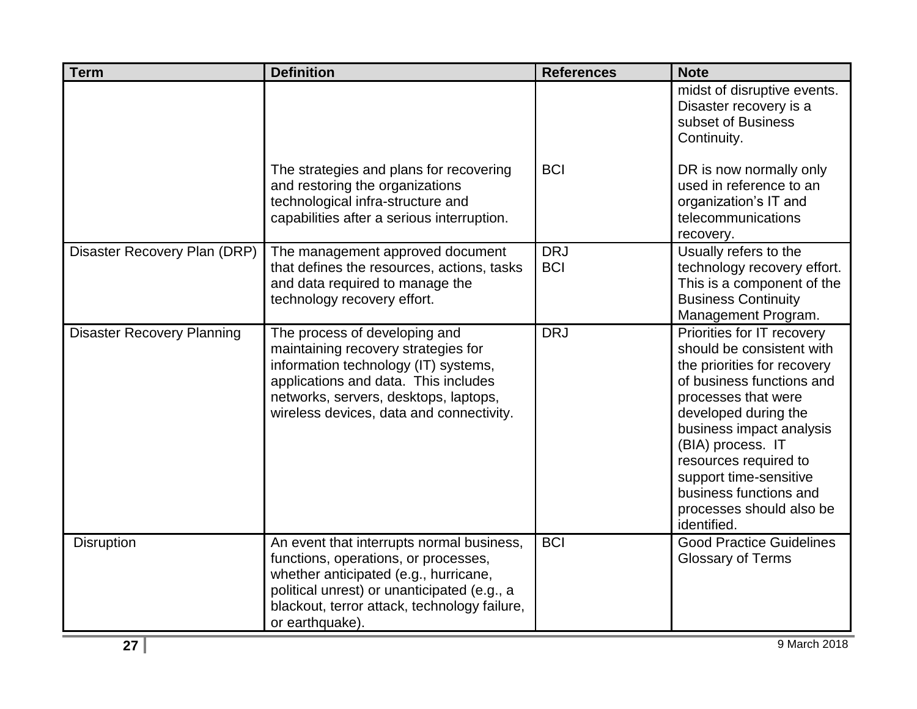| <b>Term</b>                       | <b>Definition</b>                                                                                                                                                                                                                            | <b>References</b>        | <b>Note</b>                                                                                                                                                                                                                                                                                                                                 |
|-----------------------------------|----------------------------------------------------------------------------------------------------------------------------------------------------------------------------------------------------------------------------------------------|--------------------------|---------------------------------------------------------------------------------------------------------------------------------------------------------------------------------------------------------------------------------------------------------------------------------------------------------------------------------------------|
|                                   |                                                                                                                                                                                                                                              |                          | midst of disruptive events.<br>Disaster recovery is a<br>subset of Business<br>Continuity.                                                                                                                                                                                                                                                  |
|                                   | The strategies and plans for recovering<br>and restoring the organizations<br>technological infra-structure and<br>capabilities after a serious interruption.                                                                                | <b>BCI</b>               | DR is now normally only<br>used in reference to an<br>organization's IT and<br>telecommunications<br>recovery.                                                                                                                                                                                                                              |
| Disaster Recovery Plan (DRP)      | The management approved document<br>that defines the resources, actions, tasks<br>and data required to manage the<br>technology recovery effort.                                                                                             | <b>DRJ</b><br><b>BCI</b> | Usually refers to the<br>technology recovery effort.<br>This is a component of the<br><b>Business Continuity</b><br>Management Program.                                                                                                                                                                                                     |
| <b>Disaster Recovery Planning</b> | The process of developing and<br>maintaining recovery strategies for<br>information technology (IT) systems,<br>applications and data. This includes<br>networks, servers, desktops, laptops,<br>wireless devices, data and connectivity.    | <b>DRJ</b>               | Priorities for IT recovery<br>should be consistent with<br>the priorities for recovery<br>of business functions and<br>processes that were<br>developed during the<br>business impact analysis<br>(BIA) process. IT<br>resources required to<br>support time-sensitive<br>business functions and<br>processes should also be<br>identified. |
| <b>Disruption</b>                 | An event that interrupts normal business,<br>functions, operations, or processes,<br>whether anticipated (e.g., hurricane,<br>political unrest) or unanticipated (e.g., a<br>blackout, terror attack, technology failure,<br>or earthquake). | <b>BCI</b>               | <b>Good Practice Guidelines</b><br><b>Glossary of Terms</b>                                                                                                                                                                                                                                                                                 |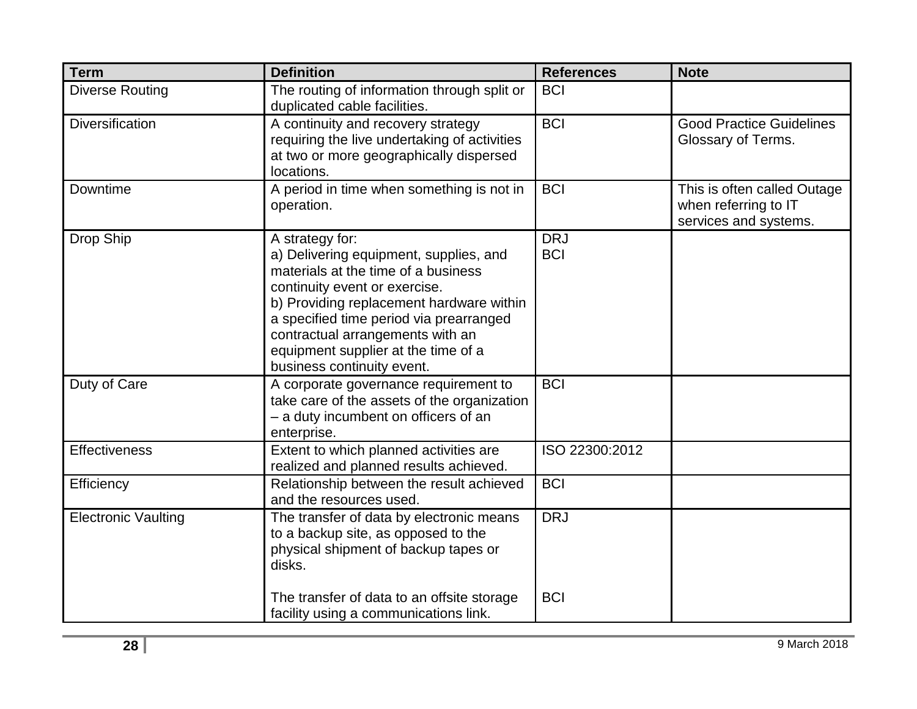| <b>Term</b>                | <b>Definition</b>                                                                                                                                                                                                                                                                                                                 | <b>References</b>        | <b>Note</b>                                                                  |
|----------------------------|-----------------------------------------------------------------------------------------------------------------------------------------------------------------------------------------------------------------------------------------------------------------------------------------------------------------------------------|--------------------------|------------------------------------------------------------------------------|
| Diverse Routing            | The routing of information through split or<br>duplicated cable facilities.                                                                                                                                                                                                                                                       | <b>BCI</b>               |                                                                              |
| <b>Diversification</b>     | A continuity and recovery strategy<br>requiring the live undertaking of activities<br>at two or more geographically dispersed<br>locations.                                                                                                                                                                                       | <b>BCI</b>               | <b>Good Practice Guidelines</b><br>Glossary of Terms.                        |
| Downtime                   | A period in time when something is not in<br>operation.                                                                                                                                                                                                                                                                           | <b>BCI</b>               | This is often called Outage<br>when referring to IT<br>services and systems. |
| Drop Ship                  | A strategy for:<br>a) Delivering equipment, supplies, and<br>materials at the time of a business<br>continuity event or exercise.<br>b) Providing replacement hardware within<br>a specified time period via prearranged<br>contractual arrangements with an<br>equipment supplier at the time of a<br>business continuity event. | <b>DRJ</b><br><b>BCI</b> |                                                                              |
| Duty of Care               | A corporate governance requirement to<br>take care of the assets of the organization<br>- a duty incumbent on officers of an<br>enterprise.                                                                                                                                                                                       | <b>BCI</b>               |                                                                              |
| <b>Effectiveness</b>       | Extent to which planned activities are<br>realized and planned results achieved.                                                                                                                                                                                                                                                  | ISO 22300:2012           |                                                                              |
| Efficiency                 | Relationship between the result achieved<br>and the resources used.                                                                                                                                                                                                                                                               | <b>BCI</b>               |                                                                              |
| <b>Electronic Vaulting</b> | The transfer of data by electronic means<br>to a backup site, as opposed to the<br>physical shipment of backup tapes or<br>disks.                                                                                                                                                                                                 | <b>DRJ</b>               |                                                                              |
|                            | The transfer of data to an offsite storage<br>facility using a communications link.                                                                                                                                                                                                                                               | <b>BCI</b>               |                                                                              |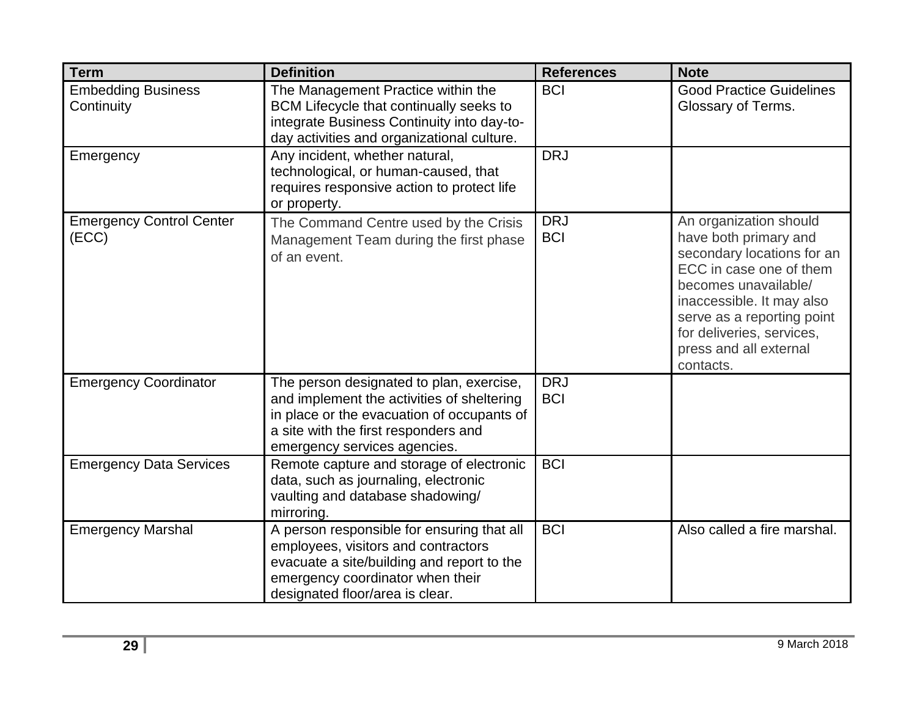| <b>Term</b>                              | <b>Definition</b>                                                                                                                                                                                            | <b>References</b>        | <b>Note</b>                                                                                                                                                                                                                                                     |
|------------------------------------------|--------------------------------------------------------------------------------------------------------------------------------------------------------------------------------------------------------------|--------------------------|-----------------------------------------------------------------------------------------------------------------------------------------------------------------------------------------------------------------------------------------------------------------|
| <b>Embedding Business</b><br>Continuity  | The Management Practice within the<br>BCM Lifecycle that continually seeks to<br>integrate Business Continuity into day-to-<br>day activities and organizational culture.                                    | <b>BCI</b>               | <b>Good Practice Guidelines</b><br>Glossary of Terms.                                                                                                                                                                                                           |
| Emergency                                | Any incident, whether natural,<br>technological, or human-caused, that<br>requires responsive action to protect life<br>or property.                                                                         | <b>DRJ</b>               |                                                                                                                                                                                                                                                                 |
| <b>Emergency Control Center</b><br>(ECC) | The Command Centre used by the Crisis<br>Management Team during the first phase<br>of an event.                                                                                                              | <b>DRJ</b><br><b>BCI</b> | An organization should<br>have both primary and<br>secondary locations for an<br>ECC in case one of them<br>becomes unavailable/<br>inaccessible. It may also<br>serve as a reporting point<br>for deliveries, services,<br>press and all external<br>contacts. |
| <b>Emergency Coordinator</b>             | The person designated to plan, exercise,<br>and implement the activities of sheltering<br>in place or the evacuation of occupants of<br>a site with the first responders and<br>emergency services agencies. | <b>DRJ</b><br><b>BCI</b> |                                                                                                                                                                                                                                                                 |
| <b>Emergency Data Services</b>           | Remote capture and storage of electronic<br>data, such as journaling, electronic<br>vaulting and database shadowing/<br>mirroring.                                                                           | <b>BCI</b>               |                                                                                                                                                                                                                                                                 |
| <b>Emergency Marshal</b>                 | A person responsible for ensuring that all<br>employees, visitors and contractors<br>evacuate a site/building and report to the<br>emergency coordinator when their<br>designated floor/area is clear.       | <b>BCI</b>               | Also called a fire marshal.                                                                                                                                                                                                                                     |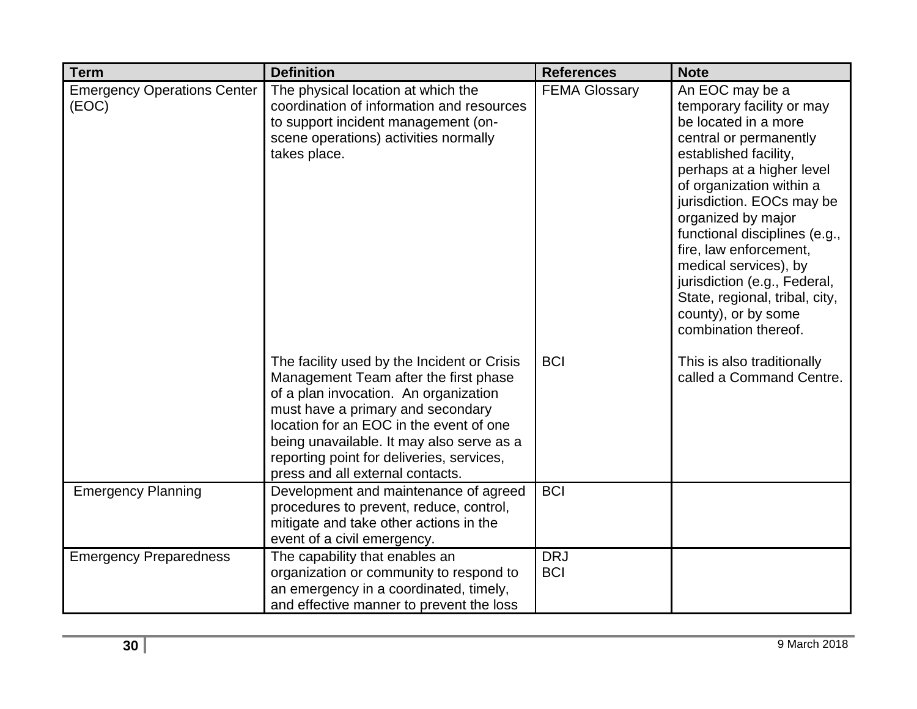| <b>Term</b>                                 | <b>Definition</b>                                                                                                                                                                                                                                                                                                                           | <b>References</b>        | <b>Note</b>                                                                                                                                                                                                                                                                                                                                                                                                                              |
|---------------------------------------------|---------------------------------------------------------------------------------------------------------------------------------------------------------------------------------------------------------------------------------------------------------------------------------------------------------------------------------------------|--------------------------|------------------------------------------------------------------------------------------------------------------------------------------------------------------------------------------------------------------------------------------------------------------------------------------------------------------------------------------------------------------------------------------------------------------------------------------|
| <b>Emergency Operations Center</b><br>(EOC) | The physical location at which the<br>coordination of information and resources<br>to support incident management (on-<br>scene operations) activities normally<br>takes place.                                                                                                                                                             | <b>FEMA Glossary</b>     | An EOC may be a<br>temporary facility or may<br>be located in a more<br>central or permanently<br>established facility,<br>perhaps at a higher level<br>of organization within a<br>jurisdiction. EOCs may be<br>organized by major<br>functional disciplines (e.g.,<br>fire, law enforcement,<br>medical services), by<br>jurisdiction (e.g., Federal,<br>State, regional, tribal, city,<br>county), or by some<br>combination thereof. |
|                                             | The facility used by the Incident or Crisis<br>Management Team after the first phase<br>of a plan invocation. An organization<br>must have a primary and secondary<br>location for an EOC in the event of one<br>being unavailable. It may also serve as a<br>reporting point for deliveries, services,<br>press and all external contacts. | <b>BCI</b>               | This is also traditionally<br>called a Command Centre.                                                                                                                                                                                                                                                                                                                                                                                   |
| <b>Emergency Planning</b>                   | Development and maintenance of agreed<br>procedures to prevent, reduce, control,<br>mitigate and take other actions in the<br>event of a civil emergency.                                                                                                                                                                                   | <b>BCI</b>               |                                                                                                                                                                                                                                                                                                                                                                                                                                          |
| <b>Emergency Preparedness</b>               | The capability that enables an<br>organization or community to respond to<br>an emergency in a coordinated, timely,<br>and effective manner to prevent the loss                                                                                                                                                                             | <b>DRJ</b><br><b>BCI</b> |                                                                                                                                                                                                                                                                                                                                                                                                                                          |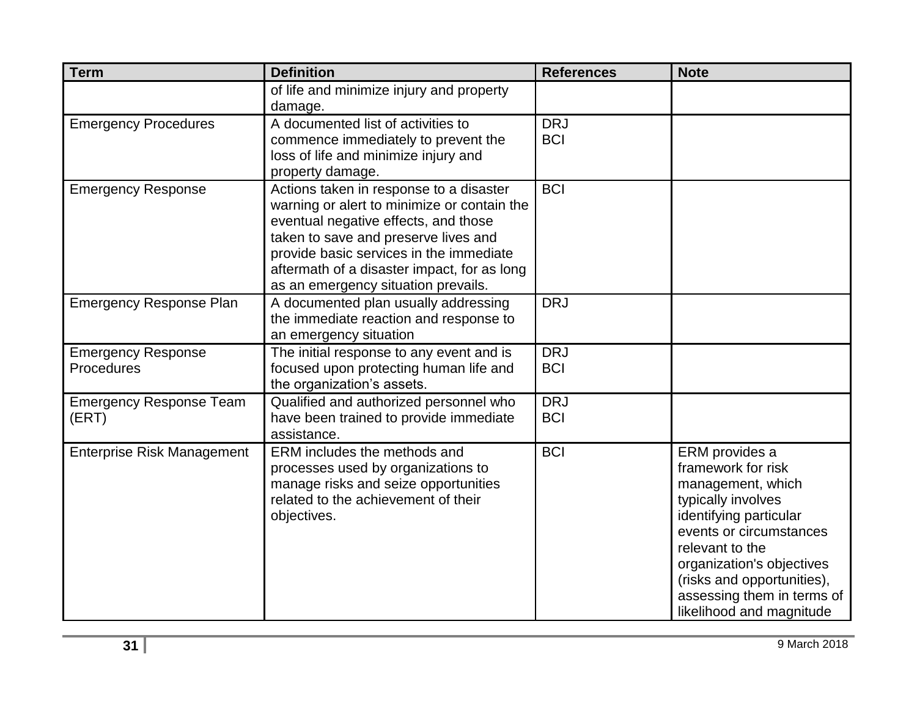| <b>Term</b>                             | <b>Definition</b>                                                                                                                                                                                                                                                                                       | <b>References</b>        | <b>Note</b>                                                                                                                                                                                                                                                                  |
|-----------------------------------------|---------------------------------------------------------------------------------------------------------------------------------------------------------------------------------------------------------------------------------------------------------------------------------------------------------|--------------------------|------------------------------------------------------------------------------------------------------------------------------------------------------------------------------------------------------------------------------------------------------------------------------|
|                                         | of life and minimize injury and property<br>damage.                                                                                                                                                                                                                                                     |                          |                                                                                                                                                                                                                                                                              |
| <b>Emergency Procedures</b>             | A documented list of activities to<br>commence immediately to prevent the<br>loss of life and minimize injury and<br>property damage.                                                                                                                                                                   | <b>DRJ</b><br><b>BCI</b> |                                                                                                                                                                                                                                                                              |
| <b>Emergency Response</b>               | Actions taken in response to a disaster<br>warning or alert to minimize or contain the<br>eventual negative effects, and those<br>taken to save and preserve lives and<br>provide basic services in the immediate<br>aftermath of a disaster impact, for as long<br>as an emergency situation prevails. | <b>BCI</b>               |                                                                                                                                                                                                                                                                              |
| <b>Emergency Response Plan</b>          | A documented plan usually addressing<br>the immediate reaction and response to<br>an emergency situation                                                                                                                                                                                                | <b>DRJ</b>               |                                                                                                                                                                                                                                                                              |
| <b>Emergency Response</b><br>Procedures | The initial response to any event and is<br>focused upon protecting human life and<br>the organization's assets.                                                                                                                                                                                        | <b>DRJ</b><br><b>BCI</b> |                                                                                                                                                                                                                                                                              |
| <b>Emergency Response Team</b><br>(ERT) | Qualified and authorized personnel who<br>have been trained to provide immediate<br>assistance.                                                                                                                                                                                                         | <b>DRJ</b><br><b>BCI</b> |                                                                                                                                                                                                                                                                              |
| <b>Enterprise Risk Management</b>       | ERM includes the methods and<br>processes used by organizations to<br>manage risks and seize opportunities<br>related to the achievement of their<br>objectives.                                                                                                                                        | <b>BCI</b>               | ERM provides a<br>framework for risk<br>management, which<br>typically involves<br>identifying particular<br>events or circumstances<br>relevant to the<br>organization's objectives<br>(risks and opportunities),<br>assessing them in terms of<br>likelihood and magnitude |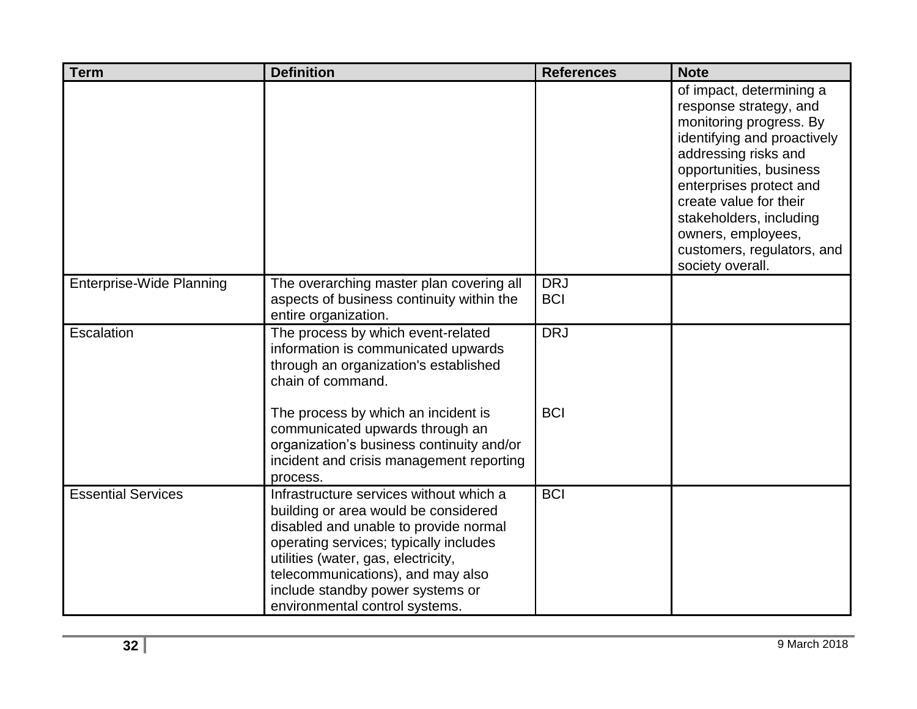| <b>Term</b>                     | <b>Definition</b>                                                                                                                                                                                                                                                                                                    | <b>References</b>        | <b>Note</b>                                                                                                                                                                                                                                                                                                             |
|---------------------------------|----------------------------------------------------------------------------------------------------------------------------------------------------------------------------------------------------------------------------------------------------------------------------------------------------------------------|--------------------------|-------------------------------------------------------------------------------------------------------------------------------------------------------------------------------------------------------------------------------------------------------------------------------------------------------------------------|
|                                 |                                                                                                                                                                                                                                                                                                                      |                          | of impact, determining a<br>response strategy, and<br>monitoring progress. By<br>identifying and proactively<br>addressing risks and<br>opportunities, business<br>enterprises protect and<br>create value for their<br>stakeholders, including<br>owners, employees,<br>customers, regulators, and<br>society overall. |
| <b>Enterprise-Wide Planning</b> | The overarching master plan covering all<br>aspects of business continuity within the<br>entire organization.                                                                                                                                                                                                        | <b>DRJ</b><br><b>BCI</b> |                                                                                                                                                                                                                                                                                                                         |
| Escalation                      | The process by which event-related<br>information is communicated upwards<br>through an organization's established<br>chain of command.                                                                                                                                                                              | <b>DRJ</b>               |                                                                                                                                                                                                                                                                                                                         |
|                                 | The process by which an incident is<br>communicated upwards through an<br>organization's business continuity and/or<br>incident and crisis management reporting<br>process.                                                                                                                                          | <b>BCI</b>               |                                                                                                                                                                                                                                                                                                                         |
| <b>Essential Services</b>       | Infrastructure services without which a<br>building or area would be considered<br>disabled and unable to provide normal<br>operating services; typically includes<br>utilities (water, gas, electricity,<br>telecommunications), and may also<br>include standby power systems or<br>environmental control systems. | <b>BCI</b>               |                                                                                                                                                                                                                                                                                                                         |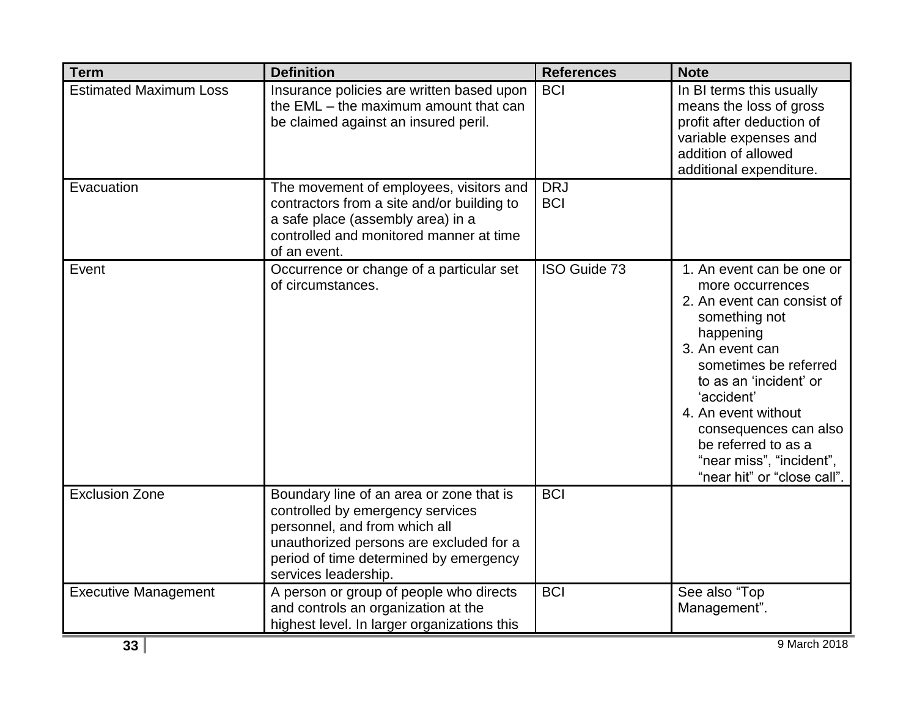| <b>Term</b>                   | <b>Definition</b>                                                                                                                                                                                                          | <b>References</b>        | <b>Note</b>                                                                                                                                                                                                                                                                                                                     |
|-------------------------------|----------------------------------------------------------------------------------------------------------------------------------------------------------------------------------------------------------------------------|--------------------------|---------------------------------------------------------------------------------------------------------------------------------------------------------------------------------------------------------------------------------------------------------------------------------------------------------------------------------|
| <b>Estimated Maximum Loss</b> | Insurance policies are written based upon<br>the EML - the maximum amount that can<br>be claimed against an insured peril.                                                                                                 | <b>BCI</b>               | In BI terms this usually<br>means the loss of gross<br>profit after deduction of<br>variable expenses and<br>addition of allowed<br>additional expenditure.                                                                                                                                                                     |
| Evacuation                    | The movement of employees, visitors and<br>contractors from a site and/or building to<br>a safe place (assembly area) in a<br>controlled and monitored manner at time<br>of an event.                                      | <b>DRJ</b><br><b>BCI</b> |                                                                                                                                                                                                                                                                                                                                 |
| Event                         | Occurrence or change of a particular set<br>of circumstances.                                                                                                                                                              | ISO Guide 73             | 1. An event can be one or<br>more occurrences<br>2. An event can consist of<br>something not<br>happening<br>3. An event can<br>sometimes be referred<br>to as an 'incident' or<br>'accident'<br>4. An event without<br>consequences can also<br>be referred to as a<br>"near miss", "incident",<br>"near hit" or "close call". |
| <b>Exclusion Zone</b>         | Boundary line of an area or zone that is<br>controlled by emergency services<br>personnel, and from which all<br>unauthorized persons are excluded for a<br>period of time determined by emergency<br>services leadership. | <b>BCI</b>               |                                                                                                                                                                                                                                                                                                                                 |
| <b>Executive Management</b>   | A person or group of people who directs<br>and controls an organization at the<br>highest level. In larger organizations this                                                                                              | <b>BCI</b>               | See also "Top<br>Management".                                                                                                                                                                                                                                                                                                   |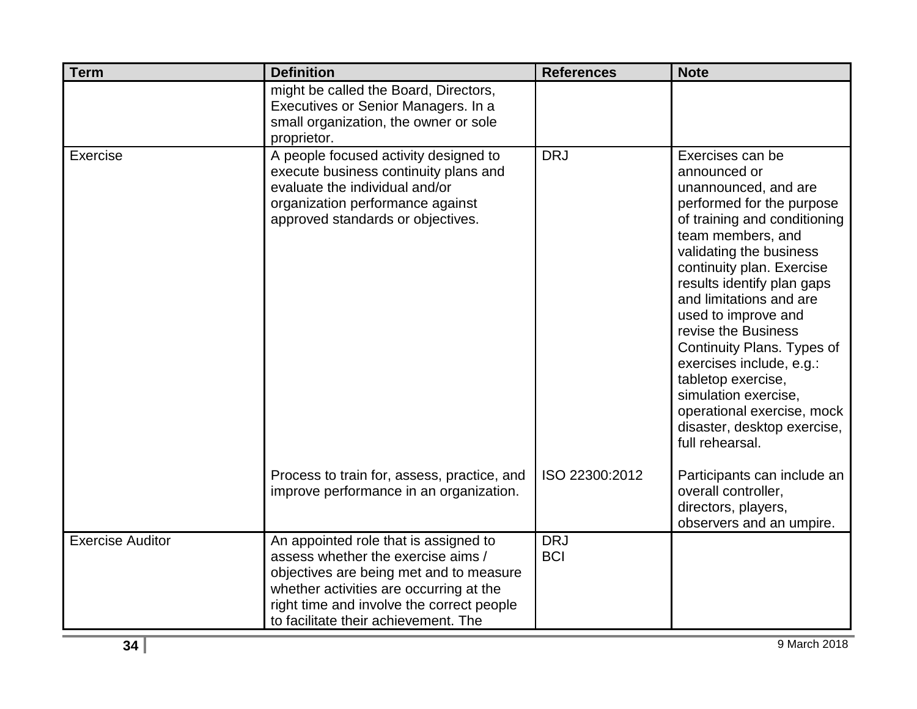| <b>Term</b>             | <b>Definition</b>                                                                                                                                                                                                                                      | <b>References</b>        | <b>Note</b>                                                                                                                                                                                                                                                                                                                                                                                                                                                                                       |
|-------------------------|--------------------------------------------------------------------------------------------------------------------------------------------------------------------------------------------------------------------------------------------------------|--------------------------|---------------------------------------------------------------------------------------------------------------------------------------------------------------------------------------------------------------------------------------------------------------------------------------------------------------------------------------------------------------------------------------------------------------------------------------------------------------------------------------------------|
|                         | might be called the Board, Directors,<br>Executives or Senior Managers. In a<br>small organization, the owner or sole<br>proprietor.                                                                                                                   |                          |                                                                                                                                                                                                                                                                                                                                                                                                                                                                                                   |
| Exercise                | A people focused activity designed to<br>execute business continuity plans and<br>evaluate the individual and/or<br>organization performance against<br>approved standards or objectives.                                                              | <b>DRJ</b>               | Exercises can be<br>announced or<br>unannounced, and are<br>performed for the purpose<br>of training and conditioning<br>team members, and<br>validating the business<br>continuity plan. Exercise<br>results identify plan gaps<br>and limitations and are<br>used to improve and<br>revise the Business<br>Continuity Plans. Types of<br>exercises include, e.g.:<br>tabletop exercise,<br>simulation exercise,<br>operational exercise, mock<br>disaster, desktop exercise,<br>full rehearsal. |
|                         | Process to train for, assess, practice, and<br>improve performance in an organization.                                                                                                                                                                 | ISO 22300:2012           | Participants can include an<br>overall controller,<br>directors, players,<br>observers and an umpire.                                                                                                                                                                                                                                                                                                                                                                                             |
| <b>Exercise Auditor</b> | An appointed role that is assigned to<br>assess whether the exercise aims /<br>objectives are being met and to measure<br>whether activities are occurring at the<br>right time and involve the correct people<br>to facilitate their achievement. The | <b>DRJ</b><br><b>BCI</b> |                                                                                                                                                                                                                                                                                                                                                                                                                                                                                                   |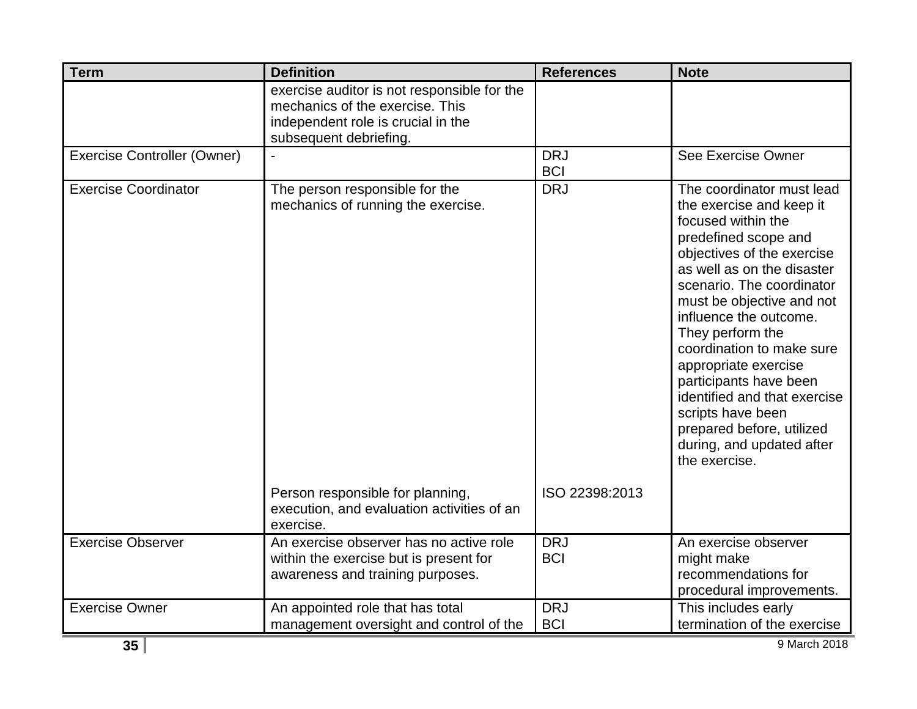| <b>Term</b>                        | <b>Definition</b>                                                                                                                              | <b>References</b>        | <b>Note</b>                                                                                                                                                                                                                                                                                                                                                                                                                                                                            |
|------------------------------------|------------------------------------------------------------------------------------------------------------------------------------------------|--------------------------|----------------------------------------------------------------------------------------------------------------------------------------------------------------------------------------------------------------------------------------------------------------------------------------------------------------------------------------------------------------------------------------------------------------------------------------------------------------------------------------|
|                                    | exercise auditor is not responsible for the<br>mechanics of the exercise. This<br>independent role is crucial in the<br>subsequent debriefing. |                          |                                                                                                                                                                                                                                                                                                                                                                                                                                                                                        |
| <b>Exercise Controller (Owner)</b> |                                                                                                                                                | <b>DRJ</b><br><b>BCI</b> | See Exercise Owner                                                                                                                                                                                                                                                                                                                                                                                                                                                                     |
| <b>Exercise Coordinator</b>        | The person responsible for the<br>mechanics of running the exercise.                                                                           | <b>DRJ</b>               | The coordinator must lead<br>the exercise and keep it<br>focused within the<br>predefined scope and<br>objectives of the exercise<br>as well as on the disaster<br>scenario. The coordinator<br>must be objective and not<br>influence the outcome.<br>They perform the<br>coordination to make sure<br>appropriate exercise<br>participants have been<br>identified and that exercise<br>scripts have been<br>prepared before, utilized<br>during, and updated after<br>the exercise. |
|                                    | Person responsible for planning,<br>execution, and evaluation activities of an<br>exercise.                                                    | ISO 22398:2013           |                                                                                                                                                                                                                                                                                                                                                                                                                                                                                        |
| <b>Exercise Observer</b>           | An exercise observer has no active role<br>within the exercise but is present for<br>awareness and training purposes.                          | <b>DRJ</b><br><b>BCI</b> | An exercise observer<br>might make<br>recommendations for<br>procedural improvements.                                                                                                                                                                                                                                                                                                                                                                                                  |
| <b>Exercise Owner</b>              | An appointed role that has total<br>management oversight and control of the                                                                    | <b>DRJ</b><br><b>BCI</b> | This includes early<br>termination of the exercise                                                                                                                                                                                                                                                                                                                                                                                                                                     |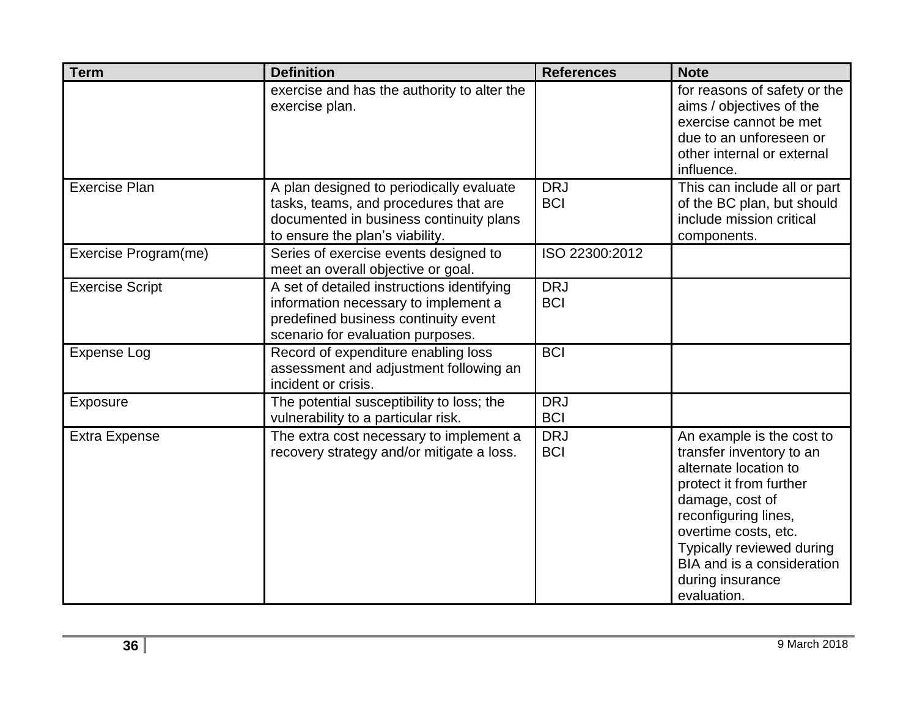| <b>Term</b>            | <b>Definition</b>                                                                                                                                               | <b>References</b>        | <b>Note</b>                                                                                                                                                                                                                                                                |
|------------------------|-----------------------------------------------------------------------------------------------------------------------------------------------------------------|--------------------------|----------------------------------------------------------------------------------------------------------------------------------------------------------------------------------------------------------------------------------------------------------------------------|
|                        | exercise and has the authority to alter the<br>exercise plan.                                                                                                   |                          | for reasons of safety or the<br>aims / objectives of the<br>exercise cannot be met<br>due to an unforeseen or<br>other internal or external<br>influence.                                                                                                                  |
| <b>Exercise Plan</b>   | A plan designed to periodically evaluate<br>tasks, teams, and procedures that are<br>documented in business continuity plans<br>to ensure the plan's viability. | <b>DRJ</b><br><b>BCI</b> | This can include all or part<br>of the BC plan, but should<br>include mission critical<br>components.                                                                                                                                                                      |
| Exercise Program(me)   | Series of exercise events designed to<br>meet an overall objective or goal.                                                                                     | ISO 22300:2012           |                                                                                                                                                                                                                                                                            |
| <b>Exercise Script</b> | A set of detailed instructions identifying<br>information necessary to implement a<br>predefined business continuity event<br>scenario for evaluation purposes. | <b>DRJ</b><br><b>BCI</b> |                                                                                                                                                                                                                                                                            |
| <b>Expense Log</b>     | Record of expenditure enabling loss<br>assessment and adjustment following an<br>incident or crisis.                                                            | <b>BCI</b>               |                                                                                                                                                                                                                                                                            |
| <b>Exposure</b>        | The potential susceptibility to loss; the<br>vulnerability to a particular risk.                                                                                | <b>DRJ</b><br><b>BCI</b> |                                                                                                                                                                                                                                                                            |
| <b>Extra Expense</b>   | The extra cost necessary to implement a<br>recovery strategy and/or mitigate a loss.                                                                            | <b>DRJ</b><br><b>BCI</b> | An example is the cost to<br>transfer inventory to an<br>alternate location to<br>protect it from further<br>damage, cost of<br>reconfiguring lines,<br>overtime costs, etc.<br>Typically reviewed during<br>BIA and is a consideration<br>during insurance<br>evaluation. |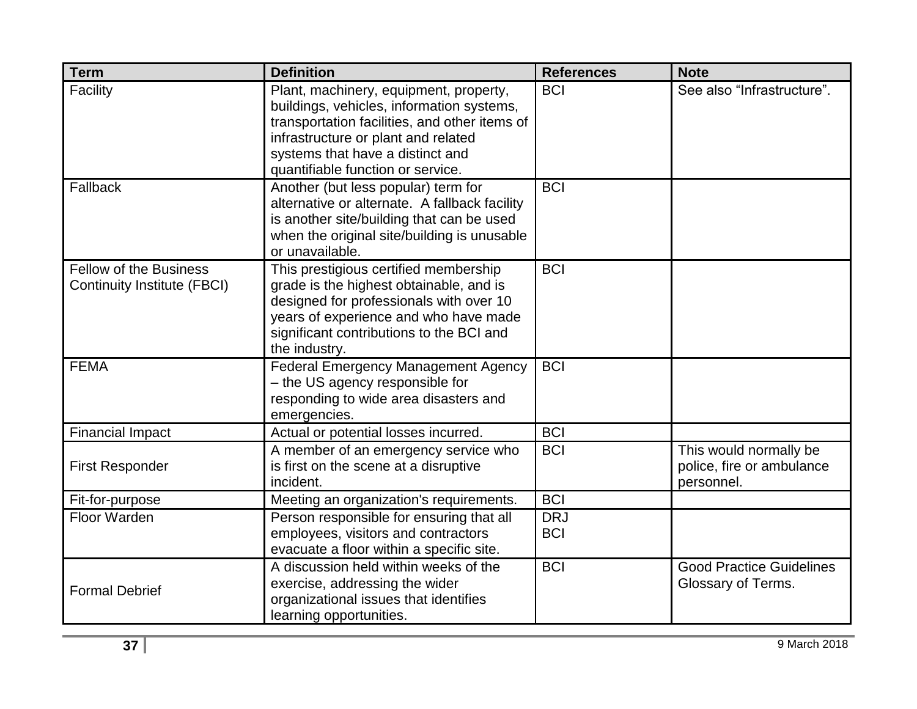| <b>Term</b>                                                         | <b>Definition</b>                                                                                                                                                                                                                                    | <b>References</b>        | <b>Note</b>                                                       |
|---------------------------------------------------------------------|------------------------------------------------------------------------------------------------------------------------------------------------------------------------------------------------------------------------------------------------------|--------------------------|-------------------------------------------------------------------|
| Facility                                                            | Plant, machinery, equipment, property,<br>buildings, vehicles, information systems,<br>transportation facilities, and other items of<br>infrastructure or plant and related<br>systems that have a distinct and<br>quantifiable function or service. | <b>BCI</b>               | See also "Infrastructure".                                        |
| Fallback                                                            | Another (but less popular) term for<br>alternative or alternate. A fallback facility<br>is another site/building that can be used<br>when the original site/building is unusable<br>or unavailable.                                                  | <b>BCI</b>               |                                                                   |
| <b>Fellow of the Business</b><br><b>Continuity Institute (FBCI)</b> | This prestigious certified membership<br>grade is the highest obtainable, and is<br>designed for professionals with over 10<br>years of experience and who have made<br>significant contributions to the BCI and<br>the industry.                    | <b>BCI</b>               |                                                                   |
| <b>FEMA</b>                                                         | <b>Federal Emergency Management Agency</b><br>- the US agency responsible for<br>responding to wide area disasters and<br>emergencies.                                                                                                               | <b>BCI</b>               |                                                                   |
| <b>Financial Impact</b>                                             | Actual or potential losses incurred.                                                                                                                                                                                                                 | <b>BCI</b>               |                                                                   |
| <b>First Responder</b>                                              | A member of an emergency service who<br>is first on the scene at a disruptive<br>incident.                                                                                                                                                           | <b>BCI</b>               | This would normally be<br>police, fire or ambulance<br>personnel. |
| Fit-for-purpose                                                     | Meeting an organization's requirements.                                                                                                                                                                                                              | <b>BCI</b>               |                                                                   |
| <b>Floor Warden</b>                                                 | Person responsible for ensuring that all<br>employees, visitors and contractors<br>evacuate a floor within a specific site.                                                                                                                          | <b>DRJ</b><br><b>BCI</b> |                                                                   |
| <b>Formal Debrief</b>                                               | A discussion held within weeks of the<br>exercise, addressing the wider<br>organizational issues that identifies<br>learning opportunities.                                                                                                          | <b>BCI</b>               | <b>Good Practice Guidelines</b><br>Glossary of Terms.             |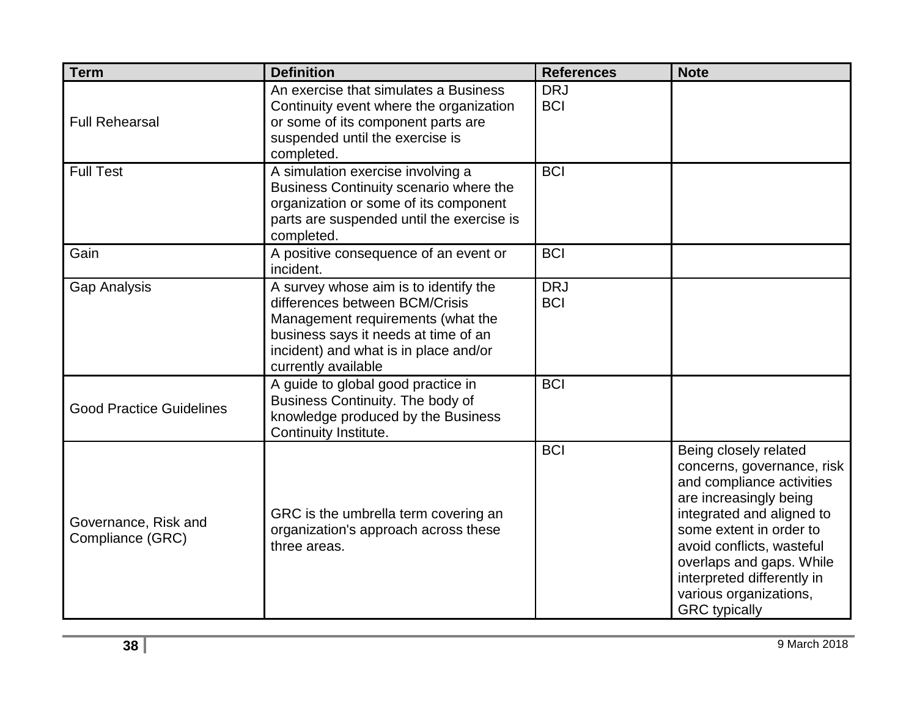| <b>Term</b>                              | <b>Definition</b>                                                                                                                                                                                                    | <b>References</b>        | <b>Note</b>                                                                                                                                                                                                                                                                                                 |
|------------------------------------------|----------------------------------------------------------------------------------------------------------------------------------------------------------------------------------------------------------------------|--------------------------|-------------------------------------------------------------------------------------------------------------------------------------------------------------------------------------------------------------------------------------------------------------------------------------------------------------|
| <b>Full Rehearsal</b>                    | An exercise that simulates a Business<br>Continuity event where the organization<br>or some of its component parts are<br>suspended until the exercise is<br>completed.                                              | <b>DRJ</b><br><b>BCI</b> |                                                                                                                                                                                                                                                                                                             |
| <b>Full Test</b>                         | A simulation exercise involving a<br>Business Continuity scenario where the<br>organization or some of its component<br>parts are suspended until the exercise is<br>completed.                                      | <b>BCI</b>               |                                                                                                                                                                                                                                                                                                             |
| Gain                                     | A positive consequence of an event or<br>incident.                                                                                                                                                                   | <b>BCI</b>               |                                                                                                                                                                                                                                                                                                             |
| <b>Gap Analysis</b>                      | A survey whose aim is to identify the<br>differences between BCM/Crisis<br>Management requirements (what the<br>business says it needs at time of an<br>incident) and what is in place and/or<br>currently available | <b>DRJ</b><br><b>BCI</b> |                                                                                                                                                                                                                                                                                                             |
| <b>Good Practice Guidelines</b>          | A guide to global good practice in<br>Business Continuity. The body of<br>knowledge produced by the Business<br>Continuity Institute.                                                                                | <b>BCI</b>               |                                                                                                                                                                                                                                                                                                             |
| Governance, Risk and<br>Compliance (GRC) | GRC is the umbrella term covering an<br>organization's approach across these<br>three areas.                                                                                                                         | <b>BCI</b>               | Being closely related<br>concerns, governance, risk<br>and compliance activities<br>are increasingly being<br>integrated and aligned to<br>some extent in order to<br>avoid conflicts, wasteful<br>overlaps and gaps. While<br>interpreted differently in<br>various organizations,<br><b>GRC</b> typically |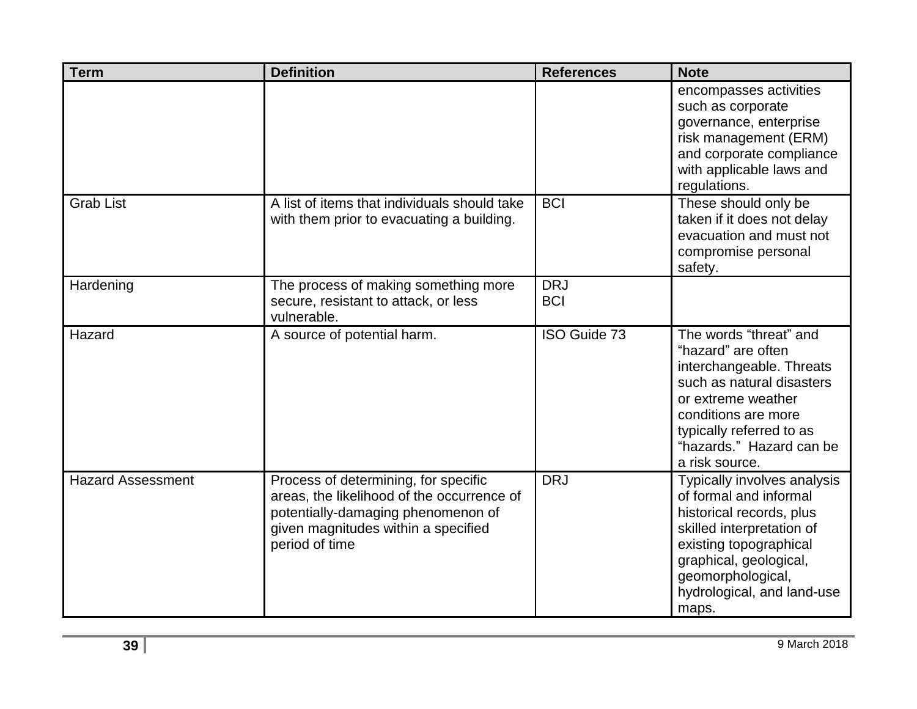| <b>Term</b>              | <b>Definition</b>                                                                                                                                                                 | <b>References</b>        | <b>Note</b>                                                                                                                                                                                                                    |
|--------------------------|-----------------------------------------------------------------------------------------------------------------------------------------------------------------------------------|--------------------------|--------------------------------------------------------------------------------------------------------------------------------------------------------------------------------------------------------------------------------|
|                          |                                                                                                                                                                                   |                          | encompasses activities<br>such as corporate<br>governance, enterprise<br>risk management (ERM)<br>and corporate compliance<br>with applicable laws and<br>regulations.                                                         |
| <b>Grab List</b>         | A list of items that individuals should take<br>with them prior to evacuating a building.                                                                                         | <b>BCI</b>               | These should only be<br>taken if it does not delay<br>evacuation and must not<br>compromise personal<br>safety.                                                                                                                |
| Hardening                | The process of making something more<br>secure, resistant to attack, or less<br>vulnerable.                                                                                       | <b>DRJ</b><br><b>BCI</b> |                                                                                                                                                                                                                                |
| Hazard                   | A source of potential harm.                                                                                                                                                       | ISO Guide 73             | The words "threat" and<br>"hazard" are often<br>interchangeable. Threats<br>such as natural disasters<br>or extreme weather<br>conditions are more<br>typically referred to as<br>"hazards." Hazard can be<br>a risk source.   |
| <b>Hazard Assessment</b> | Process of determining, for specific<br>areas, the likelihood of the occurrence of<br>potentially-damaging phenomenon of<br>given magnitudes within a specified<br>period of time | <b>DRJ</b>               | Typically involves analysis<br>of formal and informal<br>historical records, plus<br>skilled interpretation of<br>existing topographical<br>graphical, geological,<br>geomorphological,<br>hydrological, and land-use<br>maps. |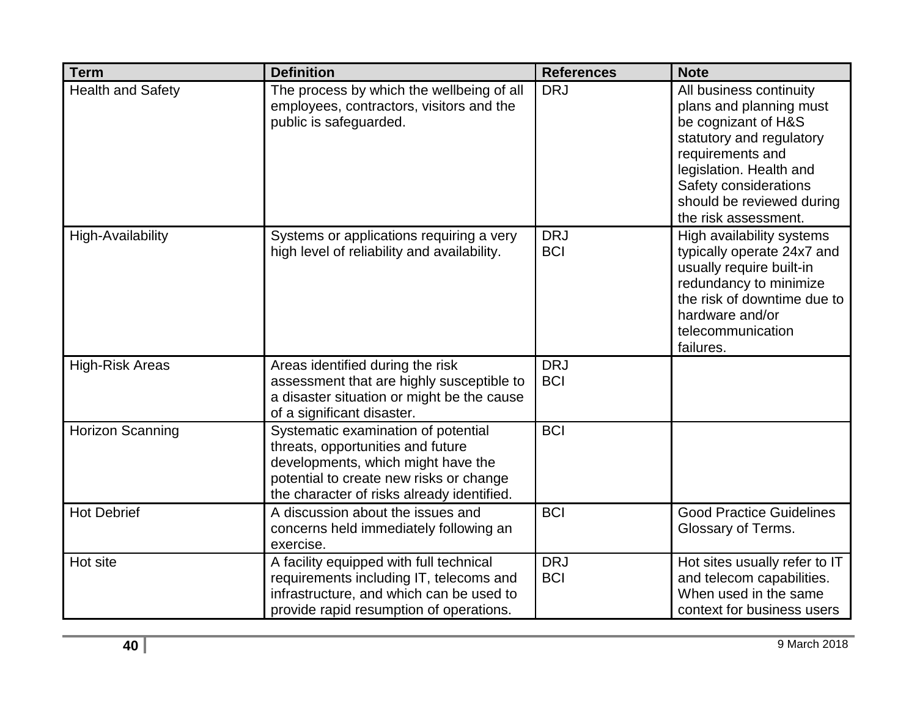| <b>Term</b>              | <b>Definition</b>                                                                                                                                                                                       | <b>References</b>        | <b>Note</b>                                                                                                                                                                                                                        |
|--------------------------|---------------------------------------------------------------------------------------------------------------------------------------------------------------------------------------------------------|--------------------------|------------------------------------------------------------------------------------------------------------------------------------------------------------------------------------------------------------------------------------|
| <b>Health and Safety</b> | The process by which the wellbeing of all<br>employees, contractors, visitors and the<br>public is safeguarded.                                                                                         | <b>DRJ</b>               | All business continuity<br>plans and planning must<br>be cognizant of H&S<br>statutory and regulatory<br>requirements and<br>legislation. Health and<br>Safety considerations<br>should be reviewed during<br>the risk assessment. |
| <b>High-Availability</b> | Systems or applications requiring a very<br>high level of reliability and availability.                                                                                                                 | <b>DRJ</b><br><b>BCI</b> | High availability systems<br>typically operate 24x7 and<br>usually require built-in<br>redundancy to minimize<br>the risk of downtime due to<br>hardware and/or<br>telecommunication<br>failures.                                  |
| <b>High-Risk Areas</b>   | Areas identified during the risk<br>assessment that are highly susceptible to<br>a disaster situation or might be the cause<br>of a significant disaster.                                               | <b>DRJ</b><br><b>BCI</b> |                                                                                                                                                                                                                                    |
| <b>Horizon Scanning</b>  | Systematic examination of potential<br>threats, opportunities and future<br>developments, which might have the<br>potential to create new risks or change<br>the character of risks already identified. | <b>BCI</b>               |                                                                                                                                                                                                                                    |
| <b>Hot Debrief</b>       | A discussion about the issues and<br>concerns held immediately following an<br>exercise.                                                                                                                | <b>BCI</b>               | <b>Good Practice Guidelines</b><br>Glossary of Terms.                                                                                                                                                                              |
| Hot site                 | A facility equipped with full technical<br>requirements including IT, telecoms and<br>infrastructure, and which can be used to<br>provide rapid resumption of operations.                               | <b>DRJ</b><br><b>BCI</b> | Hot sites usually refer to IT<br>and telecom capabilities.<br>When used in the same<br>context for business users                                                                                                                  |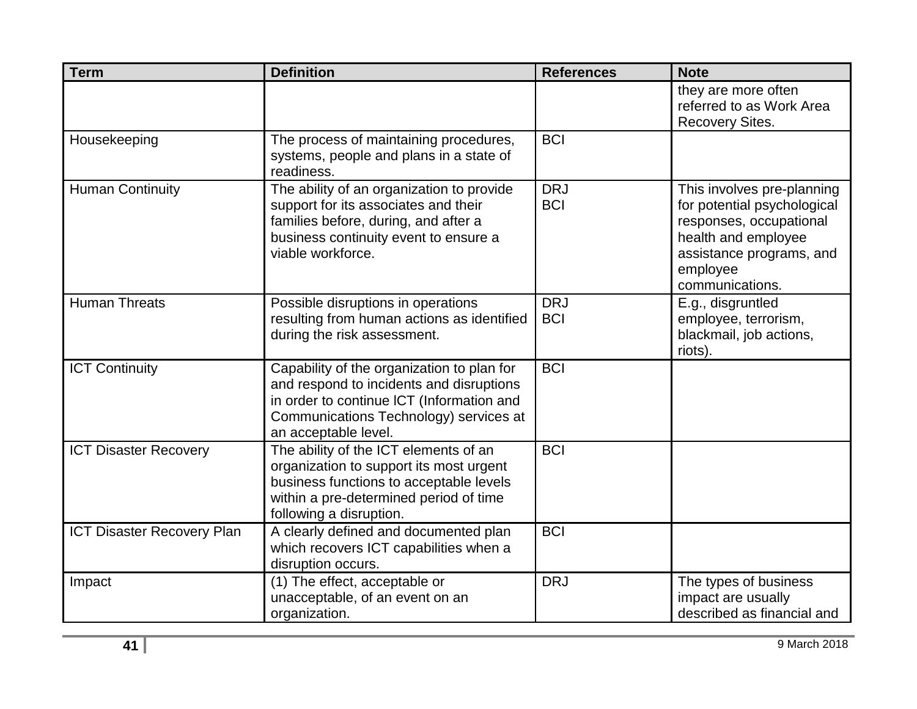| <b>Term</b>                       | <b>Definition</b>                                                                                                                                                                                     | <b>References</b>        | <b>Note</b>                                                                                                                                                            |
|-----------------------------------|-------------------------------------------------------------------------------------------------------------------------------------------------------------------------------------------------------|--------------------------|------------------------------------------------------------------------------------------------------------------------------------------------------------------------|
|                                   |                                                                                                                                                                                                       |                          | they are more often<br>referred to as Work Area<br><b>Recovery Sites.</b>                                                                                              |
| Housekeeping                      | The process of maintaining procedures,<br>systems, people and plans in a state of<br>readiness.                                                                                                       | <b>BCI</b>               |                                                                                                                                                                        |
| <b>Human Continuity</b>           | The ability of an organization to provide<br>support for its associates and their<br>families before, during, and after a<br>business continuity event to ensure a<br>viable workforce.               | <b>DRJ</b><br><b>BCI</b> | This involves pre-planning<br>for potential psychological<br>responses, occupational<br>health and employee<br>assistance programs, and<br>employee<br>communications. |
| <b>Human Threats</b>              | Possible disruptions in operations<br>resulting from human actions as identified<br>during the risk assessment.                                                                                       | <b>DRJ</b><br><b>BCI</b> | E.g., disgruntled<br>employee, terrorism,<br>blackmail, job actions,<br>riots).                                                                                        |
| <b>ICT Continuity</b>             | Capability of the organization to plan for<br>and respond to incidents and disruptions<br>in order to continue ICT (Information and<br>Communications Technology) services at<br>an acceptable level. | <b>BCI</b>               |                                                                                                                                                                        |
| <b>ICT Disaster Recovery</b>      | The ability of the ICT elements of an<br>organization to support its most urgent<br>business functions to acceptable levels<br>within a pre-determined period of time<br>following a disruption.      | <b>BCI</b>               |                                                                                                                                                                        |
| <b>ICT Disaster Recovery Plan</b> | A clearly defined and documented plan<br>which recovers ICT capabilities when a<br>disruption occurs.                                                                                                 | <b>BCI</b>               |                                                                                                                                                                        |
| Impact                            | (1) The effect, acceptable or<br>unacceptable, of an event on an<br>organization.                                                                                                                     | <b>DRJ</b>               | The types of business<br>impact are usually<br>described as financial and                                                                                              |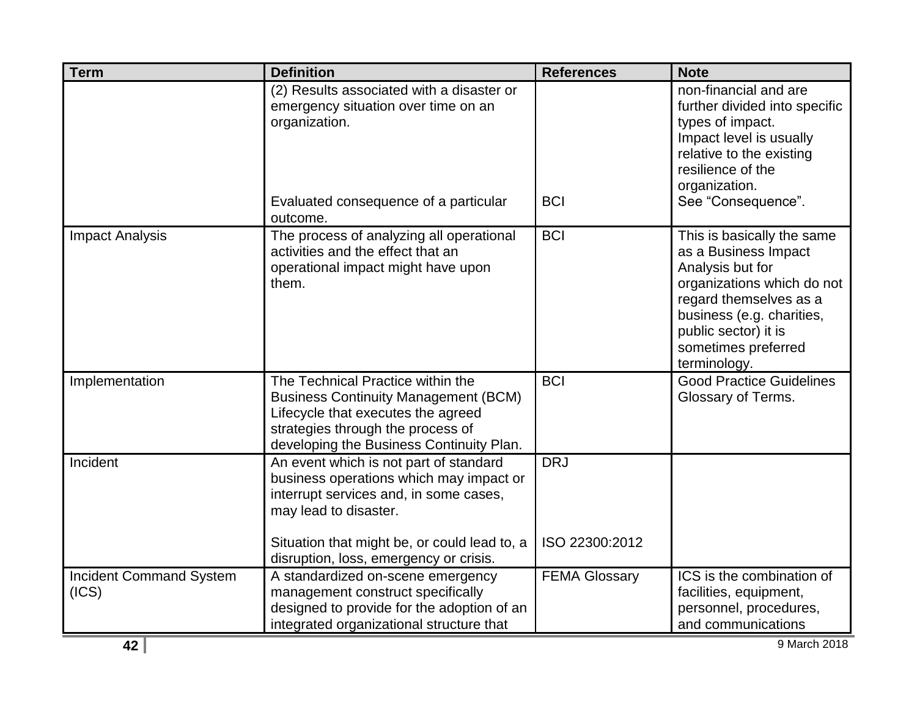| <b>Term</b>                             | <b>Definition</b>                                                                                                                                                                                                                              | <b>References</b>            | <b>Note</b>                                                                                                                                                                                                                |
|-----------------------------------------|------------------------------------------------------------------------------------------------------------------------------------------------------------------------------------------------------------------------------------------------|------------------------------|----------------------------------------------------------------------------------------------------------------------------------------------------------------------------------------------------------------------------|
|                                         | (2) Results associated with a disaster or<br>emergency situation over time on an<br>organization.<br>Evaluated consequence of a particular<br>outcome.                                                                                         | <b>BCI</b>                   | non-financial and are<br>further divided into specific<br>types of impact.<br>Impact level is usually<br>relative to the existing<br>resilience of the<br>organization.<br>See "Consequence".                              |
| <b>Impact Analysis</b>                  | The process of analyzing all operational<br>activities and the effect that an<br>operational impact might have upon<br>them.                                                                                                                   | <b>BCI</b>                   | This is basically the same<br>as a Business Impact<br>Analysis but for<br>organizations which do not<br>regard themselves as a<br>business (e.g. charities,<br>public sector) it is<br>sometimes preferred<br>terminology. |
| Implementation                          | The Technical Practice within the<br><b>Business Continuity Management (BCM)</b><br>Lifecycle that executes the agreed<br>strategies through the process of<br>developing the Business Continuity Plan.                                        | <b>BCI</b>                   | <b>Good Practice Guidelines</b><br>Glossary of Terms.                                                                                                                                                                      |
| Incident                                | An event which is not part of standard<br>business operations which may impact or<br>interrupt services and, in some cases,<br>may lead to disaster.<br>Situation that might be, or could lead to, a<br>disruption, loss, emergency or crisis. | <b>DRJ</b><br>ISO 22300:2012 |                                                                                                                                                                                                                            |
| <b>Incident Command System</b><br>(ICS) | A standardized on-scene emergency<br>management construct specifically<br>designed to provide for the adoption of an<br>integrated organizational structure that                                                                               | <b>FEMA Glossary</b>         | ICS is the combination of<br>facilities, equipment,<br>personnel, procedures,<br>and communications                                                                                                                        |
| 42                                      |                                                                                                                                                                                                                                                |                              | 9 March 2018                                                                                                                                                                                                               |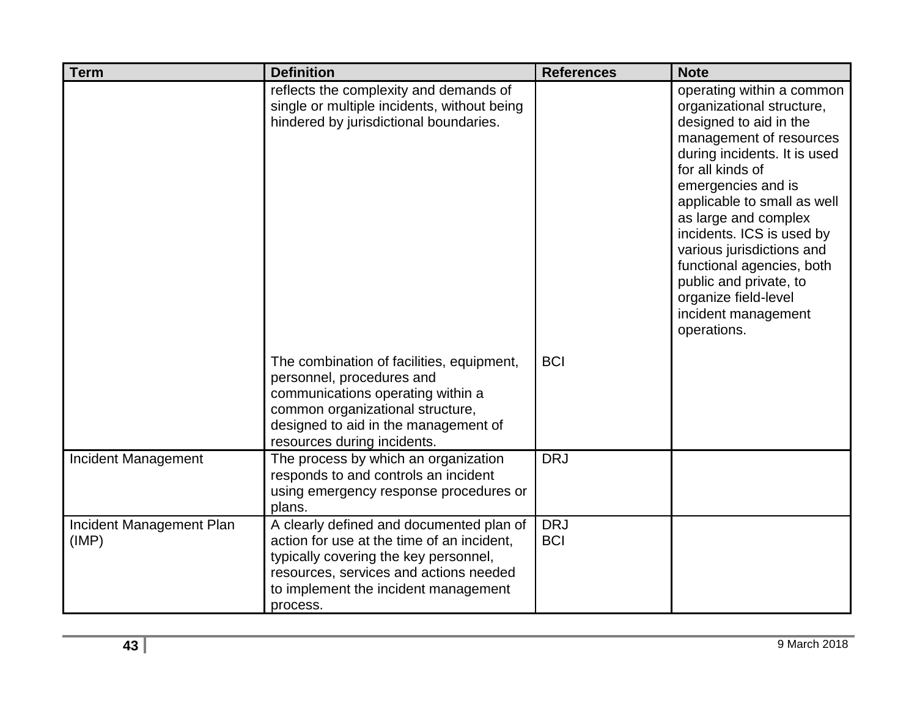| <b>Term</b>                       | <b>Definition</b>                                                                                                                                                                                                             | <b>References</b>        | <b>Note</b>                                                                                                                                                                                                                                                                                                                                                                                                                 |
|-----------------------------------|-------------------------------------------------------------------------------------------------------------------------------------------------------------------------------------------------------------------------------|--------------------------|-----------------------------------------------------------------------------------------------------------------------------------------------------------------------------------------------------------------------------------------------------------------------------------------------------------------------------------------------------------------------------------------------------------------------------|
|                                   | reflects the complexity and demands of<br>single or multiple incidents, without being<br>hindered by jurisdictional boundaries.                                                                                               |                          | operating within a common<br>organizational structure,<br>designed to aid in the<br>management of resources<br>during incidents. It is used<br>for all kinds of<br>emergencies and is<br>applicable to small as well<br>as large and complex<br>incidents. ICS is used by<br>various jurisdictions and<br>functional agencies, both<br>public and private, to<br>organize field-level<br>incident management<br>operations. |
|                                   | The combination of facilities, equipment,<br>personnel, procedures and<br>communications operating within a<br>common organizational structure,<br>designed to aid in the management of<br>resources during incidents.        | <b>BCI</b>               |                                                                                                                                                                                                                                                                                                                                                                                                                             |
| Incident Management               | The process by which an organization<br>responds to and controls an incident<br>using emergency response procedures or<br>plans.                                                                                              | <b>DRJ</b>               |                                                                                                                                                                                                                                                                                                                                                                                                                             |
| Incident Management Plan<br>(IMP) | A clearly defined and documented plan of<br>action for use at the time of an incident,<br>typically covering the key personnel,<br>resources, services and actions needed<br>to implement the incident management<br>process. | <b>DRJ</b><br><b>BCI</b> |                                                                                                                                                                                                                                                                                                                                                                                                                             |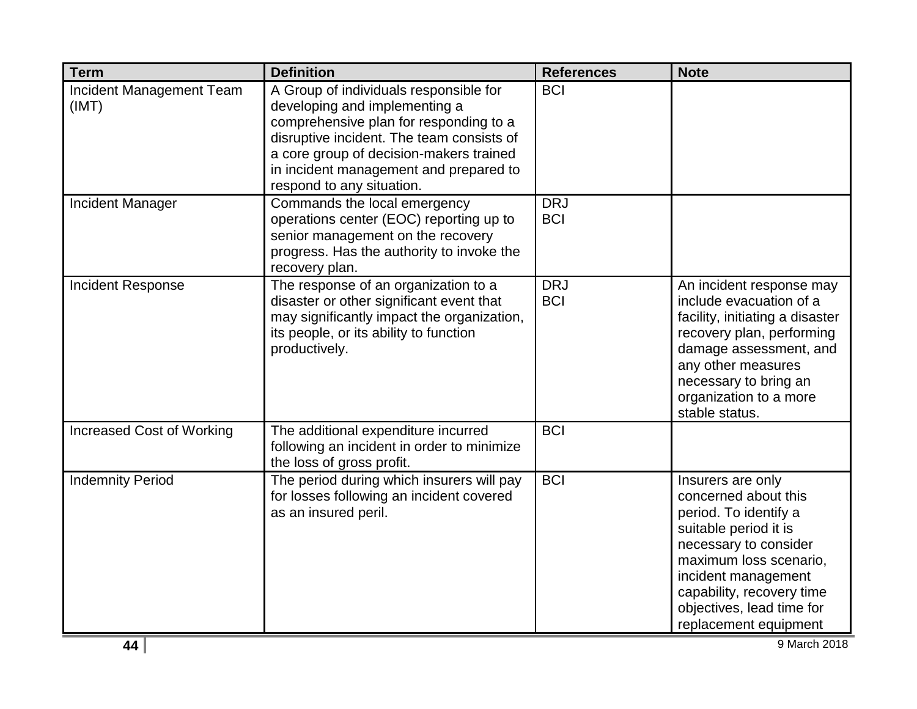| <b>Term</b>                       | <b>Definition</b>                                                                                                                                                                                                                                                                | <b>References</b>        | <b>Note</b>                                                                                                                                                                                                                                              |
|-----------------------------------|----------------------------------------------------------------------------------------------------------------------------------------------------------------------------------------------------------------------------------------------------------------------------------|--------------------------|----------------------------------------------------------------------------------------------------------------------------------------------------------------------------------------------------------------------------------------------------------|
| Incident Management Team<br>(IMT) | A Group of individuals responsible for<br>developing and implementing a<br>comprehensive plan for responding to a<br>disruptive incident. The team consists of<br>a core group of decision-makers trained<br>in incident management and prepared to<br>respond to any situation. | <b>BCI</b>               |                                                                                                                                                                                                                                                          |
| <b>Incident Manager</b>           | Commands the local emergency<br>operations center (EOC) reporting up to<br>senior management on the recovery<br>progress. Has the authority to invoke the<br>recovery plan.                                                                                                      | <b>DRJ</b><br><b>BCI</b> |                                                                                                                                                                                                                                                          |
| <b>Incident Response</b>          | The response of an organization to a<br>disaster or other significant event that<br>may significantly impact the organization,<br>its people, or its ability to function<br>productively.                                                                                        | <b>DRJ</b><br><b>BCI</b> | An incident response may<br>include evacuation of a<br>facility, initiating a disaster<br>recovery plan, performing<br>damage assessment, and<br>any other measures<br>necessary to bring an<br>organization to a more<br>stable status.                 |
| <b>Increased Cost of Working</b>  | The additional expenditure incurred<br>following an incident in order to minimize<br>the loss of gross profit.                                                                                                                                                                   | <b>BCI</b>               |                                                                                                                                                                                                                                                          |
| <b>Indemnity Period</b>           | The period during which insurers will pay<br>for losses following an incident covered<br>as an insured peril.                                                                                                                                                                    | <b>BCI</b>               | Insurers are only<br>concerned about this<br>period. To identify a<br>suitable period it is<br>necessary to consider<br>maximum loss scenario,<br>incident management<br>capability, recovery time<br>objectives, lead time for<br>replacement equipment |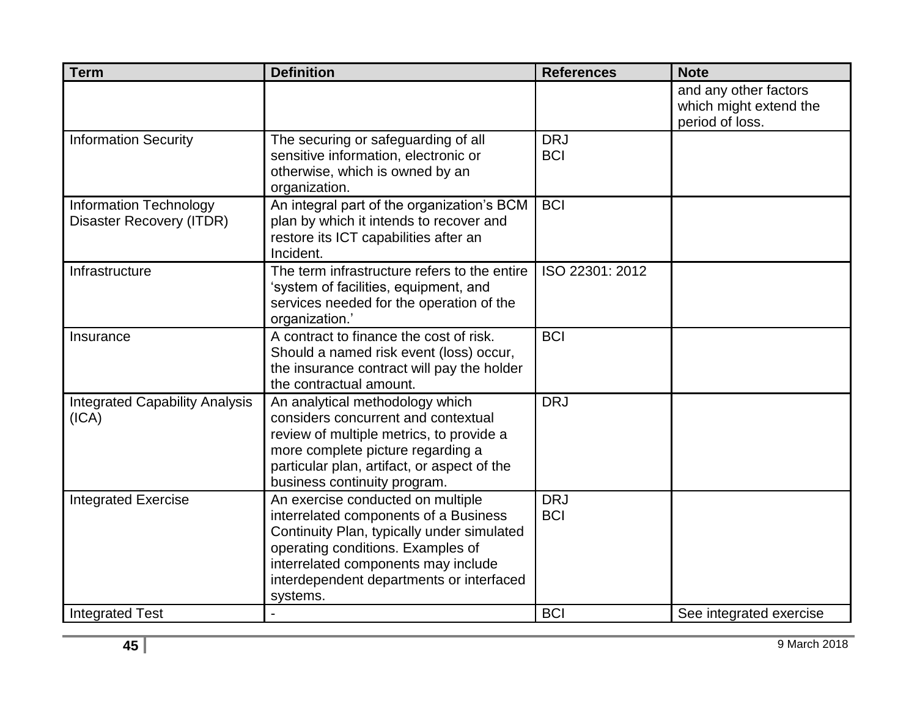| <b>Term</b>                                                      | <b>Definition</b>                                                                                                                                                                                                                                            | <b>References</b>        | <b>Note</b>                                                        |
|------------------------------------------------------------------|--------------------------------------------------------------------------------------------------------------------------------------------------------------------------------------------------------------------------------------------------------------|--------------------------|--------------------------------------------------------------------|
|                                                                  |                                                                                                                                                                                                                                                              |                          | and any other factors<br>which might extend the<br>period of loss. |
| <b>Information Security</b>                                      | The securing or safeguarding of all<br>sensitive information, electronic or<br>otherwise, which is owned by an<br>organization.                                                                                                                              | <b>DRJ</b><br><b>BCI</b> |                                                                    |
| <b>Information Technology</b><br><b>Disaster Recovery (ITDR)</b> | An integral part of the organization's BCM<br>plan by which it intends to recover and<br>restore its ICT capabilities after an<br>Incident.                                                                                                                  | <b>BCI</b>               |                                                                    |
| Infrastructure                                                   | The term infrastructure refers to the entire<br>'system of facilities, equipment, and<br>services needed for the operation of the<br>organization.'                                                                                                          | ISO 22301: 2012          |                                                                    |
| Insurance                                                        | A contract to finance the cost of risk.<br>Should a named risk event (loss) occur,<br>the insurance contract will pay the holder<br>the contractual amount.                                                                                                  | <b>BCI</b>               |                                                                    |
| <b>Integrated Capability Analysis</b><br>(ICA)                   | An analytical methodology which<br>considers concurrent and contextual<br>review of multiple metrics, to provide a<br>more complete picture regarding a<br>particular plan, artifact, or aspect of the<br>business continuity program.                       | <b>DRJ</b>               |                                                                    |
| <b>Integrated Exercise</b>                                       | An exercise conducted on multiple<br>interrelated components of a Business<br>Continuity Plan, typically under simulated<br>operating conditions. Examples of<br>interrelated components may include<br>interdependent departments or interfaced<br>systems. | <b>DRJ</b><br><b>BCI</b> |                                                                    |
| <b>Integrated Test</b>                                           |                                                                                                                                                                                                                                                              | <b>BCI</b>               | See integrated exercise                                            |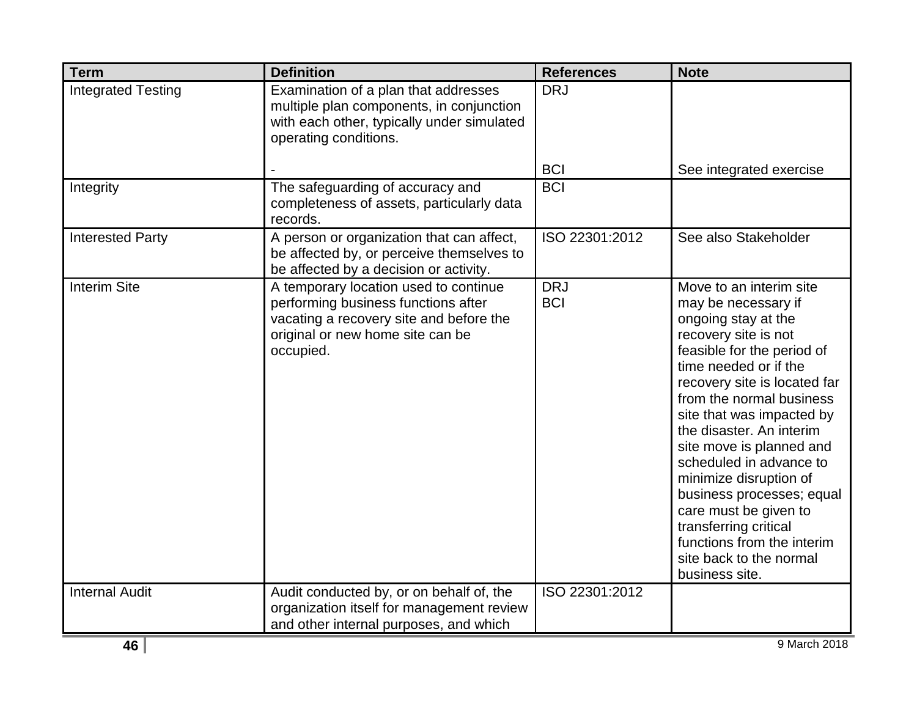| <b>Term</b>               | <b>Definition</b>                                                                                                                                                        | <b>References</b>        | <b>Note</b>                                                                                                                                                                                                                                                                                                                                                                                                                                                                                                          |
|---------------------------|--------------------------------------------------------------------------------------------------------------------------------------------------------------------------|--------------------------|----------------------------------------------------------------------------------------------------------------------------------------------------------------------------------------------------------------------------------------------------------------------------------------------------------------------------------------------------------------------------------------------------------------------------------------------------------------------------------------------------------------------|
| <b>Integrated Testing</b> | Examination of a plan that addresses<br>multiple plan components, in conjunction<br>with each other, typically under simulated<br>operating conditions.                  | <b>DRJ</b>               |                                                                                                                                                                                                                                                                                                                                                                                                                                                                                                                      |
|                           |                                                                                                                                                                          | <b>BCI</b>               | See integrated exercise                                                                                                                                                                                                                                                                                                                                                                                                                                                                                              |
| Integrity                 | The safeguarding of accuracy and<br>completeness of assets, particularly data<br>records.                                                                                | <b>BCI</b>               |                                                                                                                                                                                                                                                                                                                                                                                                                                                                                                                      |
| <b>Interested Party</b>   | A person or organization that can affect,<br>be affected by, or perceive themselves to<br>be affected by a decision or activity.                                         | ISO 22301:2012           | See also Stakeholder                                                                                                                                                                                                                                                                                                                                                                                                                                                                                                 |
| <b>Interim Site</b>       | A temporary location used to continue<br>performing business functions after<br>vacating a recovery site and before the<br>original or new home site can be<br>occupied. | <b>DRJ</b><br><b>BCI</b> | Move to an interim site<br>may be necessary if<br>ongoing stay at the<br>recovery site is not<br>feasible for the period of<br>time needed or if the<br>recovery site is located far<br>from the normal business<br>site that was impacted by<br>the disaster. An interim<br>site move is planned and<br>scheduled in advance to<br>minimize disruption of<br>business processes; equal<br>care must be given to<br>transferring critical<br>functions from the interim<br>site back to the normal<br>business site. |
| <b>Internal Audit</b>     | Audit conducted by, or on behalf of, the<br>organization itself for management review<br>and other internal purposes, and which                                          | ISO 22301:2012           |                                                                                                                                                                                                                                                                                                                                                                                                                                                                                                                      |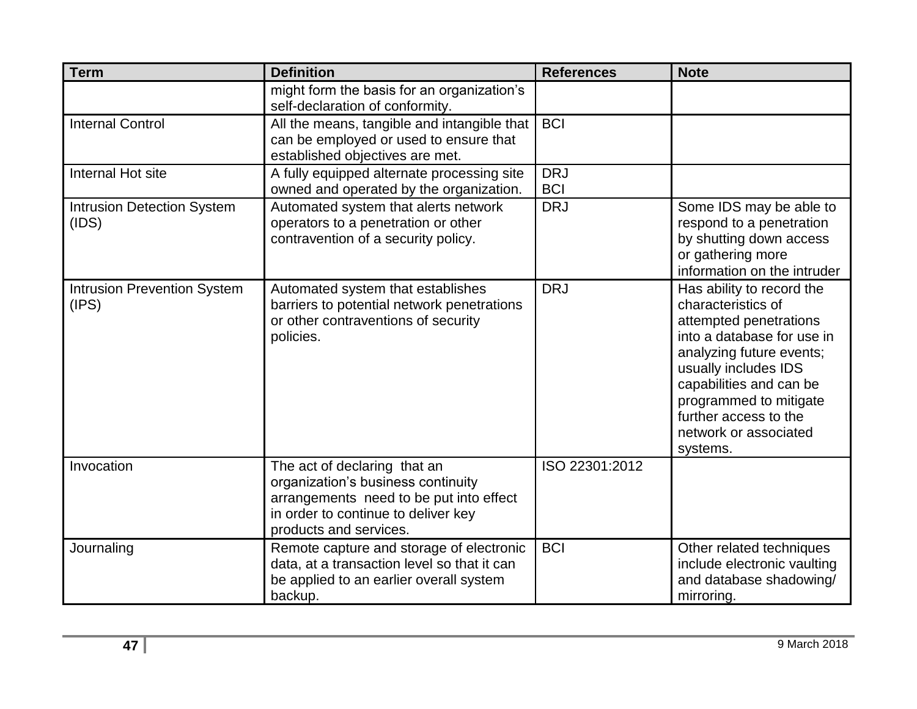| <b>Term</b>                                 | <b>Definition</b>                                                                                                                                                              | <b>References</b>        | <b>Note</b>                                                                                                                                                                                                                                                                    |
|---------------------------------------------|--------------------------------------------------------------------------------------------------------------------------------------------------------------------------------|--------------------------|--------------------------------------------------------------------------------------------------------------------------------------------------------------------------------------------------------------------------------------------------------------------------------|
|                                             | might form the basis for an organization's<br>self-declaration of conformity.                                                                                                  |                          |                                                                                                                                                                                                                                                                                |
| <b>Internal Control</b>                     | All the means, tangible and intangible that<br>can be employed or used to ensure that<br>established objectives are met.                                                       | <b>BCI</b>               |                                                                                                                                                                                                                                                                                |
| Internal Hot site                           | A fully equipped alternate processing site<br>owned and operated by the organization.                                                                                          | <b>DRJ</b><br><b>BCI</b> |                                                                                                                                                                                                                                                                                |
| <b>Intrusion Detection System</b><br>(IDS)  | Automated system that alerts network<br>operators to a penetration or other<br>contravention of a security policy.                                                             | <b>DRJ</b>               | Some IDS may be able to<br>respond to a penetration<br>by shutting down access<br>or gathering more<br>information on the intruder                                                                                                                                             |
| <b>Intrusion Prevention System</b><br>(IPS) | Automated system that establishes<br>barriers to potential network penetrations<br>or other contraventions of security<br>policies.                                            | <b>DRJ</b>               | Has ability to record the<br>characteristics of<br>attempted penetrations<br>into a database for use in<br>analyzing future events;<br>usually includes IDS<br>capabilities and can be<br>programmed to mitigate<br>further access to the<br>network or associated<br>systems. |
| Invocation                                  | The act of declaring that an<br>organization's business continuity<br>arrangements need to be put into effect<br>in order to continue to deliver key<br>products and services. | ISO 22301:2012           |                                                                                                                                                                                                                                                                                |
| Journaling                                  | Remote capture and storage of electronic<br>data, at a transaction level so that it can<br>be applied to an earlier overall system<br>backup.                                  | <b>BCI</b>               | Other related techniques<br>include electronic vaulting<br>and database shadowing/<br>mirroring.                                                                                                                                                                               |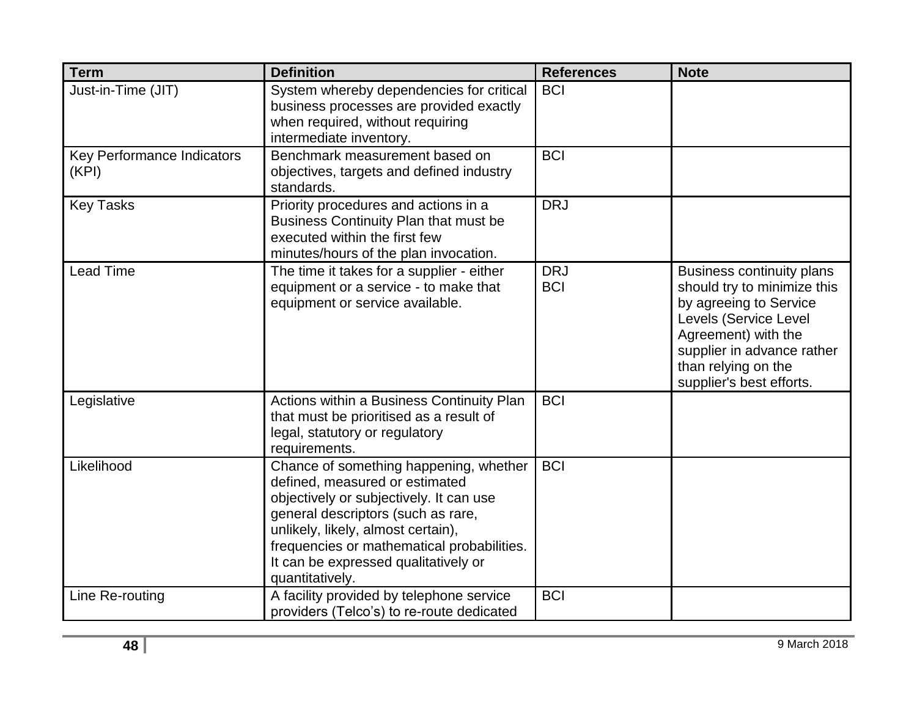| <b>Term</b>                                | <b>Definition</b>                                                                                                                                                                                                                                                                                        | <b>References</b>        | <b>Note</b>                                                                                                                                                                                                                |
|--------------------------------------------|----------------------------------------------------------------------------------------------------------------------------------------------------------------------------------------------------------------------------------------------------------------------------------------------------------|--------------------------|----------------------------------------------------------------------------------------------------------------------------------------------------------------------------------------------------------------------------|
| Just-in-Time (JIT)                         | System whereby dependencies for critical<br>business processes are provided exactly<br>when required, without requiring<br>intermediate inventory.                                                                                                                                                       | <b>BCI</b>               |                                                                                                                                                                                                                            |
| <b>Key Performance Indicators</b><br>(KPI) | Benchmark measurement based on<br>objectives, targets and defined industry<br>standards.                                                                                                                                                                                                                 | <b>BCI</b>               |                                                                                                                                                                                                                            |
| <b>Key Tasks</b>                           | Priority procedures and actions in a<br>Business Continuity Plan that must be<br>executed within the first few<br>minutes/hours of the plan invocation.                                                                                                                                                  | <b>DRJ</b>               |                                                                                                                                                                                                                            |
| <b>Lead Time</b>                           | The time it takes for a supplier - either<br>equipment or a service - to make that<br>equipment or service available.                                                                                                                                                                                    | <b>DRJ</b><br><b>BCI</b> | <b>Business continuity plans</b><br>should try to minimize this<br>by agreeing to Service<br>Levels (Service Level<br>Agreement) with the<br>supplier in advance rather<br>than relying on the<br>supplier's best efforts. |
| Legislative                                | Actions within a Business Continuity Plan<br>that must be prioritised as a result of<br>legal, statutory or regulatory<br>requirements.                                                                                                                                                                  | <b>BCI</b>               |                                                                                                                                                                                                                            |
| Likelihood                                 | Chance of something happening, whether<br>defined, measured or estimated<br>objectively or subjectively. It can use<br>general descriptors (such as rare,<br>unlikely, likely, almost certain),<br>frequencies or mathematical probabilities.<br>It can be expressed qualitatively or<br>quantitatively. | <b>BCI</b>               |                                                                                                                                                                                                                            |
| Line Re-routing                            | A facility provided by telephone service<br>providers (Telco's) to re-route dedicated                                                                                                                                                                                                                    | <b>BCI</b>               |                                                                                                                                                                                                                            |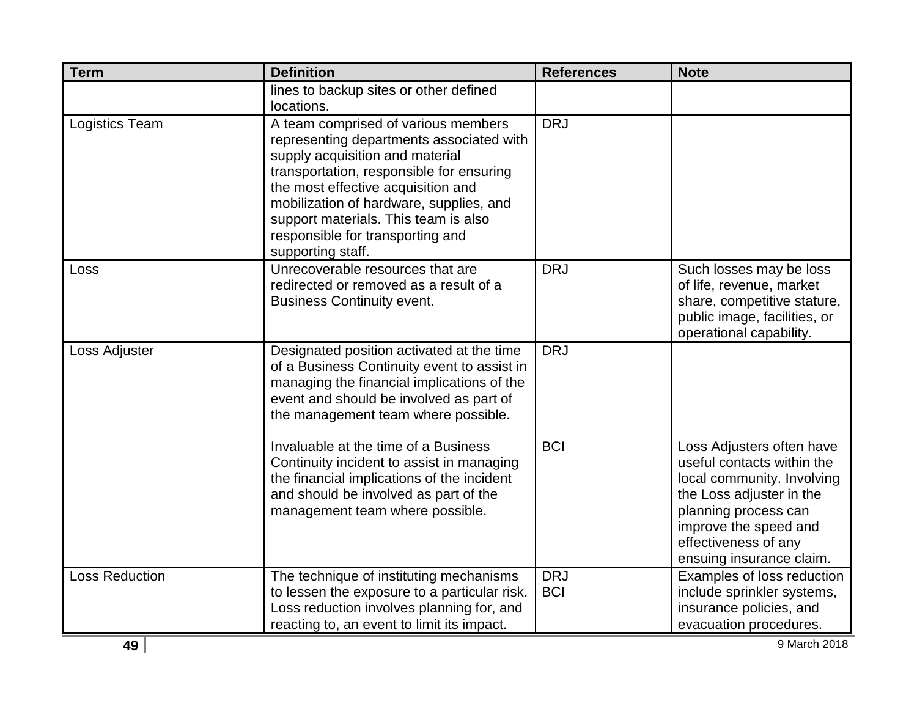| <b>Term</b>           | <b>Definition</b>                                                                                                                                                                                                                                                                                                                                | <b>References</b>        | <b>Note</b>                                                                                                                                                                                                            |
|-----------------------|--------------------------------------------------------------------------------------------------------------------------------------------------------------------------------------------------------------------------------------------------------------------------------------------------------------------------------------------------|--------------------------|------------------------------------------------------------------------------------------------------------------------------------------------------------------------------------------------------------------------|
|                       | lines to backup sites or other defined<br>locations.                                                                                                                                                                                                                                                                                             |                          |                                                                                                                                                                                                                        |
| Logistics Team        | A team comprised of various members<br>representing departments associated with<br>supply acquisition and material<br>transportation, responsible for ensuring<br>the most effective acquisition and<br>mobilization of hardware, supplies, and<br>support materials. This team is also<br>responsible for transporting and<br>supporting staff. | <b>DRJ</b>               |                                                                                                                                                                                                                        |
| Loss                  | Unrecoverable resources that are<br>redirected or removed as a result of a<br><b>Business Continuity event.</b>                                                                                                                                                                                                                                  | <b>DRJ</b>               | Such losses may be loss<br>of life, revenue, market<br>share, competitive stature,<br>public image, facilities, or<br>operational capability.                                                                          |
| Loss Adjuster         | Designated position activated at the time<br>of a Business Continuity event to assist in<br>managing the financial implications of the<br>event and should be involved as part of<br>the management team where possible.                                                                                                                         | <b>DRJ</b>               |                                                                                                                                                                                                                        |
|                       | Invaluable at the time of a Business<br>Continuity incident to assist in managing<br>the financial implications of the incident<br>and should be involved as part of the<br>management team where possible.                                                                                                                                      | <b>BCI</b>               | Loss Adjusters often have<br>useful contacts within the<br>local community. Involving<br>the Loss adjuster in the<br>planning process can<br>improve the speed and<br>effectiveness of any<br>ensuing insurance claim. |
| <b>Loss Reduction</b> | The technique of instituting mechanisms<br>to lessen the exposure to a particular risk.<br>Loss reduction involves planning for, and<br>reacting to, an event to limit its impact.                                                                                                                                                               | <b>DRJ</b><br><b>BCI</b> | Examples of loss reduction<br>include sprinkler systems,<br>insurance policies, and<br>evacuation procedures.                                                                                                          |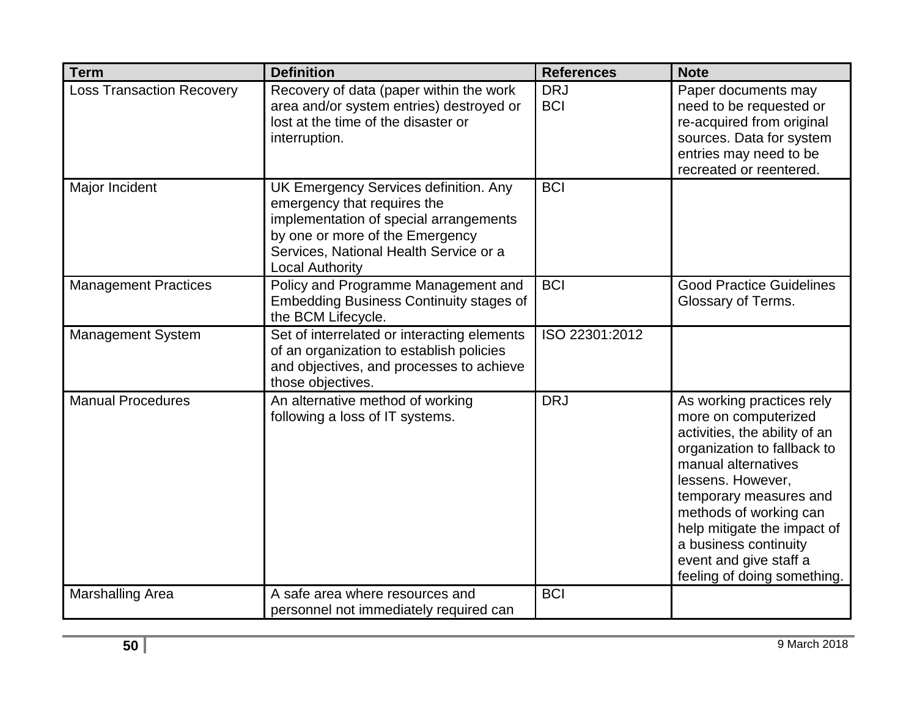| <b>Term</b>                      | <b>Definition</b>                                                                                                                                                                                                     | <b>References</b>        | <b>Note</b>                                                                                                                                                                                                                                                                                                                        |
|----------------------------------|-----------------------------------------------------------------------------------------------------------------------------------------------------------------------------------------------------------------------|--------------------------|------------------------------------------------------------------------------------------------------------------------------------------------------------------------------------------------------------------------------------------------------------------------------------------------------------------------------------|
| <b>Loss Transaction Recovery</b> | Recovery of data (paper within the work<br>area and/or system entries) destroyed or<br>lost at the time of the disaster or<br>interruption.                                                                           | <b>DRJ</b><br><b>BCI</b> | Paper documents may<br>need to be requested or<br>re-acquired from original<br>sources. Data for system<br>entries may need to be<br>recreated or reentered.                                                                                                                                                                       |
| Major Incident                   | UK Emergency Services definition. Any<br>emergency that requires the<br>implementation of special arrangements<br>by one or more of the Emergency<br>Services, National Health Service or a<br><b>Local Authority</b> | <b>BCI</b>               |                                                                                                                                                                                                                                                                                                                                    |
| <b>Management Practices</b>      | Policy and Programme Management and<br><b>Embedding Business Continuity stages of</b><br>the BCM Lifecycle.                                                                                                           | <b>BCI</b>               | <b>Good Practice Guidelines</b><br>Glossary of Terms.                                                                                                                                                                                                                                                                              |
| <b>Management System</b>         | Set of interrelated or interacting elements<br>of an organization to establish policies<br>and objectives, and processes to achieve<br>those objectives.                                                              | ISO 22301:2012           |                                                                                                                                                                                                                                                                                                                                    |
| <b>Manual Procedures</b>         | An alternative method of working<br>following a loss of IT systems.                                                                                                                                                   | <b>DRJ</b>               | As working practices rely<br>more on computerized<br>activities, the ability of an<br>organization to fallback to<br>manual alternatives<br>lessens. However,<br>temporary measures and<br>methods of working can<br>help mitigate the impact of<br>a business continuity<br>event and give staff a<br>feeling of doing something. |
| <b>Marshalling Area</b>          | A safe area where resources and<br>personnel not immediately required can                                                                                                                                             | <b>BCI</b>               |                                                                                                                                                                                                                                                                                                                                    |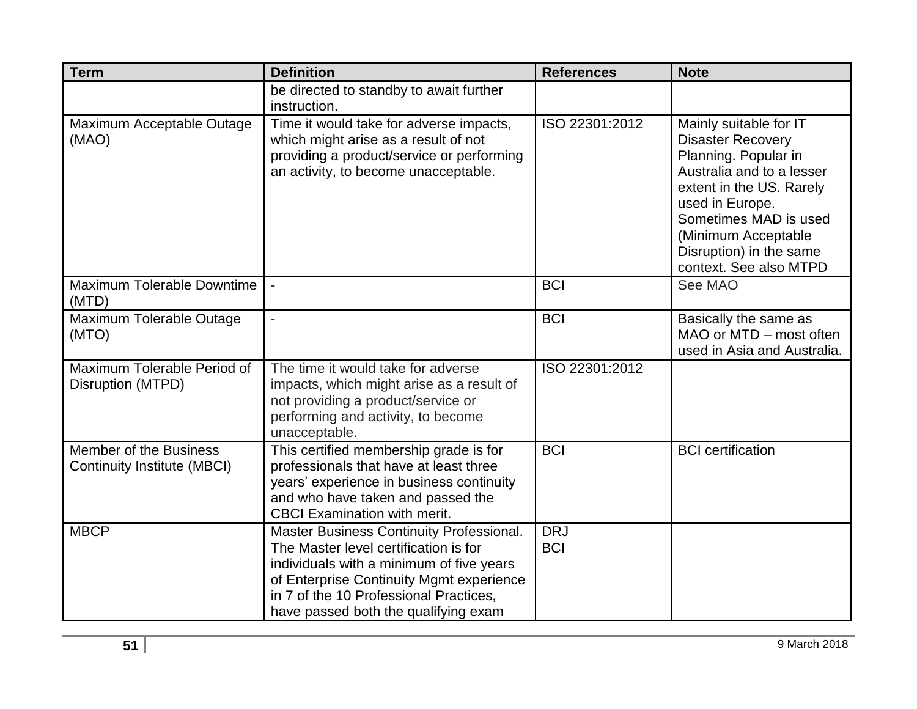| <b>Term</b>                                                  | <b>Definition</b>                                                                                                                                                                                                                                           | <b>References</b>        | <b>Note</b>                                                                                                                                                                                                                                                 |
|--------------------------------------------------------------|-------------------------------------------------------------------------------------------------------------------------------------------------------------------------------------------------------------------------------------------------------------|--------------------------|-------------------------------------------------------------------------------------------------------------------------------------------------------------------------------------------------------------------------------------------------------------|
|                                                              | be directed to standby to await further<br>instruction.                                                                                                                                                                                                     |                          |                                                                                                                                                                                                                                                             |
| Maximum Acceptable Outage<br>(MAO)                           | Time it would take for adverse impacts,<br>which might arise as a result of not<br>providing a product/service or performing<br>an activity, to become unacceptable.                                                                                        | ISO 22301:2012           | Mainly suitable for IT<br><b>Disaster Recovery</b><br>Planning. Popular in<br>Australia and to a lesser<br>extent in the US. Rarely<br>used in Europe.<br>Sometimes MAD is used<br>(Minimum Acceptable<br>Disruption) in the same<br>context. See also MTPD |
| Maximum Tolerable Downtime<br>(MTD)                          | $\overline{\phantom{a}}$                                                                                                                                                                                                                                    | <b>BCI</b>               | See MAO                                                                                                                                                                                                                                                     |
| Maximum Tolerable Outage<br>(MTO)                            | ÷,                                                                                                                                                                                                                                                          | <b>BCI</b>               | Basically the same as<br>MAO or MTD - most often<br>used in Asia and Australia.                                                                                                                                                                             |
| Maximum Tolerable Period of<br>Disruption (MTPD)             | The time it would take for adverse<br>impacts, which might arise as a result of<br>not providing a product/service or<br>performing and activity, to become<br>unacceptable.                                                                                | ISO 22301:2012           |                                                                                                                                                                                                                                                             |
| Member of the Business<br><b>Continuity Institute (MBCI)</b> | This certified membership grade is for<br>professionals that have at least three<br>years' experience in business continuity<br>and who have taken and passed the<br><b>CBCI Examination with merit.</b>                                                    | <b>BCI</b>               | <b>BCI</b> certification                                                                                                                                                                                                                                    |
| <b>MBCP</b>                                                  | Master Business Continuity Professional.<br>The Master level certification is for<br>individuals with a minimum of five years<br>of Enterprise Continuity Mgmt experience<br>in 7 of the 10 Professional Practices,<br>have passed both the qualifying exam | <b>DRJ</b><br><b>BCI</b> |                                                                                                                                                                                                                                                             |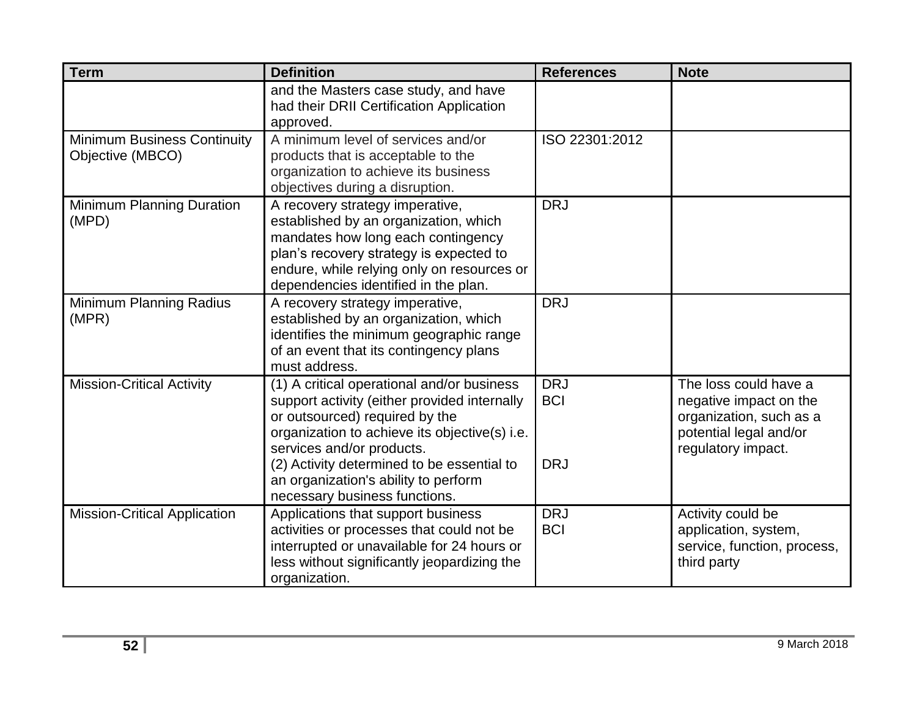| <b>Term</b>                                            | <b>Definition</b>                                                                                                                                                                                                                                                                                                                 | <b>References</b>                      | <b>Note</b>                                                                                                                |
|--------------------------------------------------------|-----------------------------------------------------------------------------------------------------------------------------------------------------------------------------------------------------------------------------------------------------------------------------------------------------------------------------------|----------------------------------------|----------------------------------------------------------------------------------------------------------------------------|
|                                                        | and the Masters case study, and have<br>had their DRII Certification Application<br>approved.                                                                                                                                                                                                                                     |                                        |                                                                                                                            |
| <b>Minimum Business Continuity</b><br>Objective (MBCO) | A minimum level of services and/or<br>products that is acceptable to the<br>organization to achieve its business<br>objectives during a disruption.                                                                                                                                                                               | ISO 22301:2012                         |                                                                                                                            |
| Minimum Planning Duration<br>(MPD)                     | A recovery strategy imperative,<br>established by an organization, which<br>mandates how long each contingency<br>plan's recovery strategy is expected to<br>endure, while relying only on resources or<br>dependencies identified in the plan.                                                                                   | <b>DRJ</b>                             |                                                                                                                            |
| Minimum Planning Radius<br>(MPR)                       | A recovery strategy imperative,<br>established by an organization, which<br>identifies the minimum geographic range<br>of an event that its contingency plans<br>must address.                                                                                                                                                    | <b>DRJ</b>                             |                                                                                                                            |
| <b>Mission-Critical Activity</b>                       | (1) A critical operational and/or business<br>support activity (either provided internally<br>or outsourced) required by the<br>organization to achieve its objective(s) i.e.<br>services and/or products.<br>(2) Activity determined to be essential to<br>an organization's ability to perform<br>necessary business functions. | <b>DRJ</b><br><b>BCI</b><br><b>DRJ</b> | The loss could have a<br>negative impact on the<br>organization, such as a<br>potential legal and/or<br>regulatory impact. |
| <b>Mission-Critical Application</b>                    | Applications that support business<br>activities or processes that could not be<br>interrupted or unavailable for 24 hours or<br>less without significantly jeopardizing the<br>organization.                                                                                                                                     | <b>DRJ</b><br><b>BCI</b>               | Activity could be<br>application, system,<br>service, function, process,<br>third party                                    |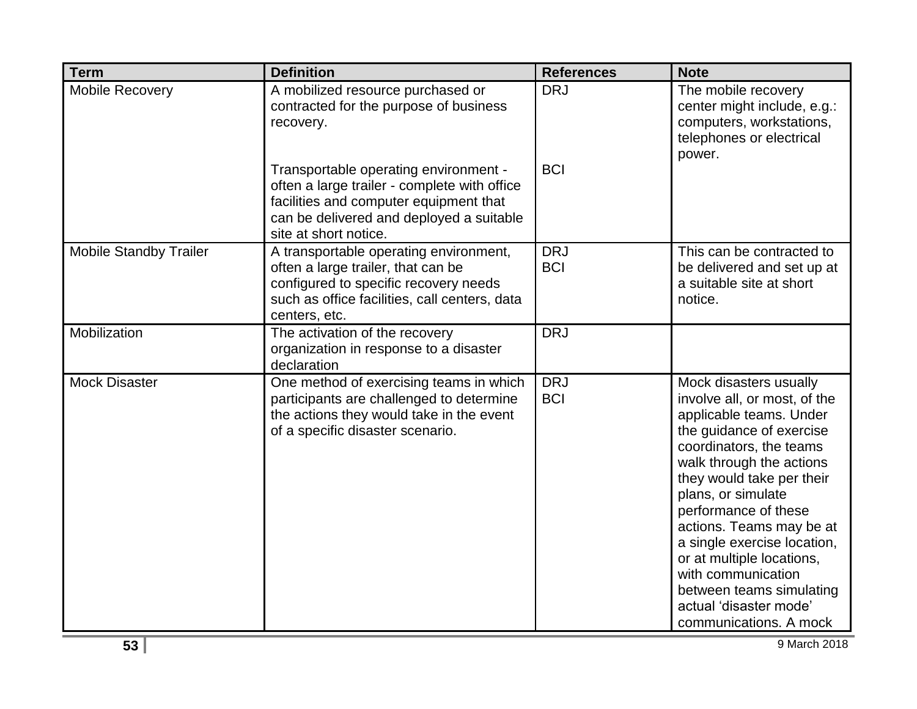| <b>Term</b>                   | <b>Definition</b>                                                                                                                                                                                    | <b>References</b>        | <b>Note</b>                                                                                                                                                                                                                                                                                                                                                                                                                                   |
|-------------------------------|------------------------------------------------------------------------------------------------------------------------------------------------------------------------------------------------------|--------------------------|-----------------------------------------------------------------------------------------------------------------------------------------------------------------------------------------------------------------------------------------------------------------------------------------------------------------------------------------------------------------------------------------------------------------------------------------------|
| Mobile Recovery               | A mobilized resource purchased or<br>contracted for the purpose of business<br>recovery.                                                                                                             | <b>DRJ</b>               | The mobile recovery<br>center might include, e.g.:<br>computers, workstations,<br>telephones or electrical<br>power.                                                                                                                                                                                                                                                                                                                          |
|                               | Transportable operating environment -<br>often a large trailer - complete with office<br>facilities and computer equipment that<br>can be delivered and deployed a suitable<br>site at short notice. | <b>BCI</b>               |                                                                                                                                                                                                                                                                                                                                                                                                                                               |
| <b>Mobile Standby Trailer</b> | A transportable operating environment,<br>often a large trailer, that can be<br>configured to specific recovery needs<br>such as office facilities, call centers, data<br>centers, etc.              | <b>DRJ</b><br><b>BCI</b> | This can be contracted to<br>be delivered and set up at<br>a suitable site at short<br>notice.                                                                                                                                                                                                                                                                                                                                                |
| Mobilization                  | The activation of the recovery<br>organization in response to a disaster<br>declaration                                                                                                              | <b>DRJ</b>               |                                                                                                                                                                                                                                                                                                                                                                                                                                               |
| <b>Mock Disaster</b>          | One method of exercising teams in which<br>participants are challenged to determine<br>the actions they would take in the event<br>of a specific disaster scenario.                                  | <b>DRJ</b><br><b>BCI</b> | Mock disasters usually<br>involve all, or most, of the<br>applicable teams. Under<br>the guidance of exercise<br>coordinators, the teams<br>walk through the actions<br>they would take per their<br>plans, or simulate<br>performance of these<br>actions. Teams may be at<br>a single exercise location,<br>or at multiple locations,<br>with communication<br>between teams simulating<br>actual 'disaster mode'<br>communications. A mock |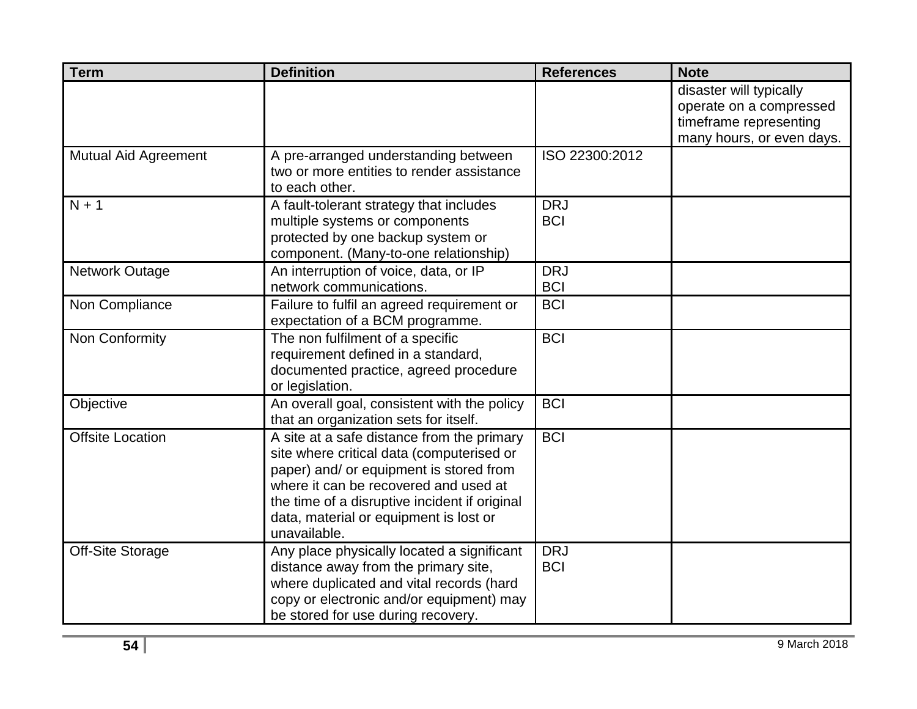| <b>Term</b>                 | <b>Definition</b>                                                                                                                                                                                                                                                                      | <b>References</b>        | <b>Note</b>                                                                                               |
|-----------------------------|----------------------------------------------------------------------------------------------------------------------------------------------------------------------------------------------------------------------------------------------------------------------------------------|--------------------------|-----------------------------------------------------------------------------------------------------------|
|                             |                                                                                                                                                                                                                                                                                        |                          | disaster will typically<br>operate on a compressed<br>timeframe representing<br>many hours, or even days. |
| <b>Mutual Aid Agreement</b> | A pre-arranged understanding between<br>two or more entities to render assistance<br>to each other.                                                                                                                                                                                    | ISO 22300:2012           |                                                                                                           |
| $N + 1$                     | A fault-tolerant strategy that includes<br>multiple systems or components<br>protected by one backup system or<br>component. (Many-to-one relationship)                                                                                                                                | <b>DRJ</b><br><b>BCI</b> |                                                                                                           |
| <b>Network Outage</b>       | An interruption of voice, data, or IP<br>network communications.                                                                                                                                                                                                                       | <b>DRJ</b><br><b>BCI</b> |                                                                                                           |
| Non Compliance              | Failure to fulfil an agreed requirement or<br>expectation of a BCM programme.                                                                                                                                                                                                          | <b>BCI</b>               |                                                                                                           |
| Non Conformity              | The non fulfilment of a specific<br>requirement defined in a standard,<br>documented practice, agreed procedure<br>or legislation.                                                                                                                                                     | <b>BCI</b>               |                                                                                                           |
| Objective                   | An overall goal, consistent with the policy<br>that an organization sets for itself.                                                                                                                                                                                                   | <b>BCI</b>               |                                                                                                           |
| <b>Offsite Location</b>     | A site at a safe distance from the primary<br>site where critical data (computerised or<br>paper) and/ or equipment is stored from<br>where it can be recovered and used at<br>the time of a disruptive incident if original<br>data, material or equipment is lost or<br>unavailable. | <b>BCI</b>               |                                                                                                           |
| <b>Off-Site Storage</b>     | Any place physically located a significant<br>distance away from the primary site,<br>where duplicated and vital records (hard<br>copy or electronic and/or equipment) may<br>be stored for use during recovery.                                                                       | <b>DRJ</b><br><b>BCI</b> |                                                                                                           |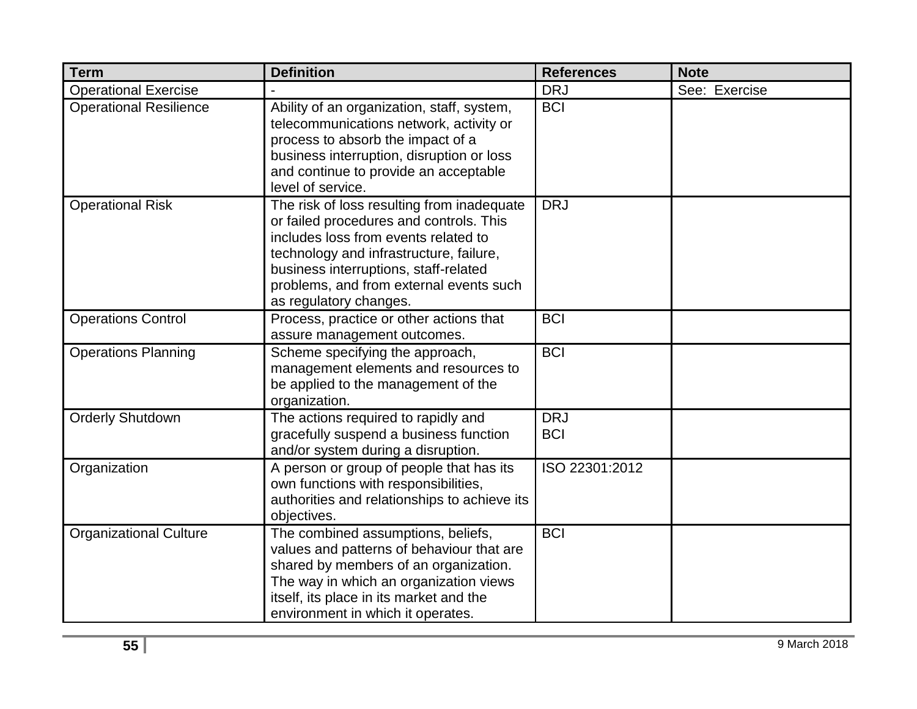| <b>Term</b>                   | <b>Definition</b>                                                                                                                                                                                                                                                                      | <b>References</b>        | <b>Note</b>   |
|-------------------------------|----------------------------------------------------------------------------------------------------------------------------------------------------------------------------------------------------------------------------------------------------------------------------------------|--------------------------|---------------|
| <b>Operational Exercise</b>   |                                                                                                                                                                                                                                                                                        | <b>DRJ</b>               | See: Exercise |
| <b>Operational Resilience</b> | Ability of an organization, staff, system,<br>telecommunications network, activity or<br>process to absorb the impact of a<br>business interruption, disruption or loss<br>and continue to provide an acceptable<br>level of service.                                                  | <b>BCI</b>               |               |
| <b>Operational Risk</b>       | The risk of loss resulting from inadequate<br>or failed procedures and controls. This<br>includes loss from events related to<br>technology and infrastructure, failure,<br>business interruptions, staff-related<br>problems, and from external events such<br>as regulatory changes. | <b>DRJ</b>               |               |
| <b>Operations Control</b>     | Process, practice or other actions that<br>assure management outcomes.                                                                                                                                                                                                                 | <b>BCI</b>               |               |
| <b>Operations Planning</b>    | Scheme specifying the approach,<br>management elements and resources to<br>be applied to the management of the<br>organization.                                                                                                                                                        | <b>BCI</b>               |               |
| <b>Orderly Shutdown</b>       | The actions required to rapidly and<br>gracefully suspend a business function<br>and/or system during a disruption.                                                                                                                                                                    | <b>DRJ</b><br><b>BCI</b> |               |
| Organization                  | A person or group of people that has its<br>own functions with responsibilities,<br>authorities and relationships to achieve its<br>objectives.                                                                                                                                        | ISO 22301:2012           |               |
| <b>Organizational Culture</b> | The combined assumptions, beliefs,<br>values and patterns of behaviour that are<br>shared by members of an organization.<br>The way in which an organization views<br>itself, its place in its market and the<br>environment in which it operates.                                     | <b>BCI</b>               |               |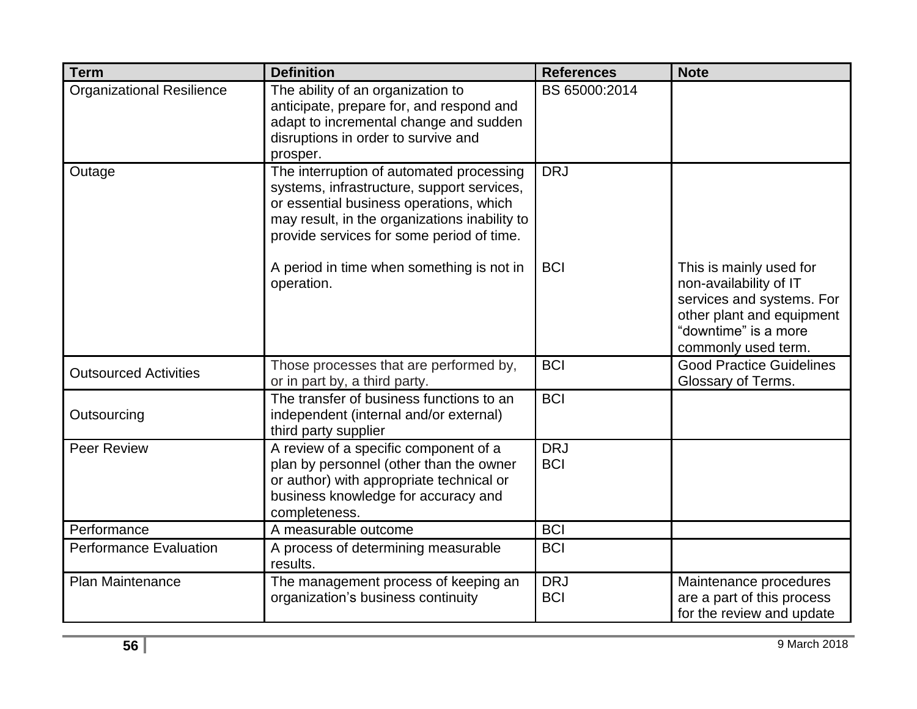| <b>Term</b>                      | <b>Definition</b>                                                                                                                                                                                                               | <b>References</b>        | <b>Note</b>                                                                                                                                                |
|----------------------------------|---------------------------------------------------------------------------------------------------------------------------------------------------------------------------------------------------------------------------------|--------------------------|------------------------------------------------------------------------------------------------------------------------------------------------------------|
| <b>Organizational Resilience</b> | The ability of an organization to<br>anticipate, prepare for, and respond and<br>adapt to incremental change and sudden<br>disruptions in order to survive and<br>prosper.                                                      | BS 65000:2014            |                                                                                                                                                            |
| Outage                           | The interruption of automated processing<br>systems, infrastructure, support services,<br>or essential business operations, which<br>may result, in the organizations inability to<br>provide services for some period of time. | <b>DRJ</b>               |                                                                                                                                                            |
|                                  | A period in time when something is not in<br>operation.                                                                                                                                                                         | <b>BCI</b>               | This is mainly used for<br>non-availability of IT<br>services and systems. For<br>other plant and equipment<br>"downtime" is a more<br>commonly used term. |
| <b>Outsourced Activities</b>     | Those processes that are performed by,<br>or in part by, a third party.                                                                                                                                                         | <b>BCI</b>               | <b>Good Practice Guidelines</b><br>Glossary of Terms.                                                                                                      |
| Outsourcing                      | The transfer of business functions to an<br>independent (internal and/or external)<br>third party supplier                                                                                                                      | <b>BCI</b>               |                                                                                                                                                            |
| Peer Review                      | A review of a specific component of a<br>plan by personnel (other than the owner<br>or author) with appropriate technical or<br>business knowledge for accuracy and<br>completeness.                                            | <b>DRJ</b><br><b>BCI</b> |                                                                                                                                                            |
| Performance                      | A measurable outcome                                                                                                                                                                                                            | <b>BCI</b>               |                                                                                                                                                            |
| <b>Performance Evaluation</b>    | A process of determining measurable<br>results.                                                                                                                                                                                 | <b>BCI</b>               |                                                                                                                                                            |
| Plan Maintenance                 | The management process of keeping an<br>organization's business continuity                                                                                                                                                      | <b>DRJ</b><br><b>BCI</b> | Maintenance procedures<br>are a part of this process<br>for the review and update                                                                          |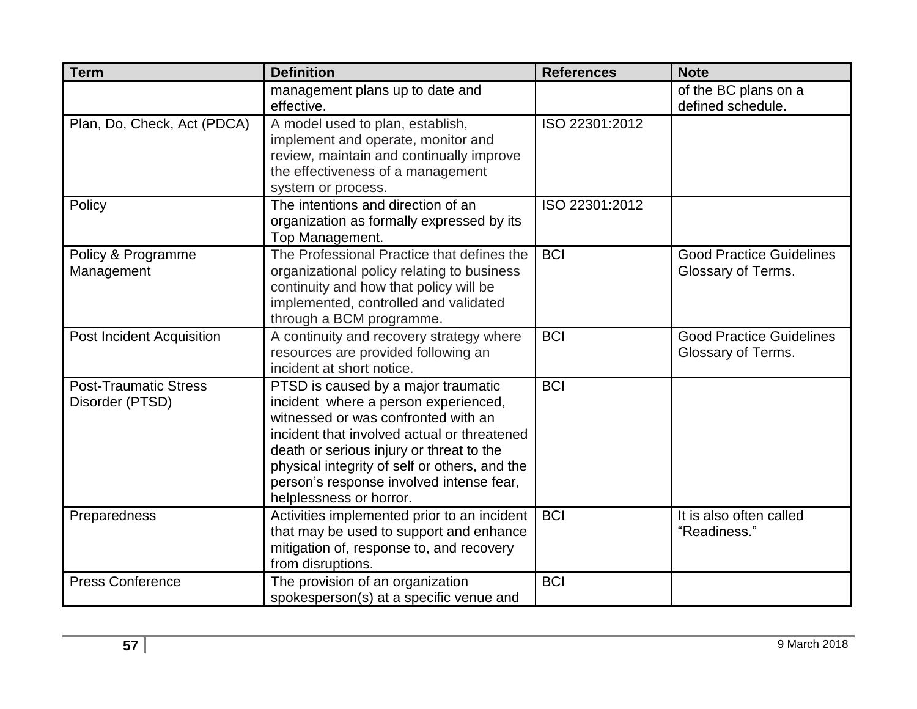| <b>Term</b>                                     | <b>Definition</b>                                                                                                                                                                                                                                                                                                                     | <b>References</b> | <b>Note</b>                                           |
|-------------------------------------------------|---------------------------------------------------------------------------------------------------------------------------------------------------------------------------------------------------------------------------------------------------------------------------------------------------------------------------------------|-------------------|-------------------------------------------------------|
|                                                 | management plans up to date and<br>effective.                                                                                                                                                                                                                                                                                         |                   | of the BC plans on a<br>defined schedule.             |
| Plan, Do, Check, Act (PDCA)                     | A model used to plan, establish,<br>implement and operate, monitor and<br>review, maintain and continually improve<br>the effectiveness of a management<br>system or process.                                                                                                                                                         | ISO 22301:2012    |                                                       |
| Policy                                          | The intentions and direction of an<br>organization as formally expressed by its<br>Top Management.                                                                                                                                                                                                                                    | ISO 22301:2012    |                                                       |
| Policy & Programme<br>Management                | The Professional Practice that defines the<br>organizational policy relating to business<br>continuity and how that policy will be<br>implemented, controlled and validated<br>through a BCM programme.                                                                                                                               | <b>BCI</b>        | <b>Good Practice Guidelines</b><br>Glossary of Terms. |
| <b>Post Incident Acquisition</b>                | A continuity and recovery strategy where<br>resources are provided following an<br>incident at short notice.                                                                                                                                                                                                                          | <b>BCI</b>        | <b>Good Practice Guidelines</b><br>Glossary of Terms. |
| <b>Post-Traumatic Stress</b><br>Disorder (PTSD) | PTSD is caused by a major traumatic<br>incident where a person experienced,<br>witnessed or was confronted with an<br>incident that involved actual or threatened<br>death or serious injury or threat to the<br>physical integrity of self or others, and the<br>person's response involved intense fear,<br>helplessness or horror. | <b>BCI</b>        |                                                       |
| Preparedness                                    | Activities implemented prior to an incident<br>that may be used to support and enhance<br>mitigation of, response to, and recovery<br>from disruptions.                                                                                                                                                                               | <b>BCI</b>        | It is also often called<br>"Readiness."               |
| <b>Press Conference</b>                         | The provision of an organization<br>spokesperson(s) at a specific venue and                                                                                                                                                                                                                                                           | <b>BCI</b>        |                                                       |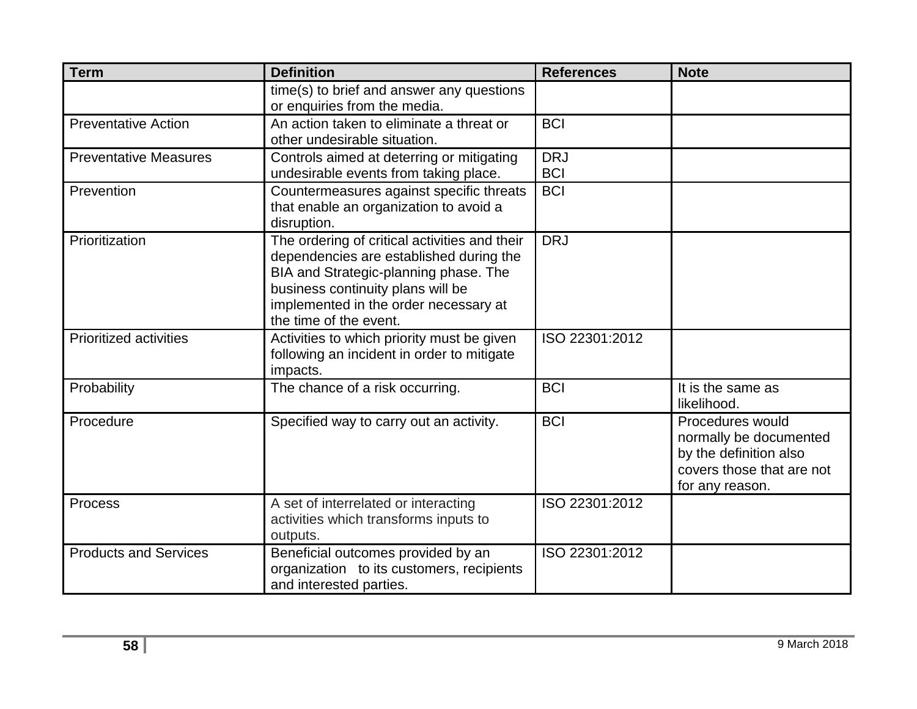| <b>Term</b>                   | <b>Definition</b>                                                                                                                                                                                                                         | <b>References</b>        | <b>Note</b>                                                                                                          |
|-------------------------------|-------------------------------------------------------------------------------------------------------------------------------------------------------------------------------------------------------------------------------------------|--------------------------|----------------------------------------------------------------------------------------------------------------------|
|                               | time(s) to brief and answer any questions<br>or enquiries from the media.                                                                                                                                                                 |                          |                                                                                                                      |
| <b>Preventative Action</b>    | An action taken to eliminate a threat or<br>other undesirable situation.                                                                                                                                                                  | <b>BCI</b>               |                                                                                                                      |
| <b>Preventative Measures</b>  | Controls aimed at deterring or mitigating<br>undesirable events from taking place.                                                                                                                                                        | <b>DRJ</b><br><b>BCI</b> |                                                                                                                      |
| Prevention                    | Countermeasures against specific threats<br>that enable an organization to avoid a<br>disruption.                                                                                                                                         | <b>BCI</b>               |                                                                                                                      |
| Prioritization                | The ordering of critical activities and their<br>dependencies are established during the<br>BIA and Strategic-planning phase. The<br>business continuity plans will be<br>implemented in the order necessary at<br>the time of the event. | <b>DRJ</b>               |                                                                                                                      |
| <b>Prioritized activities</b> | Activities to which priority must be given<br>following an incident in order to mitigate<br>impacts.                                                                                                                                      | ISO 22301:2012           |                                                                                                                      |
| Probability                   | The chance of a risk occurring.                                                                                                                                                                                                           | <b>BCI</b>               | It is the same as<br>likelihood.                                                                                     |
| Procedure                     | Specified way to carry out an activity.                                                                                                                                                                                                   | <b>BCI</b>               | Procedures would<br>normally be documented<br>by the definition also<br>covers those that are not<br>for any reason. |
| Process                       | A set of interrelated or interacting<br>activities which transforms inputs to<br>outputs.                                                                                                                                                 | ISO 22301:2012           |                                                                                                                      |
| <b>Products and Services</b>  | Beneficial outcomes provided by an<br>organization to its customers, recipients<br>and interested parties.                                                                                                                                | ISO 22301:2012           |                                                                                                                      |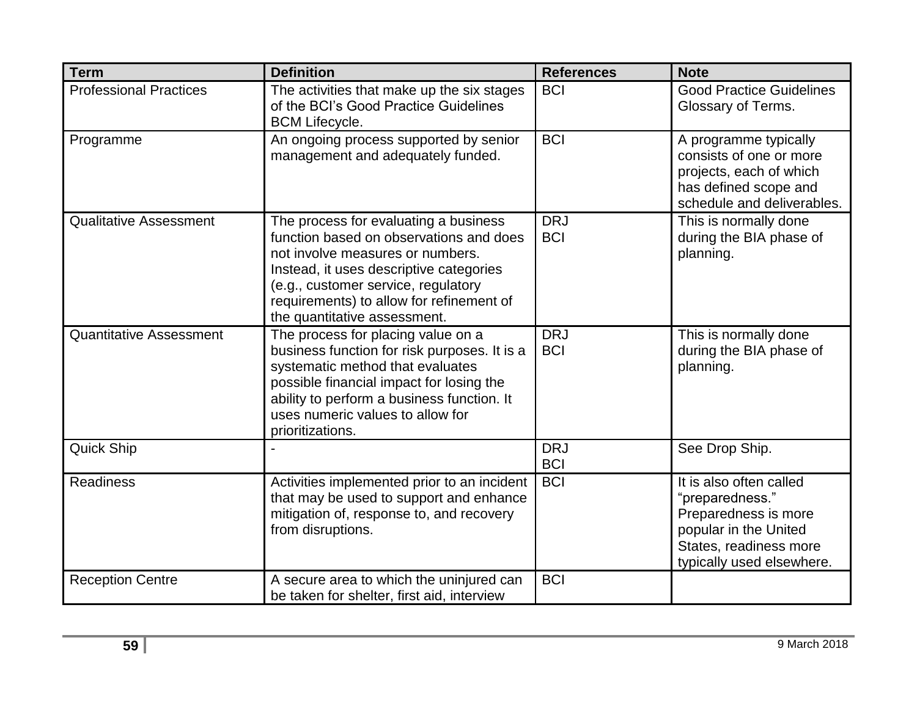| <b>Term</b>                    | <b>Definition</b>                                                                                                                                                                                                                                                                  | <b>References</b>        | <b>Note</b>                                                                                                                                        |
|--------------------------------|------------------------------------------------------------------------------------------------------------------------------------------------------------------------------------------------------------------------------------------------------------------------------------|--------------------------|----------------------------------------------------------------------------------------------------------------------------------------------------|
| <b>Professional Practices</b>  | The activities that make up the six stages<br>of the BCI's Good Practice Guidelines<br><b>BCM Lifecycle.</b>                                                                                                                                                                       | <b>BCI</b>               | <b>Good Practice Guidelines</b><br>Glossary of Terms.                                                                                              |
| Programme                      | An ongoing process supported by senior<br>management and adequately funded.                                                                                                                                                                                                        | <b>BCI</b>               | A programme typically<br>consists of one or more<br>projects, each of which<br>has defined scope and<br>schedule and deliverables.                 |
| <b>Qualitative Assessment</b>  | The process for evaluating a business<br>function based on observations and does<br>not involve measures or numbers.<br>Instead, it uses descriptive categories<br>(e.g., customer service, regulatory<br>requirements) to allow for refinement of<br>the quantitative assessment. | <b>DRJ</b><br><b>BCI</b> | This is normally done<br>during the BIA phase of<br>planning.                                                                                      |
| <b>Quantitative Assessment</b> | The process for placing value on a<br>business function for risk purposes. It is a<br>systematic method that evaluates<br>possible financial impact for losing the<br>ability to perform a business function. It<br>uses numeric values to allow for<br>prioritizations.           | <b>DRJ</b><br><b>BCI</b> | This is normally done<br>during the BIA phase of<br>planning.                                                                                      |
| <b>Quick Ship</b>              |                                                                                                                                                                                                                                                                                    | <b>DRJ</b><br><b>BCI</b> | See Drop Ship.                                                                                                                                     |
| <b>Readiness</b>               | Activities implemented prior to an incident<br>that may be used to support and enhance<br>mitigation of, response to, and recovery<br>from disruptions.                                                                                                                            | <b>BCI</b>               | It is also often called<br>"preparedness."<br>Preparedness is more<br>popular in the United<br>States, readiness more<br>typically used elsewhere. |
| <b>Reception Centre</b>        | A secure area to which the uninjured can<br>be taken for shelter, first aid, interview                                                                                                                                                                                             | <b>BCI</b>               |                                                                                                                                                    |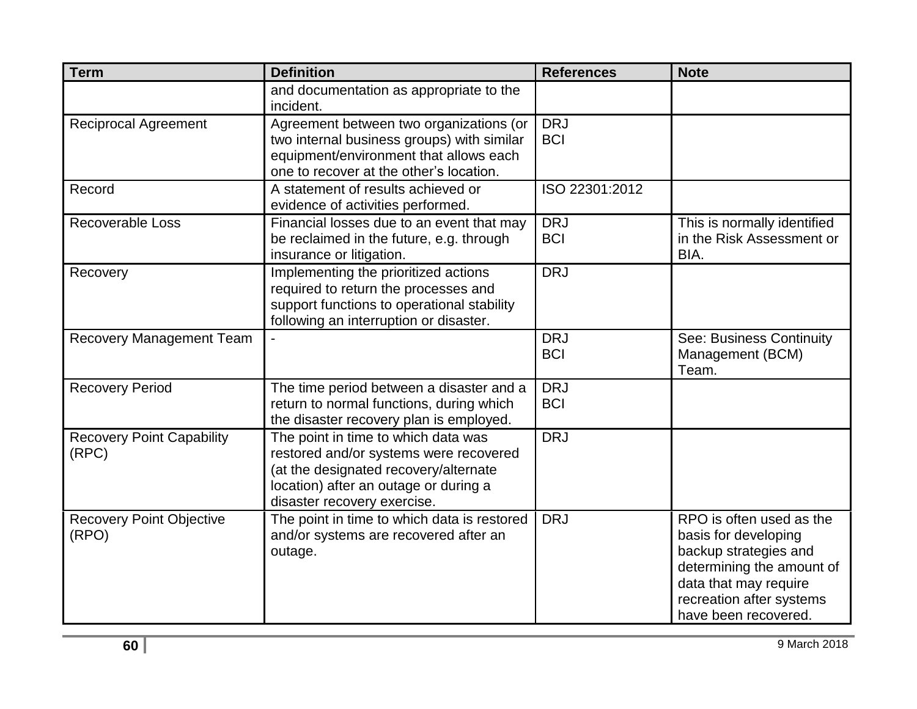| <b>Term</b>                               | <b>Definition</b>                                                                                                                                                                              | <b>References</b>        | <b>Note</b>                                                                                                                                                                         |
|-------------------------------------------|------------------------------------------------------------------------------------------------------------------------------------------------------------------------------------------------|--------------------------|-------------------------------------------------------------------------------------------------------------------------------------------------------------------------------------|
|                                           | and documentation as appropriate to the<br>incident.                                                                                                                                           |                          |                                                                                                                                                                                     |
| <b>Reciprocal Agreement</b>               | Agreement between two organizations (or<br>two internal business groups) with similar<br>equipment/environment that allows each<br>one to recover at the other's location.                     | <b>DRJ</b><br><b>BCI</b> |                                                                                                                                                                                     |
| Record                                    | A statement of results achieved or<br>evidence of activities performed.                                                                                                                        | ISO 22301:2012           |                                                                                                                                                                                     |
| <b>Recoverable Loss</b>                   | Financial losses due to an event that may<br>be reclaimed in the future, e.g. through<br>insurance or litigation.                                                                              | <b>DRJ</b><br><b>BCI</b> | This is normally identified<br>in the Risk Assessment or<br>BIA.                                                                                                                    |
| Recovery                                  | Implementing the prioritized actions<br>required to return the processes and<br>support functions to operational stability<br>following an interruption or disaster.                           | <b>DRJ</b>               |                                                                                                                                                                                     |
| <b>Recovery Management Team</b>           |                                                                                                                                                                                                | <b>DRJ</b><br><b>BCI</b> | See: Business Continuity<br>Management (BCM)<br>Team.                                                                                                                               |
| <b>Recovery Period</b>                    | The time period between a disaster and a<br>return to normal functions, during which<br>the disaster recovery plan is employed.                                                                | <b>DRJ</b><br><b>BCI</b> |                                                                                                                                                                                     |
| <b>Recovery Point Capability</b><br>(RPC) | The point in time to which data was<br>restored and/or systems were recovered<br>(at the designated recovery/alternate<br>location) after an outage or during a<br>disaster recovery exercise. | <b>DRJ</b>               |                                                                                                                                                                                     |
| <b>Recovery Point Objective</b><br>(RPO)  | The point in time to which data is restored<br>and/or systems are recovered after an<br>outage.                                                                                                | <b>DRJ</b>               | RPO is often used as the<br>basis for developing<br>backup strategies and<br>determining the amount of<br>data that may require<br>recreation after systems<br>have been recovered. |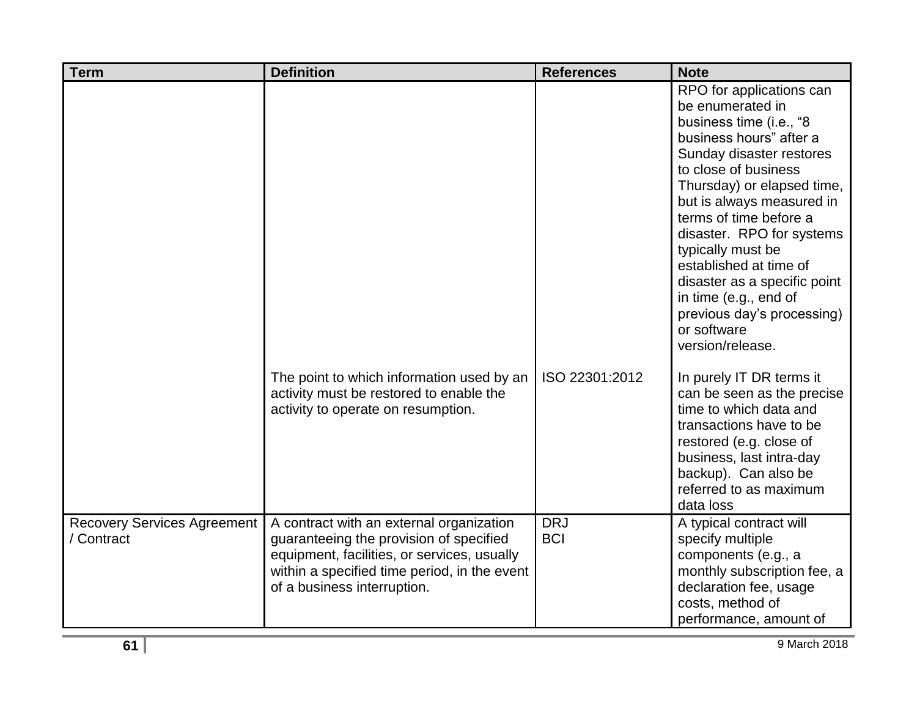| <b>Term</b>                                      | <b>Definition</b>                                                                                                                                                                                                 | <b>References</b>        | <b>Note</b>                                                                                                                                                                                                                                                                                                                                                                                                                                       |
|--------------------------------------------------|-------------------------------------------------------------------------------------------------------------------------------------------------------------------------------------------------------------------|--------------------------|---------------------------------------------------------------------------------------------------------------------------------------------------------------------------------------------------------------------------------------------------------------------------------------------------------------------------------------------------------------------------------------------------------------------------------------------------|
|                                                  |                                                                                                                                                                                                                   |                          | RPO for applications can<br>be enumerated in<br>business time (i.e., "8<br>business hours" after a<br>Sunday disaster restores<br>to close of business<br>Thursday) or elapsed time,<br>but is always measured in<br>terms of time before a<br>disaster. RPO for systems<br>typically must be<br>established at time of<br>disaster as a specific point<br>in time (e.g., end of<br>previous day's processing)<br>or software<br>version/release. |
|                                                  | The point to which information used by an<br>activity must be restored to enable the<br>activity to operate on resumption.                                                                                        | ISO 22301:2012           | In purely IT DR terms it<br>can be seen as the precise<br>time to which data and<br>transactions have to be<br>restored (e.g. close of<br>business, last intra-day<br>backup). Can also be<br>referred to as maximum<br>data loss                                                                                                                                                                                                                 |
| <b>Recovery Services Agreement</b><br>/ Contract | A contract with an external organization<br>guaranteeing the provision of specified<br>equipment, facilities, or services, usually<br>within a specified time period, in the event<br>of a business interruption. | <b>DRJ</b><br><b>BCI</b> | A typical contract will<br>specify multiple<br>components (e.g., a<br>monthly subscription fee, a<br>declaration fee, usage<br>costs, method of<br>performance, amount of                                                                                                                                                                                                                                                                         |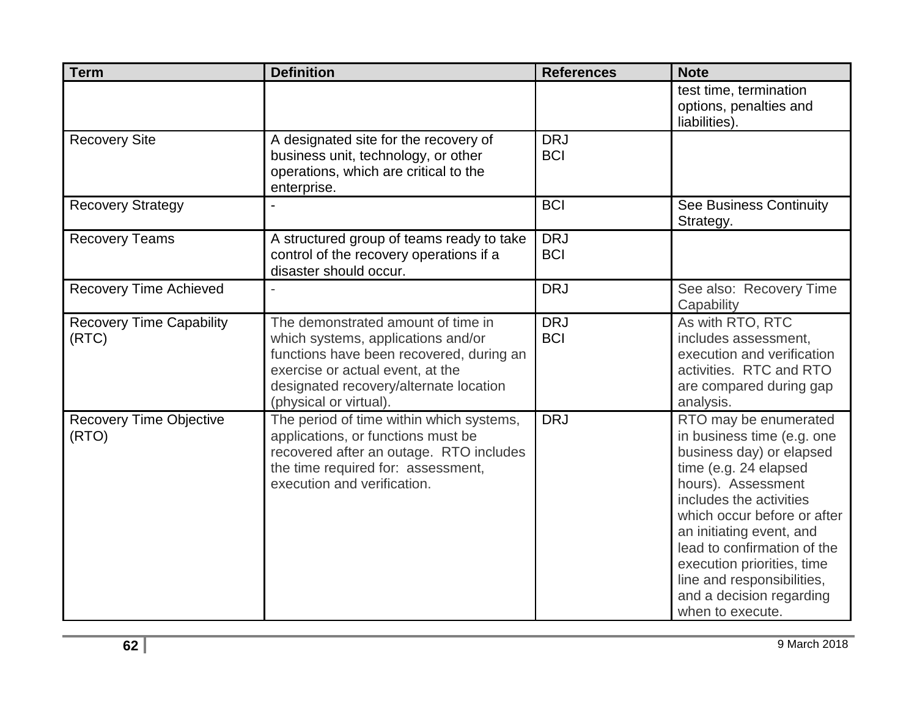| <b>Term</b>                              | <b>Definition</b>                                                                                                                                                                                                            | <b>References</b>        | <b>Note</b>                                                                                                                                                                                                                                                                                                                                                     |
|------------------------------------------|------------------------------------------------------------------------------------------------------------------------------------------------------------------------------------------------------------------------------|--------------------------|-----------------------------------------------------------------------------------------------------------------------------------------------------------------------------------------------------------------------------------------------------------------------------------------------------------------------------------------------------------------|
|                                          |                                                                                                                                                                                                                              |                          | test time, termination<br>options, penalties and<br>liabilities).                                                                                                                                                                                                                                                                                               |
| <b>Recovery Site</b>                     | A designated site for the recovery of<br>business unit, technology, or other<br>operations, which are critical to the<br>enterprise.                                                                                         | <b>DRJ</b><br><b>BCI</b> |                                                                                                                                                                                                                                                                                                                                                                 |
| <b>Recovery Strategy</b>                 |                                                                                                                                                                                                                              | <b>BCI</b>               | <b>See Business Continuity</b><br>Strategy.                                                                                                                                                                                                                                                                                                                     |
| <b>Recovery Teams</b>                    | A structured group of teams ready to take<br>control of the recovery operations if a<br>disaster should occur.                                                                                                               | <b>DRJ</b><br><b>BCI</b> |                                                                                                                                                                                                                                                                                                                                                                 |
| <b>Recovery Time Achieved</b>            |                                                                                                                                                                                                                              | <b>DRJ</b>               | See also: Recovery Time<br>Capability                                                                                                                                                                                                                                                                                                                           |
| <b>Recovery Time Capability</b><br>(RTC) | The demonstrated amount of time in<br>which systems, applications and/or<br>functions have been recovered, during an<br>exercise or actual event, at the<br>designated recovery/alternate location<br>(physical or virtual). | <b>DRJ</b><br><b>BCI</b> | As with RTO, RTC<br>includes assessment,<br>execution and verification<br>activities. RTC and RTO<br>are compared during gap<br>analysis.                                                                                                                                                                                                                       |
| <b>Recovery Time Objective</b><br>(RTO)  | The period of time within which systems,<br>applications, or functions must be<br>recovered after an outage. RTO includes<br>the time required for: assessment,<br>execution and verification.                               | <b>DRJ</b>               | RTO may be enumerated<br>in business time (e.g. one<br>business day) or elapsed<br>time (e.g. 24 elapsed<br>hours). Assessment<br>includes the activities<br>which occur before or after<br>an initiating event, and<br>lead to confirmation of the<br>execution priorities, time<br>line and responsibilities,<br>and a decision regarding<br>when to execute. |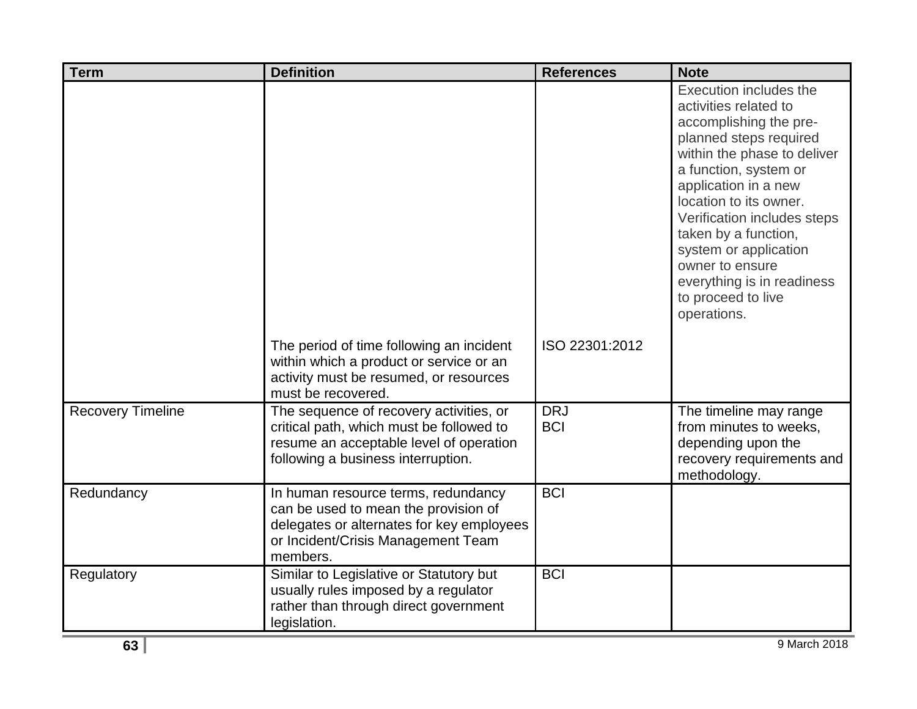| <b>Term</b>              | <b>Definition</b>                                                                                                                                                          | <b>References</b>        | <b>Note</b>                                                                                                                                                                                                                                                                                                                                                                         |
|--------------------------|----------------------------------------------------------------------------------------------------------------------------------------------------------------------------|--------------------------|-------------------------------------------------------------------------------------------------------------------------------------------------------------------------------------------------------------------------------------------------------------------------------------------------------------------------------------------------------------------------------------|
|                          |                                                                                                                                                                            |                          | Execution includes the<br>activities related to<br>accomplishing the pre-<br>planned steps required<br>within the phase to deliver<br>a function, system or<br>application in a new<br>location to its owner.<br>Verification includes steps<br>taken by a function,<br>system or application<br>owner to ensure<br>everything is in readiness<br>to proceed to live<br>operations. |
|                          | The period of time following an incident<br>within which a product or service or an<br>activity must be resumed, or resources<br>must be recovered.                        | ISO 22301:2012           |                                                                                                                                                                                                                                                                                                                                                                                     |
| <b>Recovery Timeline</b> | The sequence of recovery activities, or<br>critical path, which must be followed to<br>resume an acceptable level of operation<br>following a business interruption.       | <b>DRJ</b><br><b>BCI</b> | The timeline may range<br>from minutes to weeks,<br>depending upon the<br>recovery requirements and<br>methodology.                                                                                                                                                                                                                                                                 |
| Redundancy               | In human resource terms, redundancy<br>can be used to mean the provision of<br>delegates or alternates for key employees<br>or Incident/Crisis Management Team<br>members. | <b>BCI</b>               |                                                                                                                                                                                                                                                                                                                                                                                     |
| Regulatory               | Similar to Legislative or Statutory but<br>usually rules imposed by a regulator<br>rather than through direct government<br>legislation.                                   | <b>BCI</b>               |                                                                                                                                                                                                                                                                                                                                                                                     |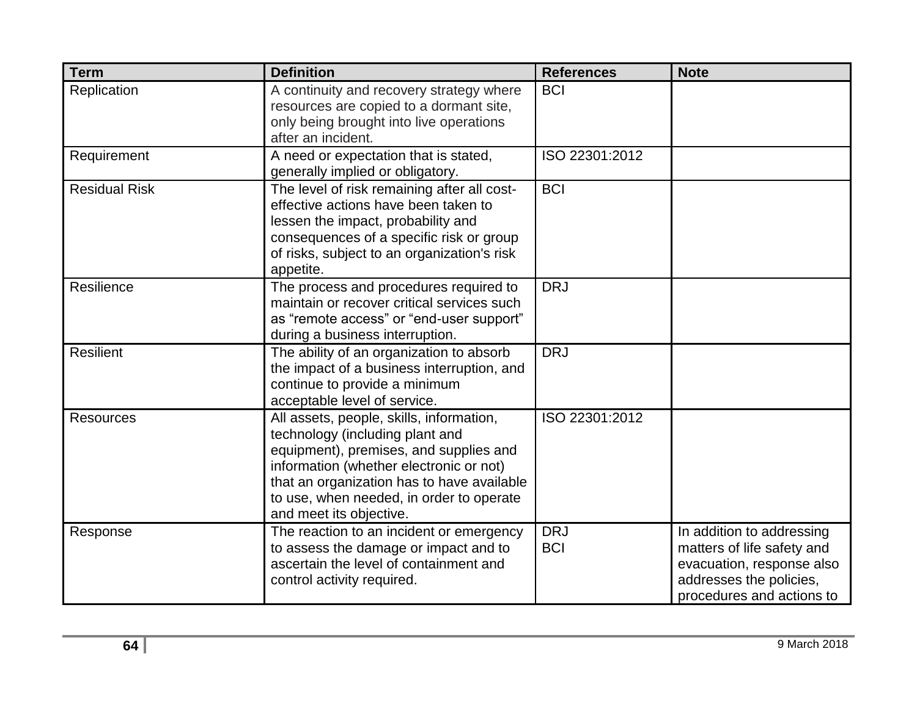| <b>Term</b>          | <b>Definition</b>                                                                                                                                                                                                                                                                     | <b>References</b>        | <b>Note</b>                                                                                                                                  |
|----------------------|---------------------------------------------------------------------------------------------------------------------------------------------------------------------------------------------------------------------------------------------------------------------------------------|--------------------------|----------------------------------------------------------------------------------------------------------------------------------------------|
| Replication          | A continuity and recovery strategy where<br>resources are copied to a dormant site,<br>only being brought into live operations<br>after an incident.                                                                                                                                  | <b>BCI</b>               |                                                                                                                                              |
| Requirement          | A need or expectation that is stated,<br>generally implied or obligatory.                                                                                                                                                                                                             | ISO 22301:2012           |                                                                                                                                              |
| <b>Residual Risk</b> | The level of risk remaining after all cost-<br>effective actions have been taken to<br>lessen the impact, probability and<br>consequences of a specific risk or group<br>of risks, subject to an organization's risk<br>appetite.                                                     | <b>BCI</b>               |                                                                                                                                              |
| Resilience           | The process and procedures required to<br>maintain or recover critical services such<br>as "remote access" or "end-user support"<br>during a business interruption.                                                                                                                   | <b>DRJ</b>               |                                                                                                                                              |
| <b>Resilient</b>     | The ability of an organization to absorb<br>the impact of a business interruption, and<br>continue to provide a minimum<br>acceptable level of service.                                                                                                                               | <b>DRJ</b>               |                                                                                                                                              |
| <b>Resources</b>     | All assets, people, skills, information,<br>technology (including plant and<br>equipment), premises, and supplies and<br>information (whether electronic or not)<br>that an organization has to have available<br>to use, when needed, in order to operate<br>and meet its objective. | ISO 22301:2012           |                                                                                                                                              |
| Response             | The reaction to an incident or emergency<br>to assess the damage or impact and to<br>ascertain the level of containment and<br>control activity required.                                                                                                                             | <b>DRJ</b><br><b>BCI</b> | In addition to addressing<br>matters of life safety and<br>evacuation, response also<br>addresses the policies,<br>procedures and actions to |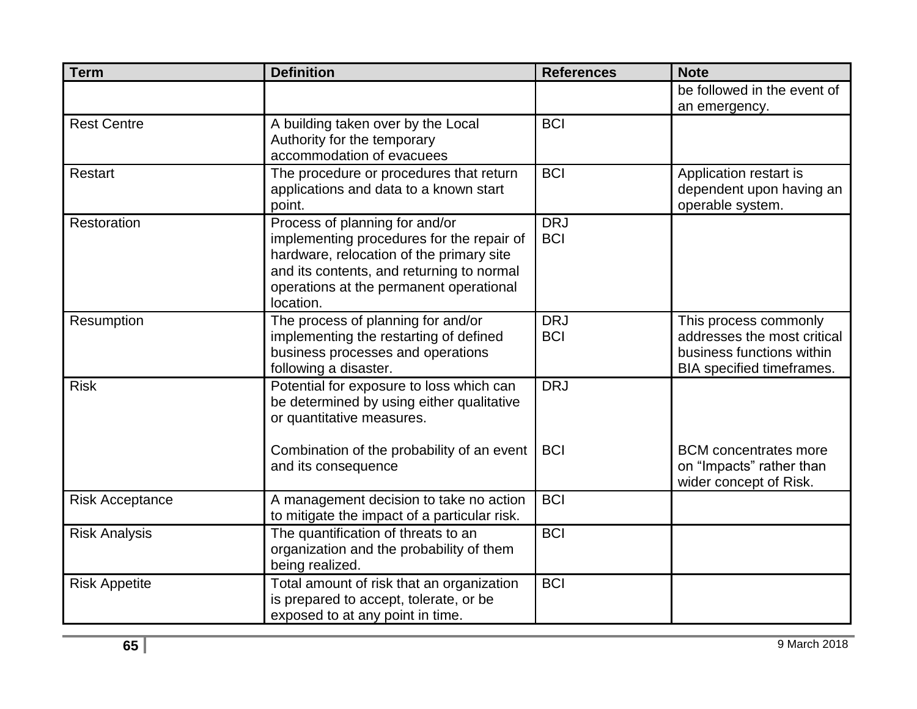| <b>Term</b>            | <b>Definition</b>                            | <b>References</b> | <b>Note</b>                  |
|------------------------|----------------------------------------------|-------------------|------------------------------|
|                        |                                              |                   | be followed in the event of  |
|                        |                                              |                   | an emergency.                |
| <b>Rest Centre</b>     | A building taken over by the Local           | <b>BCI</b>        |                              |
|                        | Authority for the temporary                  |                   |                              |
|                        | accommodation of evacuees                    |                   |                              |
| Restart                | The procedure or procedures that return      | <b>BCI</b>        | Application restart is       |
|                        | applications and data to a known start       |                   | dependent upon having an     |
|                        | point.                                       |                   | operable system.             |
| Restoration            | Process of planning for and/or               | <b>DRJ</b>        |                              |
|                        | implementing procedures for the repair of    | <b>BCI</b>        |                              |
|                        | hardware, relocation of the primary site     |                   |                              |
|                        | and its contents, and returning to normal    |                   |                              |
|                        | operations at the permanent operational      |                   |                              |
|                        | location.                                    |                   |                              |
| Resumption             | The process of planning for and/or           | <b>DRJ</b>        | This process commonly        |
|                        | implementing the restarting of defined       | <b>BCI</b>        | addresses the most critical  |
|                        | business processes and operations            |                   | business functions within    |
|                        | following a disaster.                        |                   | BIA specified timeframes.    |
| <b>Risk</b>            | Potential for exposure to loss which can     | <b>DRJ</b>        |                              |
|                        | be determined by using either qualitative    |                   |                              |
|                        | or quantitative measures.                    |                   |                              |
|                        |                                              |                   |                              |
|                        | Combination of the probability of an event   | <b>BCI</b>        | <b>BCM</b> concentrates more |
|                        | and its consequence                          |                   | on "Impacts" rather than     |
|                        |                                              |                   | wider concept of Risk.       |
| <b>Risk Acceptance</b> | A management decision to take no action      | <b>BCI</b>        |                              |
|                        | to mitigate the impact of a particular risk. |                   |                              |
| <b>Risk Analysis</b>   | The quantification of threats to an          | <b>BCI</b>        |                              |
|                        | organization and the probability of them     |                   |                              |
|                        | being realized.                              |                   |                              |
| <b>Risk Appetite</b>   | Total amount of risk that an organization    | <b>BCI</b>        |                              |
|                        | is prepared to accept, tolerate, or be       |                   |                              |
|                        | exposed to at any point in time.             |                   |                              |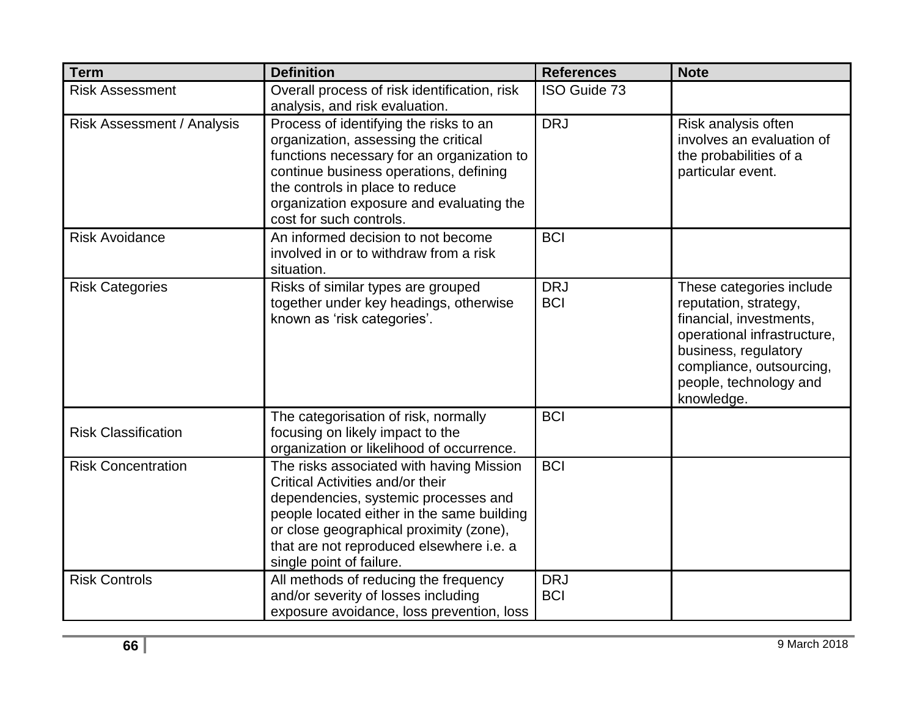| <b>Term</b>                       | <b>Definition</b>                                                                                                                                                                                                                                                                     | <b>References</b>        | <b>Note</b>                                                                                                                                                                                             |
|-----------------------------------|---------------------------------------------------------------------------------------------------------------------------------------------------------------------------------------------------------------------------------------------------------------------------------------|--------------------------|---------------------------------------------------------------------------------------------------------------------------------------------------------------------------------------------------------|
| <b>Risk Assessment</b>            | Overall process of risk identification, risk<br>analysis, and risk evaluation.                                                                                                                                                                                                        | ISO Guide 73             |                                                                                                                                                                                                         |
| <b>Risk Assessment / Analysis</b> | Process of identifying the risks to an<br>organization, assessing the critical<br>functions necessary for an organization to<br>continue business operations, defining<br>the controls in place to reduce<br>organization exposure and evaluating the<br>cost for such controls.      | <b>DRJ</b>               | Risk analysis often<br>involves an evaluation of<br>the probabilities of a<br>particular event.                                                                                                         |
| <b>Risk Avoidance</b>             | An informed decision to not become<br>involved in or to withdraw from a risk<br>situation.                                                                                                                                                                                            | <b>BCI</b>               |                                                                                                                                                                                                         |
| <b>Risk Categories</b>            | Risks of similar types are grouped<br>together under key headings, otherwise<br>known as 'risk categories'.                                                                                                                                                                           | <b>DRJ</b><br><b>BCI</b> | These categories include<br>reputation, strategy,<br>financial, investments,<br>operational infrastructure,<br>business, regulatory<br>compliance, outsourcing,<br>people, technology and<br>knowledge. |
| <b>Risk Classification</b>        | The categorisation of risk, normally<br>focusing on likely impact to the<br>organization or likelihood of occurrence.                                                                                                                                                                 | <b>BCI</b>               |                                                                                                                                                                                                         |
| <b>Risk Concentration</b>         | The risks associated with having Mission<br>Critical Activities and/or their<br>dependencies, systemic processes and<br>people located either in the same building<br>or close geographical proximity (zone),<br>that are not reproduced elsewhere i.e. a<br>single point of failure. | <b>BCI</b>               |                                                                                                                                                                                                         |
| <b>Risk Controls</b>              | All methods of reducing the frequency<br>and/or severity of losses including<br>exposure avoidance, loss prevention, loss                                                                                                                                                             | <b>DRJ</b><br><b>BCI</b> |                                                                                                                                                                                                         |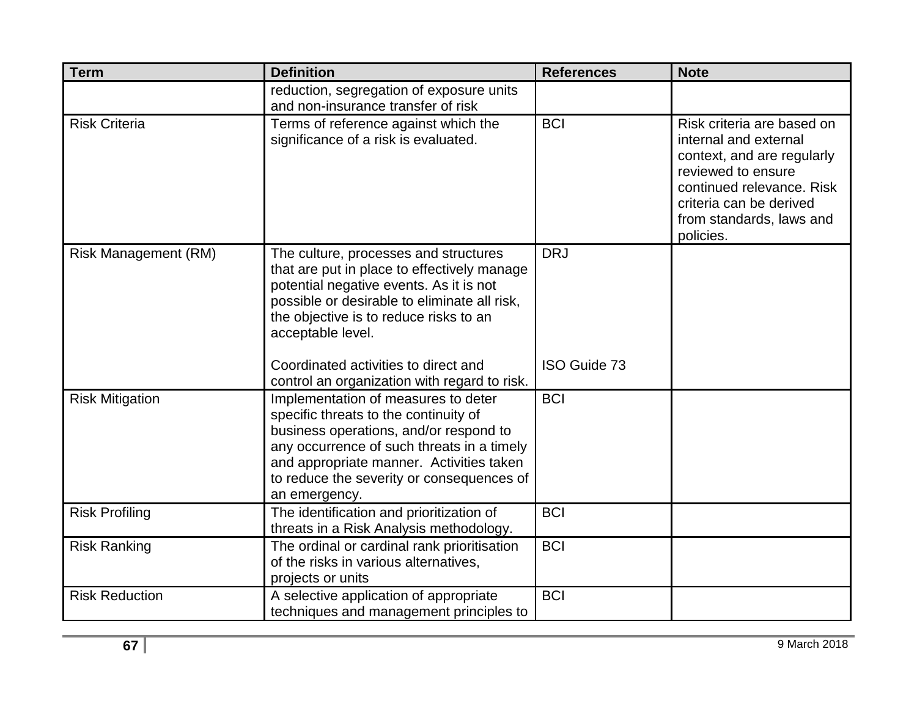| <b>Term</b>                 | <b>Definition</b>                                                                                                                                                                                                                                                              | <b>References</b>   | <b>Note</b>                                                                                                                                                                                              |
|-----------------------------|--------------------------------------------------------------------------------------------------------------------------------------------------------------------------------------------------------------------------------------------------------------------------------|---------------------|----------------------------------------------------------------------------------------------------------------------------------------------------------------------------------------------------------|
|                             | reduction, segregation of exposure units<br>and non-insurance transfer of risk                                                                                                                                                                                                 |                     |                                                                                                                                                                                                          |
| <b>Risk Criteria</b>        | Terms of reference against which the<br>significance of a risk is evaluated.                                                                                                                                                                                                   | <b>BCI</b>          | Risk criteria are based on<br>internal and external<br>context, and are regularly<br>reviewed to ensure<br>continued relevance, Risk<br>criteria can be derived<br>from standards, laws and<br>policies. |
| <b>Risk Management (RM)</b> | The culture, processes and structures<br>that are put in place to effectively manage<br>potential negative events. As it is not<br>possible or desirable to eliminate all risk,<br>the objective is to reduce risks to an<br>acceptable level.                                 | <b>DRJ</b>          |                                                                                                                                                                                                          |
|                             | Coordinated activities to direct and<br>control an organization with regard to risk.                                                                                                                                                                                           | <b>ISO Guide 73</b> |                                                                                                                                                                                                          |
| <b>Risk Mitigation</b>      | Implementation of measures to deter<br>specific threats to the continuity of<br>business operations, and/or respond to<br>any occurrence of such threats in a timely<br>and appropriate manner. Activities taken<br>to reduce the severity or consequences of<br>an emergency. | <b>BCI</b>          |                                                                                                                                                                                                          |
| <b>Risk Profiling</b>       | The identification and prioritization of<br>threats in a Risk Analysis methodology.                                                                                                                                                                                            | <b>BCI</b>          |                                                                                                                                                                                                          |
| <b>Risk Ranking</b>         | The ordinal or cardinal rank prioritisation<br>of the risks in various alternatives,<br>projects or units                                                                                                                                                                      | <b>BCI</b>          |                                                                                                                                                                                                          |
| <b>Risk Reduction</b>       | A selective application of appropriate<br>techniques and management principles to                                                                                                                                                                                              | <b>BCI</b>          |                                                                                                                                                                                                          |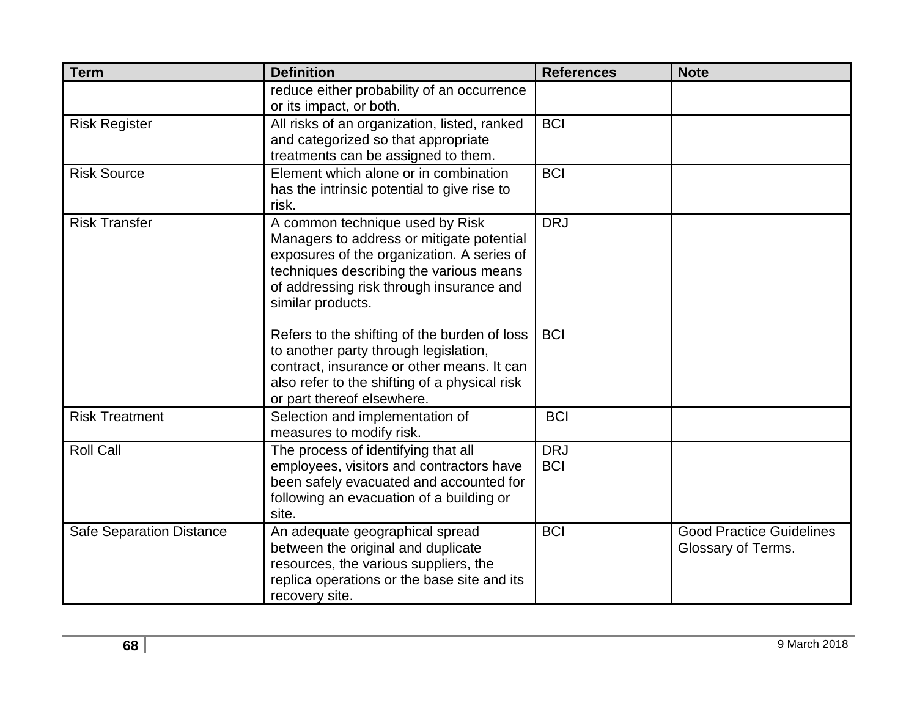| <b>Term</b>                     | <b>Definition</b>                                                                                                                                                                                                                      | <b>References</b>        | <b>Note</b>                                           |
|---------------------------------|----------------------------------------------------------------------------------------------------------------------------------------------------------------------------------------------------------------------------------------|--------------------------|-------------------------------------------------------|
|                                 | reduce either probability of an occurrence<br>or its impact, or both.                                                                                                                                                                  |                          |                                                       |
| <b>Risk Register</b>            | All risks of an organization, listed, ranked<br>and categorized so that appropriate<br>treatments can be assigned to them.                                                                                                             | <b>BCI</b>               |                                                       |
| <b>Risk Source</b>              | Element which alone or in combination<br>has the intrinsic potential to give rise to<br>risk.                                                                                                                                          | <b>BCI</b>               |                                                       |
| <b>Risk Transfer</b>            | A common technique used by Risk<br>Managers to address or mitigate potential<br>exposures of the organization. A series of<br>techniques describing the various means<br>of addressing risk through insurance and<br>similar products. | <b>DRJ</b>               |                                                       |
|                                 | Refers to the shifting of the burden of loss<br>to another party through legislation,<br>contract, insurance or other means. It can<br>also refer to the shifting of a physical risk<br>or part thereof elsewhere.                     | <b>BCI</b>               |                                                       |
| <b>Risk Treatment</b>           | Selection and implementation of<br>measures to modify risk.                                                                                                                                                                            | <b>BCI</b>               |                                                       |
| <b>Roll Call</b>                | The process of identifying that all<br>employees, visitors and contractors have<br>been safely evacuated and accounted for<br>following an evacuation of a building or<br>site.                                                        | <b>DRJ</b><br><b>BCI</b> |                                                       |
| <b>Safe Separation Distance</b> | An adequate geographical spread<br>between the original and duplicate<br>resources, the various suppliers, the<br>replica operations or the base site and its<br>recovery site.                                                        | <b>BCI</b>               | <b>Good Practice Guidelines</b><br>Glossary of Terms. |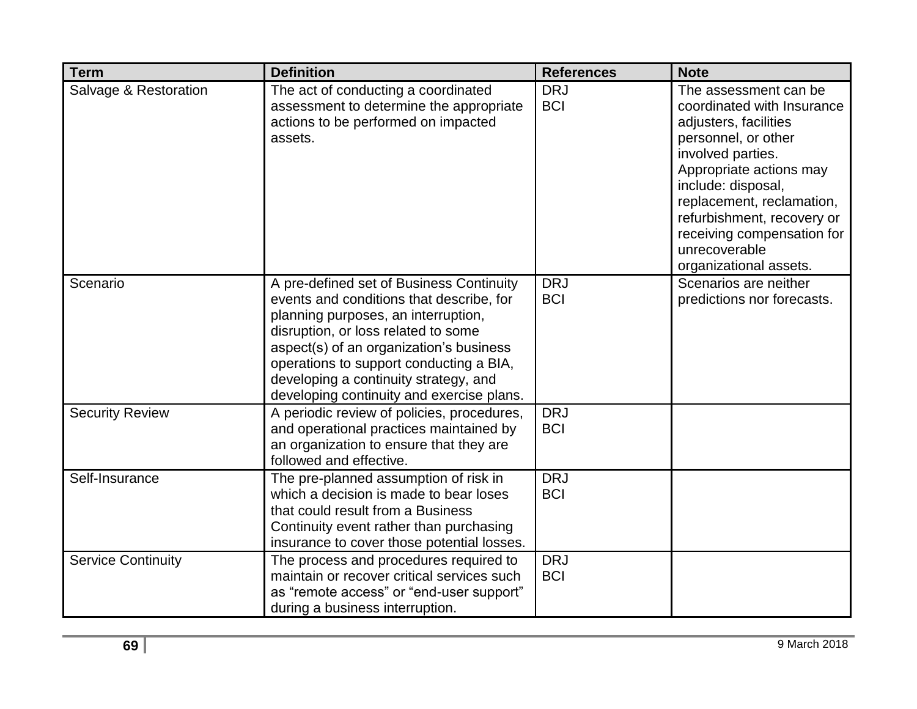| <b>Term</b>               | <b>Definition</b>                                                                                                                                                                                                                                                                                                                              | <b>References</b>        | <b>Note</b>                                                                                                                                                                                                                                                                                                   |
|---------------------------|------------------------------------------------------------------------------------------------------------------------------------------------------------------------------------------------------------------------------------------------------------------------------------------------------------------------------------------------|--------------------------|---------------------------------------------------------------------------------------------------------------------------------------------------------------------------------------------------------------------------------------------------------------------------------------------------------------|
| Salvage & Restoration     | The act of conducting a coordinated<br>assessment to determine the appropriate<br>actions to be performed on impacted<br>assets.                                                                                                                                                                                                               | <b>DRJ</b><br><b>BCI</b> | The assessment can be<br>coordinated with Insurance<br>adjusters, facilities<br>personnel, or other<br>involved parties.<br>Appropriate actions may<br>include: disposal,<br>replacement, reclamation,<br>refurbishment, recovery or<br>receiving compensation for<br>unrecoverable<br>organizational assets. |
| Scenario                  | A pre-defined set of Business Continuity<br>events and conditions that describe, for<br>planning purposes, an interruption,<br>disruption, or loss related to some<br>aspect(s) of an organization's business<br>operations to support conducting a BIA,<br>developing a continuity strategy, and<br>developing continuity and exercise plans. | <b>DRJ</b><br><b>BCI</b> | Scenarios are neither<br>predictions nor forecasts.                                                                                                                                                                                                                                                           |
| <b>Security Review</b>    | A periodic review of policies, procedures,<br>and operational practices maintained by<br>an organization to ensure that they are<br>followed and effective.                                                                                                                                                                                    | <b>DRJ</b><br><b>BCI</b> |                                                                                                                                                                                                                                                                                                               |
| Self-Insurance            | The pre-planned assumption of risk in<br>which a decision is made to bear loses<br>that could result from a Business<br>Continuity event rather than purchasing<br>insurance to cover those potential losses.                                                                                                                                  | <b>DRJ</b><br><b>BCI</b> |                                                                                                                                                                                                                                                                                                               |
| <b>Service Continuity</b> | The process and procedures required to<br>maintain or recover critical services such<br>as "remote access" or "end-user support"<br>during a business interruption.                                                                                                                                                                            | <b>DRJ</b><br><b>BCI</b> |                                                                                                                                                                                                                                                                                                               |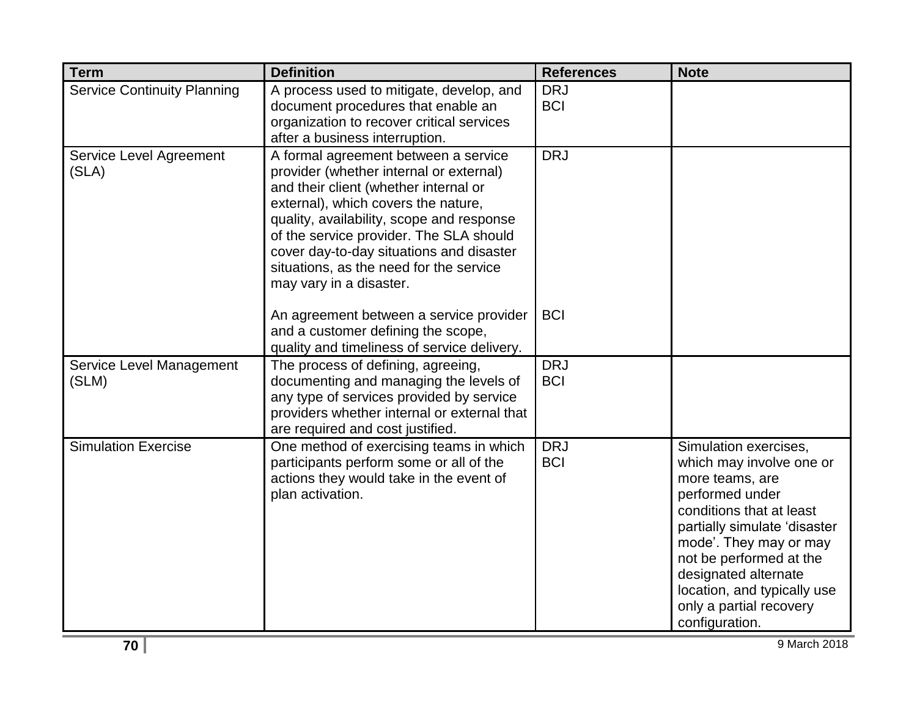| <b>Term</b>                        | <b>Definition</b>                                                                                                                                                                                                                                                                                                                                                         | <b>References</b>        | <b>Note</b>                                                                                                                                                                                                                                                                                                  |
|------------------------------------|---------------------------------------------------------------------------------------------------------------------------------------------------------------------------------------------------------------------------------------------------------------------------------------------------------------------------------------------------------------------------|--------------------------|--------------------------------------------------------------------------------------------------------------------------------------------------------------------------------------------------------------------------------------------------------------------------------------------------------------|
| <b>Service Continuity Planning</b> | A process used to mitigate, develop, and<br>document procedures that enable an<br>organization to recover critical services<br>after a business interruption.                                                                                                                                                                                                             | <b>DRJ</b><br><b>BCI</b> |                                                                                                                                                                                                                                                                                                              |
| Service Level Agreement<br>(SLA)   | A formal agreement between a service<br>provider (whether internal or external)<br>and their client (whether internal or<br>external), which covers the nature,<br>quality, availability, scope and response<br>of the service provider. The SLA should<br>cover day-to-day situations and disaster<br>situations, as the need for the service<br>may vary in a disaster. | <b>DRJ</b>               |                                                                                                                                                                                                                                                                                                              |
|                                    | An agreement between a service provider<br>and a customer defining the scope,<br>quality and timeliness of service delivery.                                                                                                                                                                                                                                              | <b>BCI</b>               |                                                                                                                                                                                                                                                                                                              |
| Service Level Management<br>(SLM)  | The process of defining, agreeing,<br>documenting and managing the levels of<br>any type of services provided by service<br>providers whether internal or external that<br>are required and cost justified.                                                                                                                                                               | <b>DRJ</b><br><b>BCI</b> |                                                                                                                                                                                                                                                                                                              |
| <b>Simulation Exercise</b>         | One method of exercising teams in which<br>participants perform some or all of the<br>actions they would take in the event of<br>plan activation.                                                                                                                                                                                                                         | <b>DRJ</b><br><b>BCI</b> | Simulation exercises,<br>which may involve one or<br>more teams, are<br>performed under<br>conditions that at least<br>partially simulate 'disaster<br>mode'. They may or may<br>not be performed at the<br>designated alternate<br>location, and typically use<br>only a partial recovery<br>configuration. |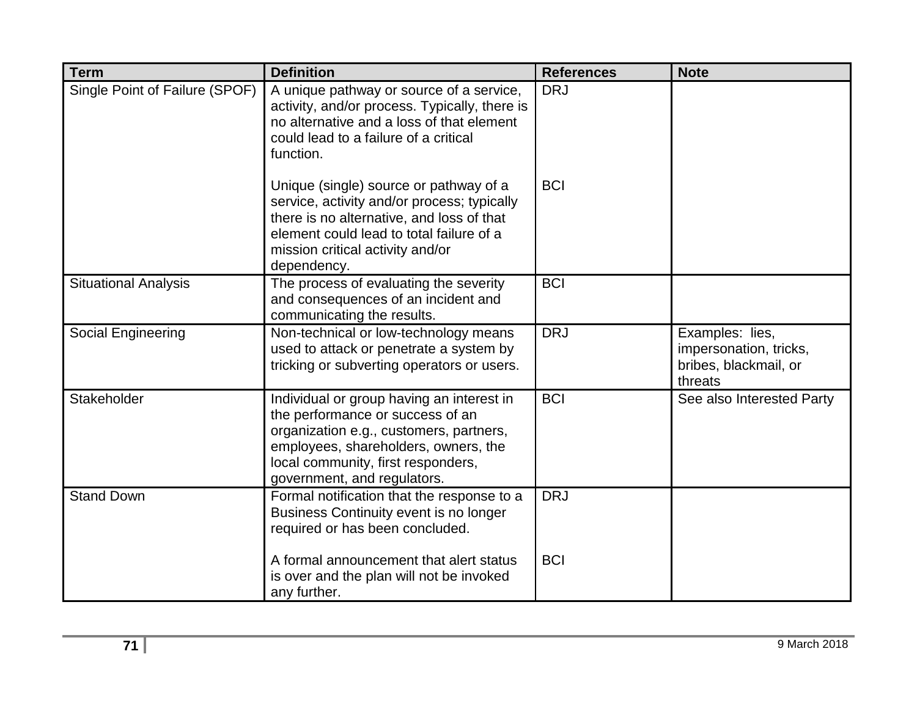| <b>Term</b>                    | <b>Definition</b>                                                                                                                                                                                                                     | <b>References</b> | <b>Note</b>                                                                   |
|--------------------------------|---------------------------------------------------------------------------------------------------------------------------------------------------------------------------------------------------------------------------------------|-------------------|-------------------------------------------------------------------------------|
| Single Point of Failure (SPOF) | A unique pathway or source of a service,<br>activity, and/or process. Typically, there is<br>no alternative and a loss of that element<br>could lead to a failure of a critical<br>function.                                          | <b>DRJ</b>        |                                                                               |
|                                | Unique (single) source or pathway of a<br>service, activity and/or process; typically<br>there is no alternative, and loss of that<br>element could lead to total failure of a<br>mission critical activity and/or<br>dependency.     | <b>BCI</b>        |                                                                               |
| <b>Situational Analysis</b>    | The process of evaluating the severity<br>and consequences of an incident and<br>communicating the results.                                                                                                                           | <b>BCI</b>        |                                                                               |
| Social Engineering             | Non-technical or low-technology means<br>used to attack or penetrate a system by<br>tricking or subverting operators or users.                                                                                                        | <b>DRJ</b>        | Examples: lies,<br>impersonation, tricks,<br>bribes, blackmail, or<br>threats |
| Stakeholder                    | Individual or group having an interest in<br>the performance or success of an<br>organization e.g., customers, partners,<br>employees, shareholders, owners, the<br>local community, first responders,<br>government, and regulators. | <b>BCI</b>        | See also Interested Party                                                     |
| <b>Stand Down</b>              | Formal notification that the response to a<br>Business Continuity event is no longer<br>required or has been concluded.                                                                                                               | <b>DRJ</b>        |                                                                               |
|                                | A formal announcement that alert status<br>is over and the plan will not be invoked<br>any further.                                                                                                                                   | <b>BCI</b>        |                                                                               |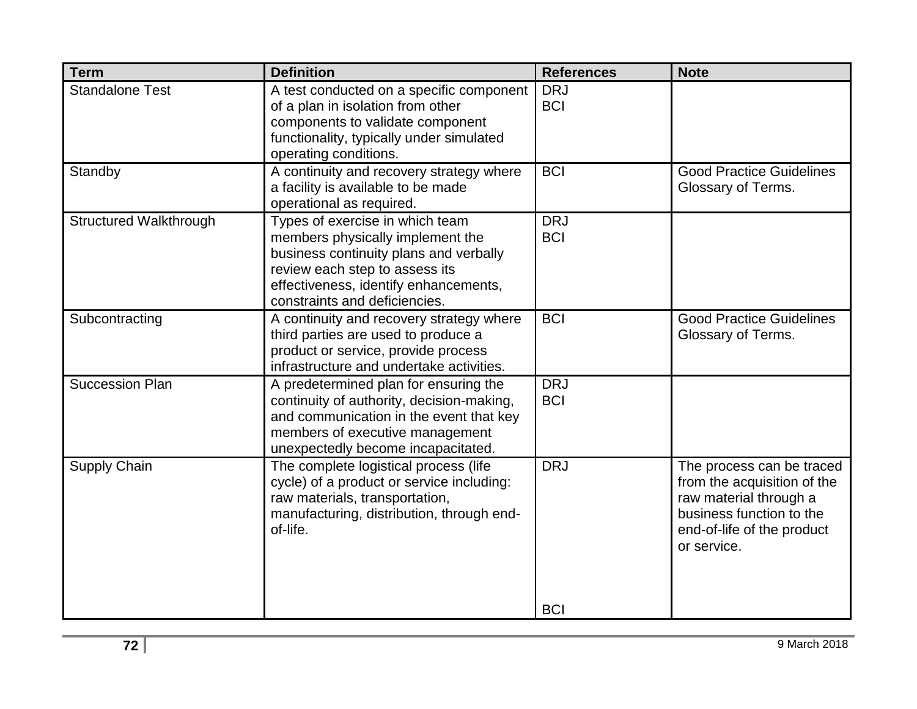| <b>Term</b>                   | <b>Definition</b>                                                                                                                                                                                                         | <b>References</b>        | <b>Note</b>                                                                                                                                                 |
|-------------------------------|---------------------------------------------------------------------------------------------------------------------------------------------------------------------------------------------------------------------------|--------------------------|-------------------------------------------------------------------------------------------------------------------------------------------------------------|
| <b>Standalone Test</b>        | A test conducted on a specific component<br>of a plan in isolation from other<br>components to validate component<br>functionality, typically under simulated<br>operating conditions.                                    | <b>DRJ</b><br><b>BCI</b> |                                                                                                                                                             |
| Standby                       | A continuity and recovery strategy where<br>a facility is available to be made<br>operational as required.                                                                                                                | <b>BCI</b>               | <b>Good Practice Guidelines</b><br>Glossary of Terms.                                                                                                       |
| <b>Structured Walkthrough</b> | Types of exercise in which team<br>members physically implement the<br>business continuity plans and verbally<br>review each step to assess its<br>effectiveness, identify enhancements,<br>constraints and deficiencies. | <b>DRJ</b><br><b>BCI</b> |                                                                                                                                                             |
| Subcontracting                | A continuity and recovery strategy where<br>third parties are used to produce a<br>product or service, provide process<br>infrastructure and undertake activities.                                                        | <b>BCI</b>               | <b>Good Practice Guidelines</b><br>Glossary of Terms.                                                                                                       |
| <b>Succession Plan</b>        | A predetermined plan for ensuring the<br>continuity of authority, decision-making,<br>and communication in the event that key<br>members of executive management<br>unexpectedly become incapacitated.                    | <b>DRJ</b><br><b>BCI</b> |                                                                                                                                                             |
| Supply Chain                  | The complete logistical process (life<br>cycle) of a product or service including:<br>raw materials, transportation,<br>manufacturing, distribution, through end-<br>of-life.                                             | <b>DRJ</b>               | The process can be traced<br>from the acquisition of the<br>raw material through a<br>business function to the<br>end-of-life of the product<br>or service. |
|                               |                                                                                                                                                                                                                           | <b>BCI</b>               |                                                                                                                                                             |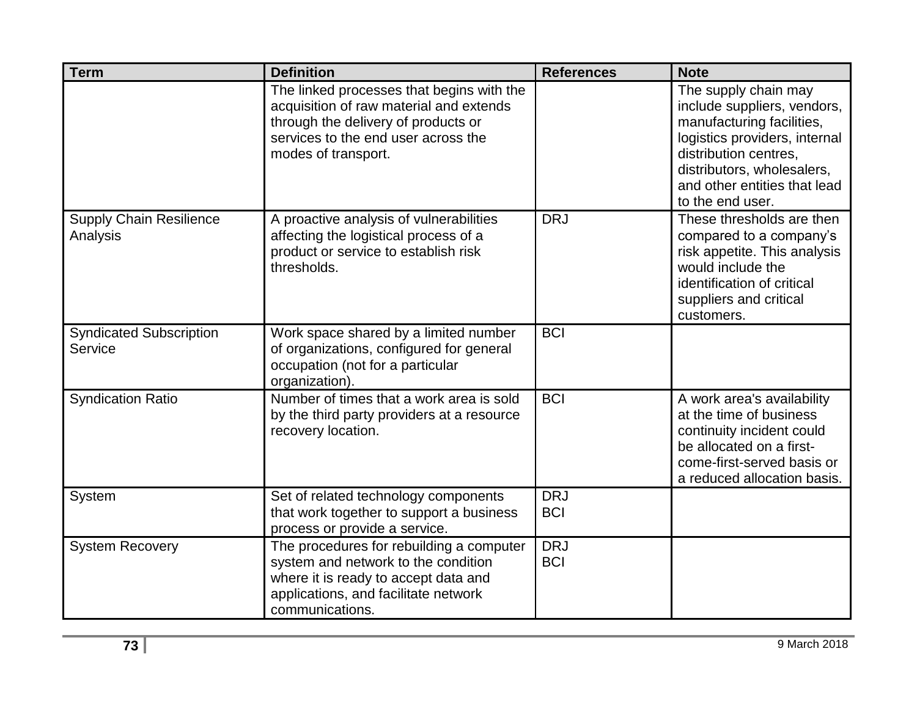| <b>Term</b>                                | <b>Definition</b>                                                                                                                                                                         | <b>References</b>        | <b>Note</b>                                                                                                                                                                                                                  |
|--------------------------------------------|-------------------------------------------------------------------------------------------------------------------------------------------------------------------------------------------|--------------------------|------------------------------------------------------------------------------------------------------------------------------------------------------------------------------------------------------------------------------|
|                                            | The linked processes that begins with the<br>acquisition of raw material and extends<br>through the delivery of products or<br>services to the end user across the<br>modes of transport. |                          | The supply chain may<br>include suppliers, vendors,<br>manufacturing facilities,<br>logistics providers, internal<br>distribution centres,<br>distributors, wholesalers,<br>and other entities that lead<br>to the end user. |
| <b>Supply Chain Resilience</b><br>Analysis | A proactive analysis of vulnerabilities<br>affecting the logistical process of a<br>product or service to establish risk<br>thresholds.                                                   | <b>DRJ</b>               | These thresholds are then<br>compared to a company's<br>risk appetite. This analysis<br>would include the<br>identification of critical<br>suppliers and critical<br>customers.                                              |
| <b>Syndicated Subscription</b><br>Service  | Work space shared by a limited number<br>of organizations, configured for general<br>occupation (not for a particular<br>organization).                                                   | <b>BCI</b>               |                                                                                                                                                                                                                              |
| <b>Syndication Ratio</b>                   | Number of times that a work area is sold<br>by the third party providers at a resource<br>recovery location.                                                                              | <b>BCI</b>               | A work area's availability<br>at the time of business<br>continuity incident could<br>be allocated on a first-<br>come-first-served basis or<br>a reduced allocation basis.                                                  |
| System                                     | Set of related technology components<br>that work together to support a business<br>process or provide a service.                                                                         | <b>DRJ</b><br><b>BCI</b> |                                                                                                                                                                                                                              |
| <b>System Recovery</b>                     | The procedures for rebuilding a computer<br>system and network to the condition<br>where it is ready to accept data and<br>applications, and facilitate network<br>communications.        | <b>DRJ</b><br><b>BCI</b> |                                                                                                                                                                                                                              |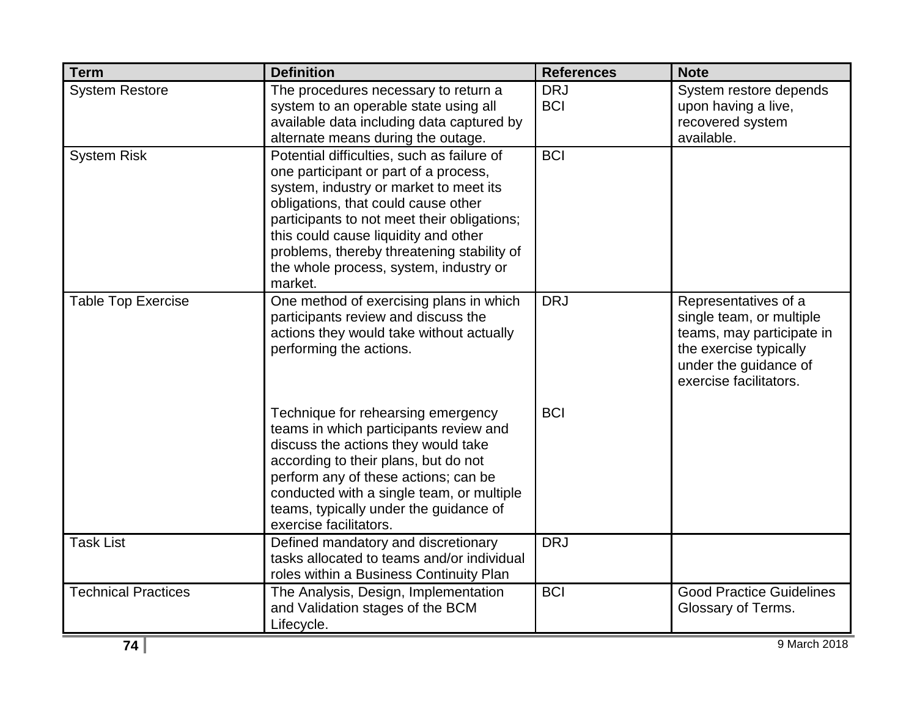| <b>Term</b>                | <b>Definition</b>                                                                                                                                                                                                                                                                                                                                              | <b>References</b>        | <b>Note</b>                                                                                                                                                |
|----------------------------|----------------------------------------------------------------------------------------------------------------------------------------------------------------------------------------------------------------------------------------------------------------------------------------------------------------------------------------------------------------|--------------------------|------------------------------------------------------------------------------------------------------------------------------------------------------------|
| <b>System Restore</b>      | The procedures necessary to return a<br>system to an operable state using all<br>available data including data captured by<br>alternate means during the outage.                                                                                                                                                                                               | <b>DRJ</b><br><b>BCI</b> | System restore depends<br>upon having a live,<br>recovered system<br>available.                                                                            |
| <b>System Risk</b>         | Potential difficulties, such as failure of<br>one participant or part of a process,<br>system, industry or market to meet its<br>obligations, that could cause other<br>participants to not meet their obligations;<br>this could cause liquidity and other<br>problems, thereby threatening stability of<br>the whole process, system, industry or<br>market. | <b>BCI</b>               |                                                                                                                                                            |
| <b>Table Top Exercise</b>  | One method of exercising plans in which<br>participants review and discuss the<br>actions they would take without actually<br>performing the actions.                                                                                                                                                                                                          | <b>DRJ</b>               | Representatives of a<br>single team, or multiple<br>teams, may participate in<br>the exercise typically<br>under the guidance of<br>exercise facilitators. |
|                            | Technique for rehearsing emergency<br>teams in which participants review and<br>discuss the actions they would take<br>according to their plans, but do not<br>perform any of these actions; can be<br>conducted with a single team, or multiple<br>teams, typically under the guidance of<br>exercise facilitators.                                           | <b>BCI</b>               |                                                                                                                                                            |
| <b>Task List</b>           | Defined mandatory and discretionary<br>tasks allocated to teams and/or individual<br>roles within a Business Continuity Plan                                                                                                                                                                                                                                   | <b>DRJ</b>               |                                                                                                                                                            |
| <b>Technical Practices</b> | The Analysis, Design, Implementation<br>and Validation stages of the BCM<br>Lifecycle.                                                                                                                                                                                                                                                                         | <b>BCI</b>               | <b>Good Practice Guidelines</b><br>Glossary of Terms.                                                                                                      |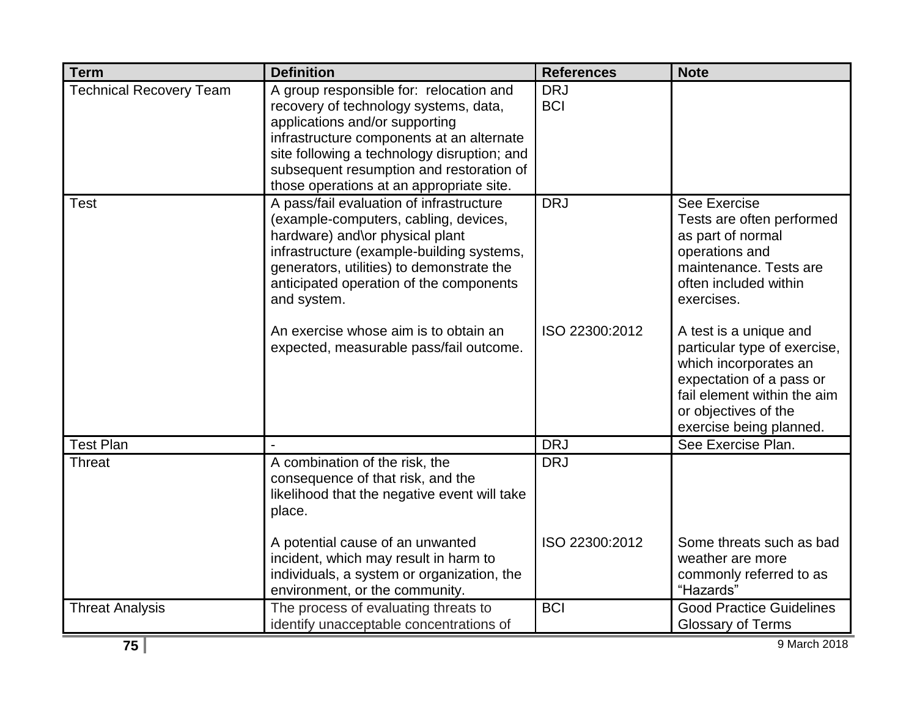| <b>Term</b>                    | <b>Definition</b>                                                                                                                                                                                                                                                                                                                                            | <b>References</b>            | <b>Note</b>                                                                                                                                                                                                                                                                                                                                        |
|--------------------------------|--------------------------------------------------------------------------------------------------------------------------------------------------------------------------------------------------------------------------------------------------------------------------------------------------------------------------------------------------------------|------------------------------|----------------------------------------------------------------------------------------------------------------------------------------------------------------------------------------------------------------------------------------------------------------------------------------------------------------------------------------------------|
| <b>Technical Recovery Team</b> | A group responsible for: relocation and<br>recovery of technology systems, data,<br>applications and/or supporting<br>infrastructure components at an alternate<br>site following a technology disruption; and<br>subsequent resumption and restoration of<br>those operations at an appropriate site.                                                       | <b>DRJ</b><br><b>BCI</b>     |                                                                                                                                                                                                                                                                                                                                                    |
| Test                           | A pass/fail evaluation of infrastructure<br>(example-computers, cabling, devices,<br>hardware) and\or physical plant<br>infrastructure (example-building systems,<br>generators, utilities) to demonstrate the<br>anticipated operation of the components<br>and system.<br>An exercise whose aim is to obtain an<br>expected, measurable pass/fail outcome. | <b>DRJ</b><br>ISO 22300:2012 | See Exercise<br>Tests are often performed<br>as part of normal<br>operations and<br>maintenance. Tests are<br>often included within<br>exercises.<br>A test is a unique and<br>particular type of exercise,<br>which incorporates an<br>expectation of a pass or<br>fail element within the aim<br>or objectives of the<br>exercise being planned. |
| <b>Test Plan</b>               |                                                                                                                                                                                                                                                                                                                                                              | <b>DRJ</b>                   | See Exercise Plan.                                                                                                                                                                                                                                                                                                                                 |
| <b>Threat</b>                  | A combination of the risk, the<br>consequence of that risk, and the<br>likelihood that the negative event will take<br>place.                                                                                                                                                                                                                                | <b>DRJ</b>                   |                                                                                                                                                                                                                                                                                                                                                    |
|                                | A potential cause of an unwanted<br>incident, which may result in harm to<br>individuals, a system or organization, the<br>environment, or the community.                                                                                                                                                                                                    | ISO 22300:2012               | Some threats such as bad<br>weather are more<br>commonly referred to as<br>"Hazards"                                                                                                                                                                                                                                                               |
| <b>Threat Analysis</b>         | The process of evaluating threats to<br>identify unacceptable concentrations of                                                                                                                                                                                                                                                                              | <b>BCI</b>                   | <b>Good Practice Guidelines</b><br><b>Glossary of Terms</b>                                                                                                                                                                                                                                                                                        |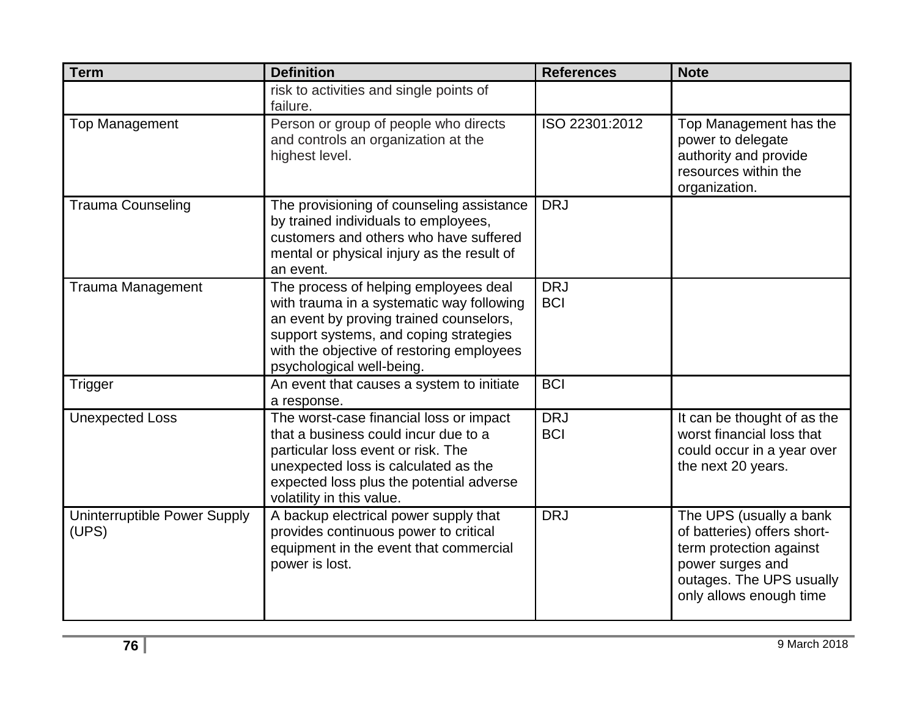| <b>Term</b>                           | <b>Definition</b>                                                                                                                                                                                                                                 | <b>References</b>        | <b>Note</b>                                                                                                                                                  |
|---------------------------------------|---------------------------------------------------------------------------------------------------------------------------------------------------------------------------------------------------------------------------------------------------|--------------------------|--------------------------------------------------------------------------------------------------------------------------------------------------------------|
|                                       | risk to activities and single points of<br>failure.                                                                                                                                                                                               |                          |                                                                                                                                                              |
| <b>Top Management</b>                 | Person or group of people who directs<br>and controls an organization at the<br>highest level.                                                                                                                                                    | ISO 22301:2012           | Top Management has the<br>power to delegate<br>authority and provide<br>resources within the<br>organization.                                                |
| <b>Trauma Counseling</b>              | The provisioning of counseling assistance<br>by trained individuals to employees,<br>customers and others who have suffered<br>mental or physical injury as the result of<br>an event.                                                            | <b>DRJ</b>               |                                                                                                                                                              |
| <b>Trauma Management</b>              | The process of helping employees deal<br>with trauma in a systematic way following<br>an event by proving trained counselors,<br>support systems, and coping strategies<br>with the objective of restoring employees<br>psychological well-being. | <b>DRJ</b><br><b>BCI</b> |                                                                                                                                                              |
| Trigger                               | An event that causes a system to initiate<br>a response.                                                                                                                                                                                          | <b>BCI</b>               |                                                                                                                                                              |
| <b>Unexpected Loss</b>                | The worst-case financial loss or impact<br>that a business could incur due to a<br>particular loss event or risk. The<br>unexpected loss is calculated as the<br>expected loss plus the potential adverse<br>volatility in this value.            | <b>DRJ</b><br><b>BCI</b> | It can be thought of as the<br>worst financial loss that<br>could occur in a year over<br>the next 20 years.                                                 |
| Uninterruptible Power Supply<br>(UPS) | A backup electrical power supply that<br>provides continuous power to critical<br>equipment in the event that commercial<br>power is lost.                                                                                                        | <b>DRJ</b>               | The UPS (usually a bank<br>of batteries) offers short-<br>term protection against<br>power surges and<br>outages. The UPS usually<br>only allows enough time |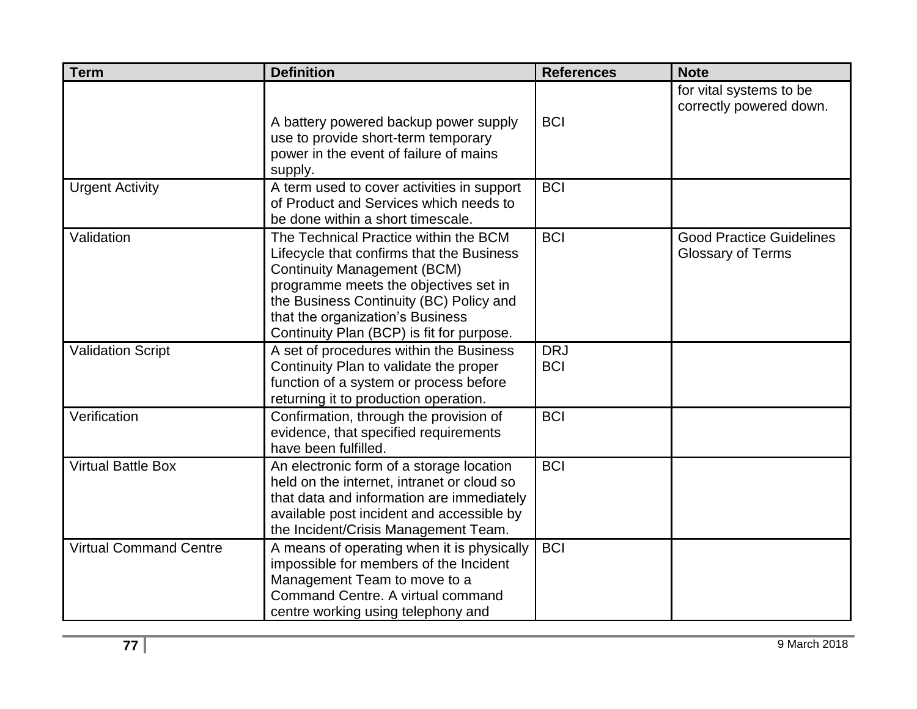| <b>Term</b>                   | <b>Definition</b>                                                                                                                                                                                                                                                                             | <b>References</b>        | <b>Note</b>                                                 |
|-------------------------------|-----------------------------------------------------------------------------------------------------------------------------------------------------------------------------------------------------------------------------------------------------------------------------------------------|--------------------------|-------------------------------------------------------------|
|                               | A battery powered backup power supply<br>use to provide short-term temporary<br>power in the event of failure of mains<br>supply.                                                                                                                                                             | <b>BCI</b>               | for vital systems to be<br>correctly powered down.          |
| <b>Urgent Activity</b>        | A term used to cover activities in support<br>of Product and Services which needs to<br>be done within a short timescale.                                                                                                                                                                     | <b>BCI</b>               |                                                             |
| Validation                    | The Technical Practice within the BCM<br>Lifecycle that confirms that the Business<br><b>Continuity Management (BCM)</b><br>programme meets the objectives set in<br>the Business Continuity (BC) Policy and<br>that the organization's Business<br>Continuity Plan (BCP) is fit for purpose. | <b>BCI</b>               | <b>Good Practice Guidelines</b><br><b>Glossary of Terms</b> |
| Validation Script             | A set of procedures within the Business<br>Continuity Plan to validate the proper<br>function of a system or process before<br>returning it to production operation.                                                                                                                          | <b>DRJ</b><br><b>BCI</b> |                                                             |
| Verification                  | Confirmation, through the provision of<br>evidence, that specified requirements<br>have been fulfilled.                                                                                                                                                                                       | <b>BCI</b>               |                                                             |
| <b>Virtual Battle Box</b>     | An electronic form of a storage location<br>held on the internet, intranet or cloud so<br>that data and information are immediately<br>available post incident and accessible by<br>the Incident/Crisis Management Team.                                                                      | <b>BCI</b>               |                                                             |
| <b>Virtual Command Centre</b> | A means of operating when it is physically<br>impossible for members of the Incident<br>Management Team to move to a<br>Command Centre. A virtual command<br>centre working using telephony and                                                                                               | <b>BCI</b>               |                                                             |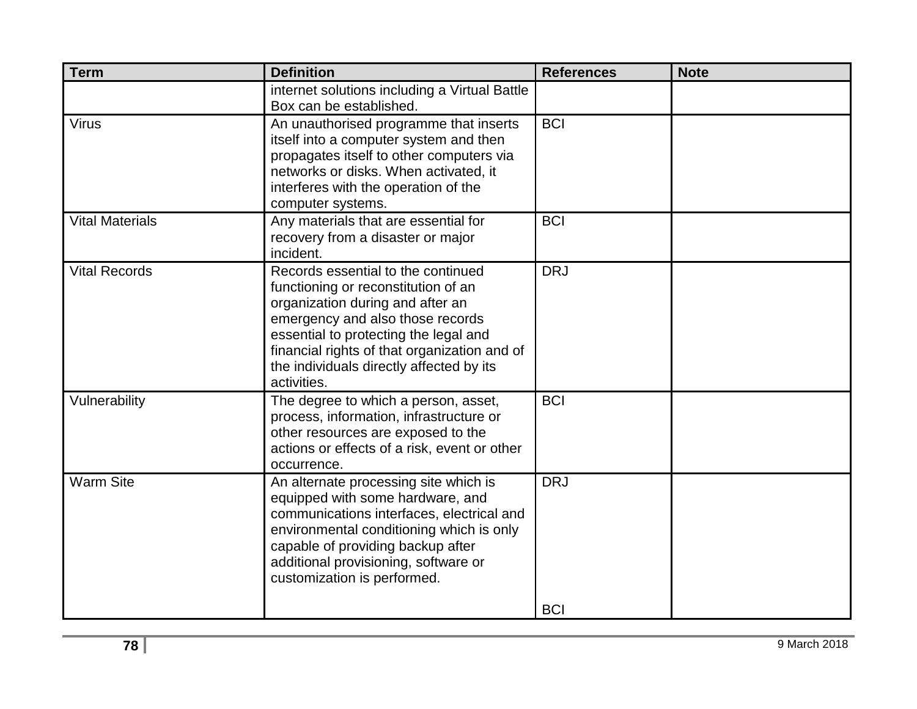| <b>Term</b>            | <b>Definition</b>                                                                                                                                                                                                                                                                                     | <b>References</b>        | <b>Note</b> |
|------------------------|-------------------------------------------------------------------------------------------------------------------------------------------------------------------------------------------------------------------------------------------------------------------------------------------------------|--------------------------|-------------|
|                        | internet solutions including a Virtual Battle<br>Box can be established.                                                                                                                                                                                                                              |                          |             |
| <b>Virus</b>           | An unauthorised programme that inserts<br>itself into a computer system and then<br>propagates itself to other computers via<br>networks or disks. When activated, it<br>interferes with the operation of the<br>computer systems.                                                                    | <b>BCI</b>               |             |
| <b>Vital Materials</b> | Any materials that are essential for<br>recovery from a disaster or major<br>incident.                                                                                                                                                                                                                | <b>BCI</b>               |             |
| <b>Vital Records</b>   | Records essential to the continued<br>functioning or reconstitution of an<br>organization during and after an<br>emergency and also those records<br>essential to protecting the legal and<br>financial rights of that organization and of<br>the individuals directly affected by its<br>activities. | <b>DRJ</b>               |             |
| Vulnerability          | The degree to which a person, asset,<br>process, information, infrastructure or<br>other resources are exposed to the<br>actions or effects of a risk, event or other<br>occurrence.                                                                                                                  | <b>BCI</b>               |             |
| <b>Warm Site</b>       | An alternate processing site which is<br>equipped with some hardware, and<br>communications interfaces, electrical and<br>environmental conditioning which is only<br>capable of providing backup after<br>additional provisioning, software or<br>customization is performed.                        | <b>DRJ</b><br><b>BCI</b> |             |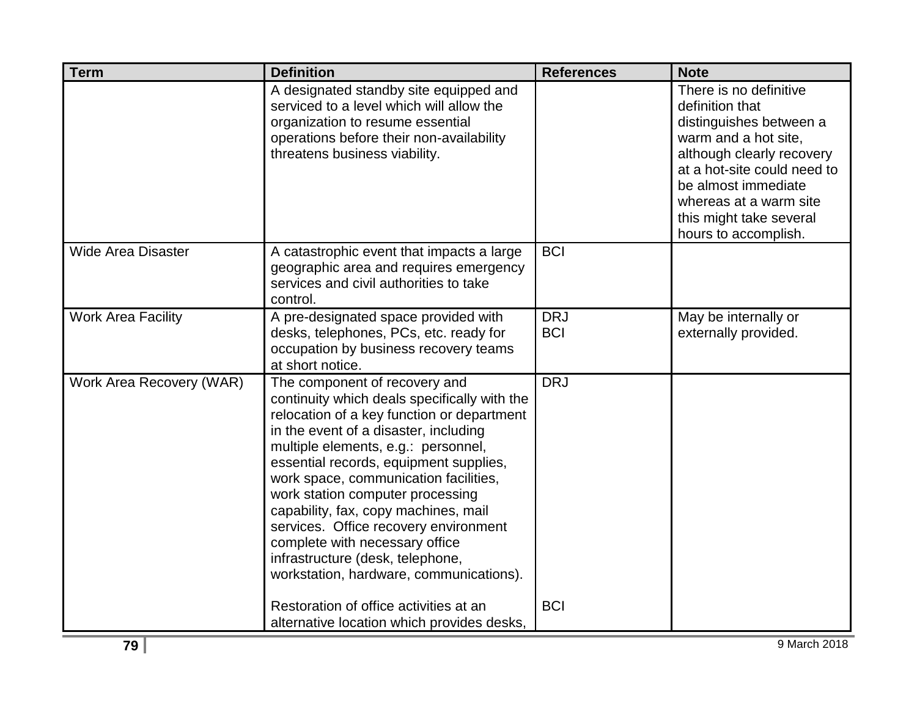| <b>Term</b>               | <b>Definition</b>                                                                                                                                                                                                                                                                                                                                                                                                                                                                                                                    | <b>References</b>        | <b>Note</b>                                                                                                                                                                                                                                                  |
|---------------------------|--------------------------------------------------------------------------------------------------------------------------------------------------------------------------------------------------------------------------------------------------------------------------------------------------------------------------------------------------------------------------------------------------------------------------------------------------------------------------------------------------------------------------------------|--------------------------|--------------------------------------------------------------------------------------------------------------------------------------------------------------------------------------------------------------------------------------------------------------|
|                           | A designated standby site equipped and<br>serviced to a level which will allow the<br>organization to resume essential<br>operations before their non-availability<br>threatens business viability.                                                                                                                                                                                                                                                                                                                                  |                          | There is no definitive<br>definition that<br>distinguishes between a<br>warm and a hot site,<br>although clearly recovery<br>at a hot-site could need to<br>be almost immediate<br>whereas at a warm site<br>this might take several<br>hours to accomplish. |
| Wide Area Disaster        | A catastrophic event that impacts a large<br>geographic area and requires emergency<br>services and civil authorities to take<br>control.                                                                                                                                                                                                                                                                                                                                                                                            | <b>BCI</b>               |                                                                                                                                                                                                                                                              |
| <b>Work Area Facility</b> | A pre-designated space provided with<br>desks, telephones, PCs, etc. ready for<br>occupation by business recovery teams<br>at short notice.                                                                                                                                                                                                                                                                                                                                                                                          | <b>DRJ</b><br><b>BCI</b> | May be internally or<br>externally provided.                                                                                                                                                                                                                 |
| Work Area Recovery (WAR)  | The component of recovery and<br>continuity which deals specifically with the<br>relocation of a key function or department<br>in the event of a disaster, including<br>multiple elements, e.g.: personnel,<br>essential records, equipment supplies,<br>work space, communication facilities,<br>work station computer processing<br>capability, fax, copy machines, mail<br>services. Office recovery environment<br>complete with necessary office<br>infrastructure (desk, telephone,<br>workstation, hardware, communications). | <b>DRJ</b>               |                                                                                                                                                                                                                                                              |
|                           | Restoration of office activities at an<br>alternative location which provides desks,                                                                                                                                                                                                                                                                                                                                                                                                                                                 | <b>BCI</b>               |                                                                                                                                                                                                                                                              |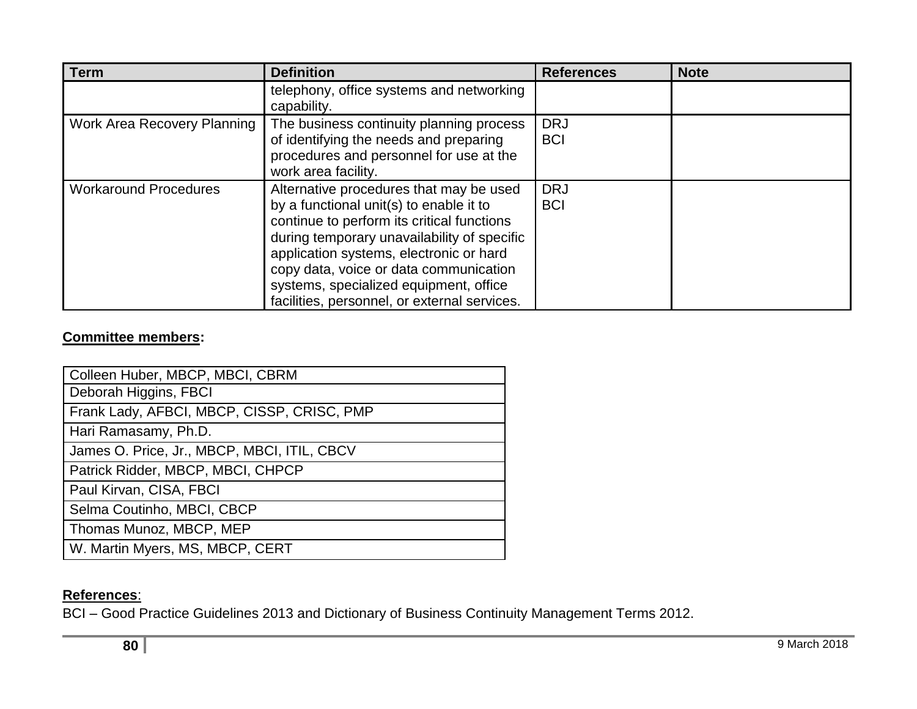| <b>Term</b>                  | <b>Definition</b>                                                                                                                                                                                                                                                                                                                                              | <b>References</b>        | <b>Note</b> |
|------------------------------|----------------------------------------------------------------------------------------------------------------------------------------------------------------------------------------------------------------------------------------------------------------------------------------------------------------------------------------------------------------|--------------------------|-------------|
|                              | telephony, office systems and networking<br>capability.                                                                                                                                                                                                                                                                                                        |                          |             |
| Work Area Recovery Planning  | The business continuity planning process<br>of identifying the needs and preparing<br>procedures and personnel for use at the<br>work area facility.                                                                                                                                                                                                           | <b>DRJ</b><br><b>BCI</b> |             |
| <b>Workaround Procedures</b> | Alternative procedures that may be used<br>by a functional unit(s) to enable it to<br>continue to perform its critical functions<br>during temporary unavailability of specific<br>application systems, electronic or hard<br>copy data, voice or data communication<br>systems, specialized equipment, office<br>facilities, personnel, or external services. | <b>DRJ</b><br><b>BCI</b> |             |

## **Committee members:**

| Colleen Huber, MBCP, MBCI, CBRM             |
|---------------------------------------------|
| Deborah Higgins, FBCI                       |
| Frank Lady, AFBCI, MBCP, CISSP, CRISC, PMP  |
| Hari Ramasamy, Ph.D.                        |
| James O. Price, Jr., MBCP, MBCI, ITIL, CBCV |
| Patrick Ridder, MBCP, MBCI, CHPCP           |
| Paul Kirvan, CISA, FBCI                     |
| Selma Coutinho, MBCI, CBCP                  |
| Thomas Munoz, MBCP, MEP                     |
| W. Martin Myers, MS, MBCP, CERT             |

## **References**:

BCI – Good Practice Guidelines 2013 and Dictionary of Business Continuity Management Terms 2012.